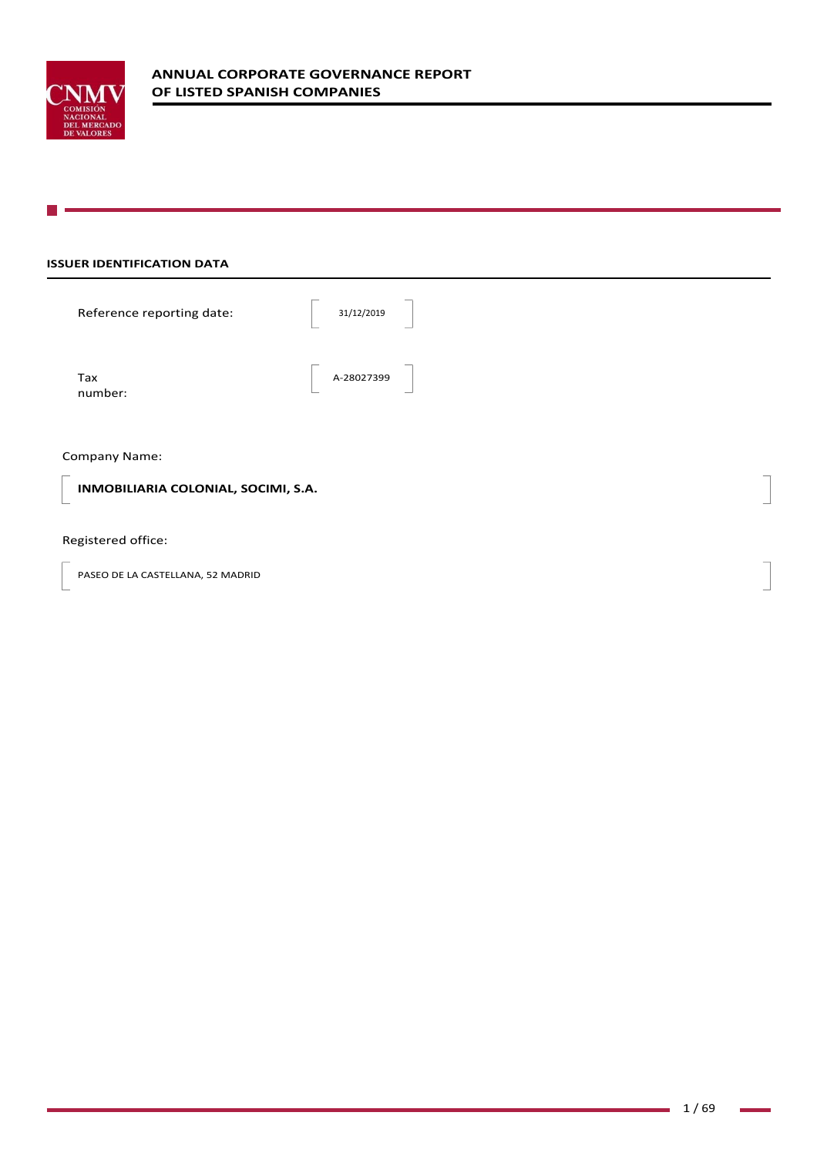

# **ISSUER IDENTIFICATION DATA**

| Reference reporting date:           | 31/12/2019 |  |
|-------------------------------------|------------|--|
| Tax<br>number:                      | A-28027399 |  |
| Company Name:                       |            |  |
| INMOBILIARIA COLONIAL, SOCIMI, S.A. |            |  |

Registered office:

PASEO DE LA CASTELLANA, 52 MADRID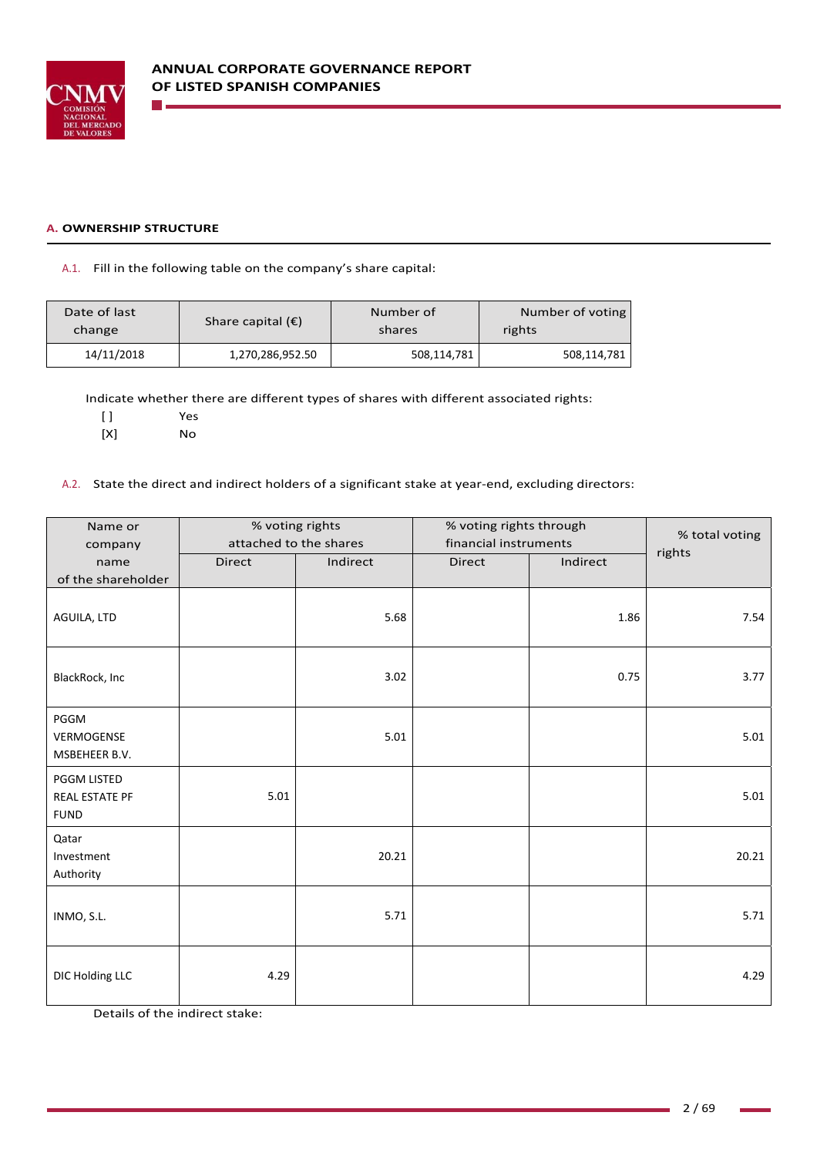

### **A. OWNERSHIP STRUCTURE**

## A.1. Fill in the following table on the company's share capital:

| Date of last | Share capital $(\epsilon)$ | Number of   | Number of voting |
|--------------|----------------------------|-------------|------------------|
| change       |                            | shares      | rights           |
| 14/11/2018   | 1,270,286,952.50           | 508,114,781 | 508,114,781      |

Indicate whether there are different types of shares with different associated rights:

| $\lbrack$ | Yes |
|-----------|-----|
| [X]       | Nο  |

A.2. State the direct and indirect holders of a significant stake at year-end, excluding directors:

| Name or<br>company                           |               | % voting rights<br>attached to the shares |               | % voting rights through<br>financial instruments |        |
|----------------------------------------------|---------------|-------------------------------------------|---------------|--------------------------------------------------|--------|
| name                                         | <b>Direct</b> | Indirect                                  | <b>Direct</b> | Indirect                                         | rights |
| of the shareholder                           |               |                                           |               |                                                  |        |
| AGUILA, LTD                                  |               | 5.68                                      |               | 1.86                                             | 7.54   |
| BlackRock, Inc                               |               | 3.02                                      |               | 0.75                                             | 3.77   |
| PGGM<br>VERMOGENSE<br>MSBEHEER B.V.          |               | 5.01                                      |               |                                                  | 5.01   |
| PGGM LISTED<br>REAL ESTATE PF<br><b>FUND</b> | 5.01          |                                           |               |                                                  | 5.01   |
| Qatar<br>Investment<br>Authority             |               | 20.21                                     |               |                                                  | 20.21  |
| INMO, S.L.                                   |               | 5.71                                      |               |                                                  | 5.71   |
| DIC Holding LLC                              | 4.29          |                                           |               |                                                  | 4.29   |

Details of the indirect stake: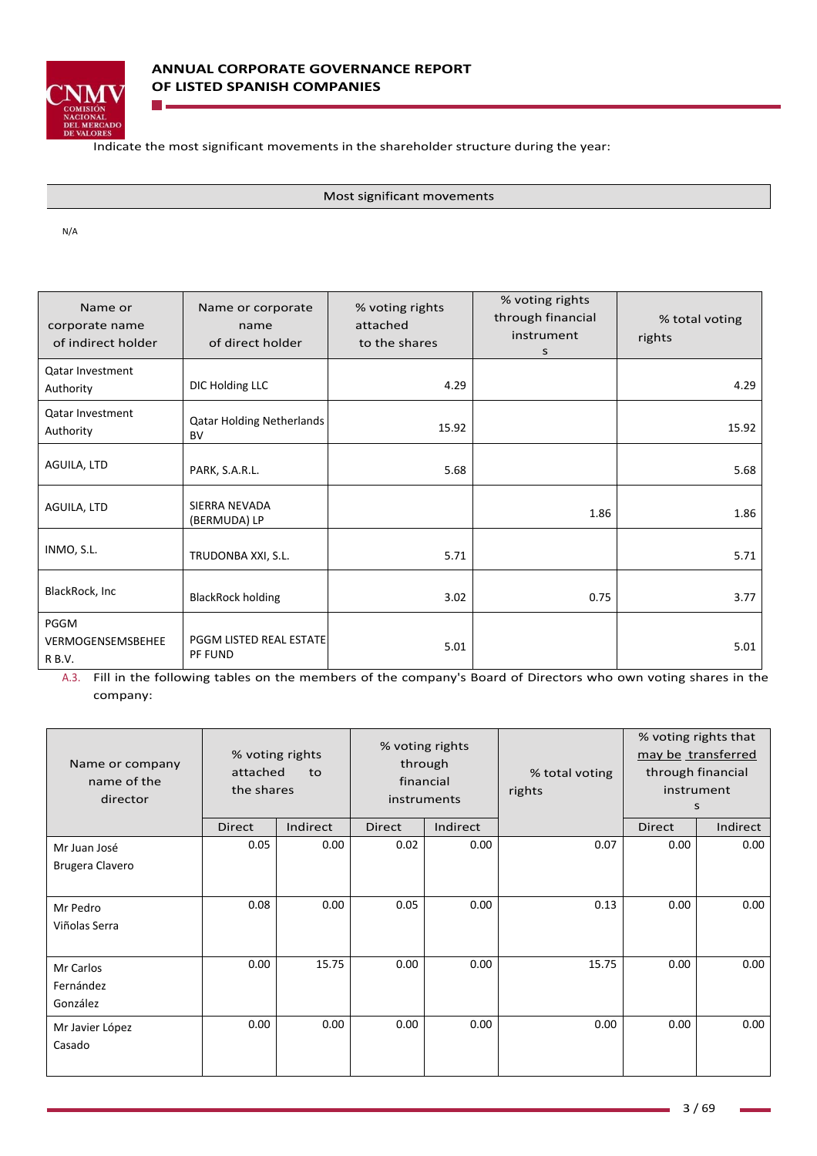

Indicate the most significant movements in the shareholder structure during the year:

Most significant movements

N/A

| Name or<br>corporate name<br>of indirect holder | Name or corporate<br>name<br>of direct holder | % voting rights<br>attached<br>to the shares | % voting rights<br>through financial<br>instrument<br>s | % total voting<br>rights |
|-------------------------------------------------|-----------------------------------------------|----------------------------------------------|---------------------------------------------------------|--------------------------|
| Qatar Investment<br>Authority                   | DIC Holding LLC                               | 4.29                                         |                                                         | 4.29                     |
| Qatar Investment<br>Authority                   | <b>Qatar Holding Netherlands</b><br>BV        | 15.92                                        |                                                         | 15.92                    |
| AGUILA, LTD                                     | PARK, S.A.R.L.                                | 5.68                                         |                                                         | 5.68                     |
| AGUILA, LTD                                     | SIERRA NEVADA<br>(BERMUDA) LP                 |                                              | 1.86                                                    | 1.86                     |
| INMO, S.L.                                      | TRUDONBA XXI, S.L.                            | 5.71                                         |                                                         | 5.71                     |
| BlackRock, Inc                                  | <b>BlackRock holding</b>                      | 3.02                                         | 0.75                                                    | 3.77                     |
| PGGM<br>VERMOGENSEMSBEHEE<br>R B.V.             | PGGM LISTED REAL ESTATE<br>PF FUND            | 5.01                                         |                                                         | 5.01                     |

A.3. Fill in the following tables on the members of the company's Board of Directors who own voting shares in the company:

| Name or company<br>name of the<br>director | attached<br>the shares | % voting rights<br>to |               | % voting rights<br>through<br>financial<br>instruments | % total voting<br>rights |        | % voting rights that<br>may be transferred<br>through financial<br>instrument<br>S |
|--------------------------------------------|------------------------|-----------------------|---------------|--------------------------------------------------------|--------------------------|--------|------------------------------------------------------------------------------------|
|                                            | Direct                 | Indirect              | <b>Direct</b> | Indirect                                               |                          | Direct | Indirect                                                                           |
| Mr Juan José<br>Brugera Clavero            | 0.05                   | 0.00                  | 0.02          | 0.00                                                   | 0.07                     | 0.00   | 0.00                                                                               |
| Mr Pedro<br>Viñolas Serra                  | 0.08                   | 0.00                  | 0.05          | 0.00                                                   | 0.13                     | 0.00   | 0.00                                                                               |
| Mr Carlos<br>Fernández<br>González         | 0.00                   | 15.75                 | 0.00          | 0.00                                                   | 15.75                    | 0.00   | 0.00                                                                               |
| Mr Javier López<br>Casado                  | 0.00                   | 0.00                  | 0.00          | 0.00                                                   | 0.00                     | 0.00   | 0.00                                                                               |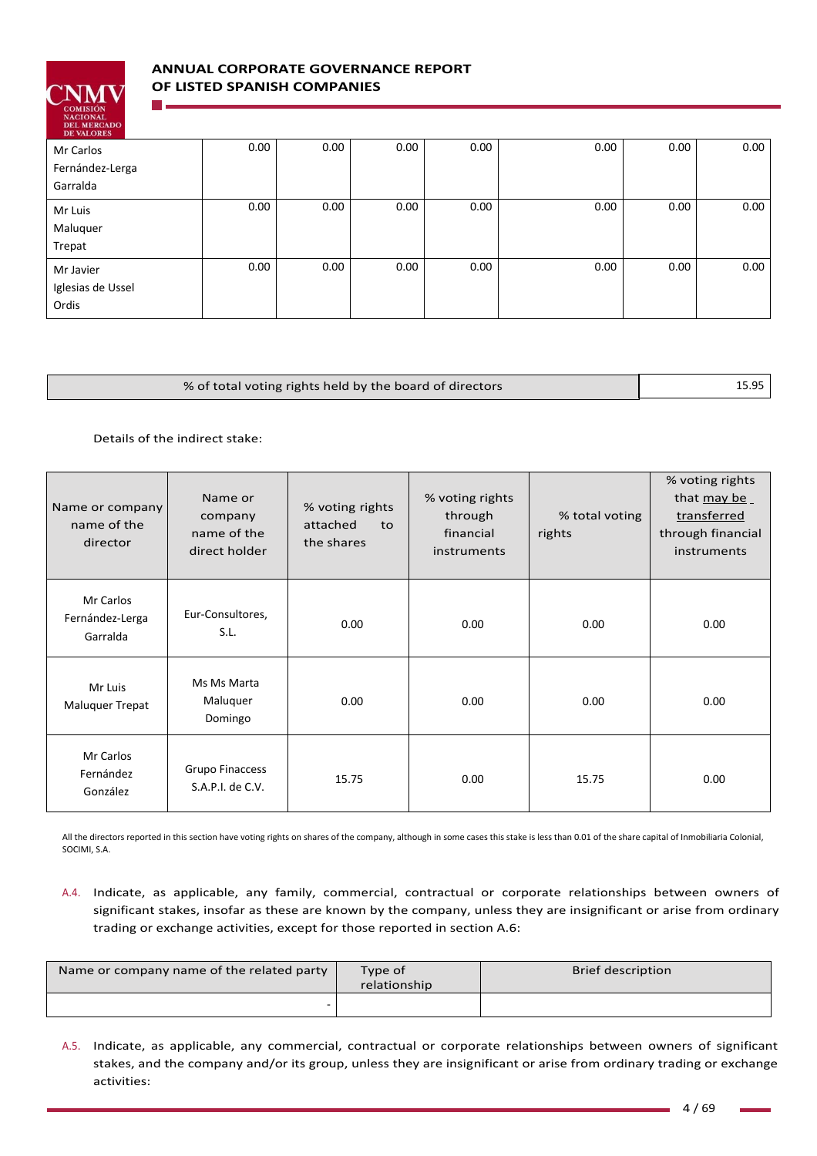

# **ANNUAL CORPORATE GOVERNANCE REPORT OF LISTED SPANISH COMPANIES**

| DE VALURES        |      |      |      |      |      |      |      |
|-------------------|------|------|------|------|------|------|------|
| Mr Carlos         | 0.00 | 0.00 | 0.00 | 0.00 | 0.00 | 0.00 | 0.00 |
| Fernández-Lerga   |      |      |      |      |      |      |      |
| Garralda          |      |      |      |      |      |      |      |
| Mr Luis           | 0.00 | 0.00 | 0.00 | 0.00 | 0.00 | 0.00 | 0.00 |
| Maluquer          |      |      |      |      |      |      |      |
| Trepat            |      |      |      |      |      |      |      |
| Mr Javier         | 0.00 | 0.00 | 0.00 | 0.00 | 0.00 | 0.00 | 0.00 |
| Iglesias de Ussel |      |      |      |      |      |      |      |
| Ordis             |      |      |      |      |      |      |      |

| % of total voting rights held by the board of directors | 15.95 |
|---------------------------------------------------------|-------|
|                                                         |       |

Details of the indirect stake:

| Name or company<br>name of the<br>director | Name or<br>company<br>name of the<br>direct holder | % voting rights<br>attached<br>to<br>the shares | % voting rights<br>through<br>financial<br>instruments | % total voting<br>rights | % voting rights<br>that may be<br>transferred<br>through financial<br>instruments |
|--------------------------------------------|----------------------------------------------------|-------------------------------------------------|--------------------------------------------------------|--------------------------|-----------------------------------------------------------------------------------|
| Mr Carlos<br>Fernández-Lerga<br>Garralda   | Eur-Consultores,<br>S.L.                           | 0.00                                            | 0.00                                                   | 0.00                     | 0.00                                                                              |
| Mr Luis<br><b>Maluquer Trepat</b>          | Ms Ms Marta<br>Maluquer<br>Domingo                 | 0.00                                            | 0.00                                                   | 0.00                     | 0.00                                                                              |
| Mr Carlos<br>Fernández<br>González         | Grupo Finaccess<br>S.A.P.I. de C.V.                | 15.75                                           | 0.00                                                   | 15.75                    | 0.00                                                                              |

All the directors reported in this section have voting rights on shares of the company, although in some cases this stake is less than 0.01 of the share capital of Inmobiliaria Colonial, SOCIMI, S.A.

A.4. Indicate, as applicable, any family, commercial, contractual or corporate relationships between owners of significant stakes, insofar as these are known by the company, unless they are insignificant or arise from ordinary trading or exchange activities, except for those reported in section A.6:

| Name or company name of the related party | Type of<br>relationship | <b>Brief description</b> |
|-------------------------------------------|-------------------------|--------------------------|
|                                           |                         |                          |

A.5. Indicate, as applicable, any commercial, contractual or corporate relationships between owners of significant stakes, and the company and/or its group, unless they are insignificant or arise from ordinary trading or exchange activities: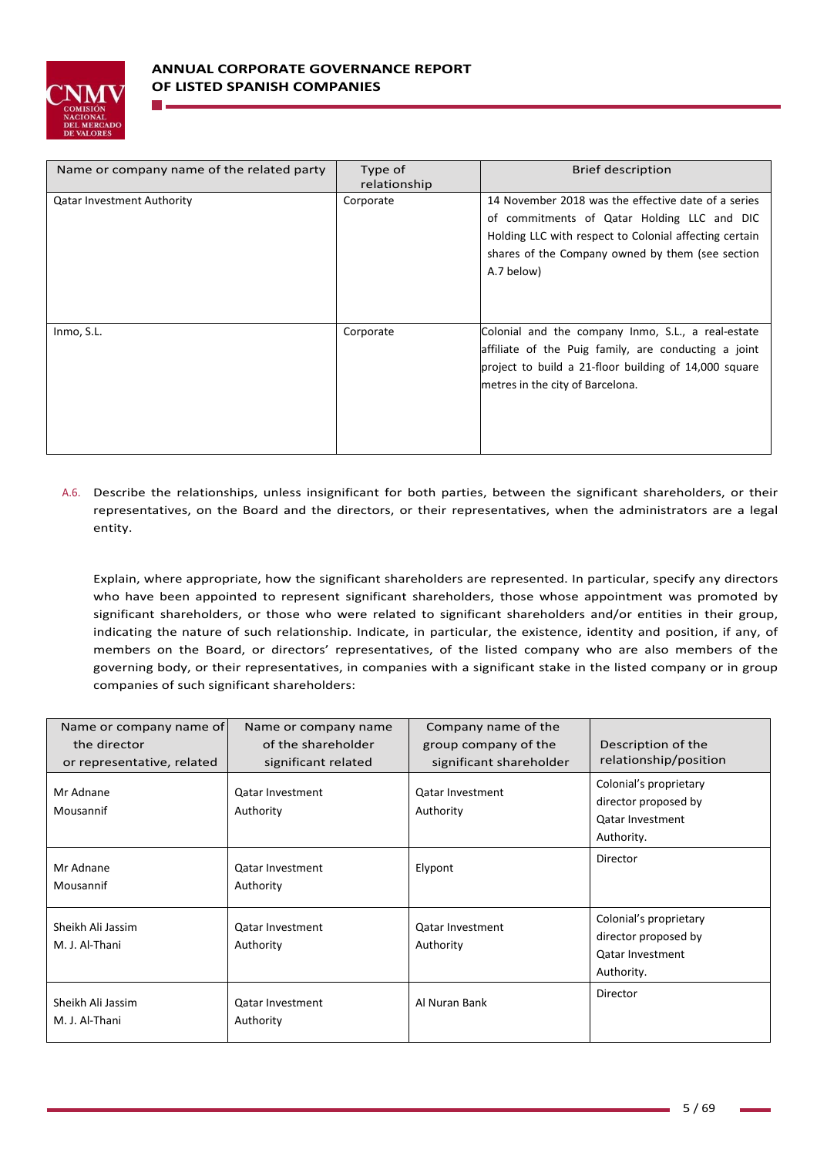

| Name or company name of the related party | Type of<br>relationship | <b>Brief description</b>                                                                                                                                                                                                       |
|-------------------------------------------|-------------------------|--------------------------------------------------------------------------------------------------------------------------------------------------------------------------------------------------------------------------------|
| <b>Qatar Investment Authority</b>         | Corporate               | 14 November 2018 was the effective date of a series<br>of commitments of Qatar Holding LLC and DIC<br>Holding LLC with respect to Colonial affecting certain<br>shares of the Company owned by them (see section<br>A.7 below) |
| Inmo, S.L.                                | Corporate               | Colonial and the company Inmo, S.L., a real-estate<br>affiliate of the Puig family, are conducting a joint<br>project to build a 21-floor building of 14,000 square<br>metres in the city of Barcelona.                        |

A.6. Describe the relationships, unless insignificant for both parties, between the significant shareholders, or their representatives, on the Board and the directors, or their representatives, when the administrators are a legal entity.

Explain, where appropriate, how the significant shareholders are represented. In particular, specify any directors who have been appointed to represent significant shareholders, those whose appointment was promoted by significant shareholders, or those who were related to significant shareholders and/or entities in their group, indicating the nature of such relationship. Indicate, in particular, the existence, identity and position, if any, of members on the Board, or directors' representatives, of the listed company who are also members of the governing body, or their representatives, in companies with a significant stake in the listed company or in group companies of such significant shareholders:

| Name or company name of<br>the director              | Name or company name<br>of the shareholder                  | Company name of the<br>group company of the                     | Description of the<br>relationship/position                                             |
|------------------------------------------------------|-------------------------------------------------------------|-----------------------------------------------------------------|-----------------------------------------------------------------------------------------|
| or representative, related<br>Mr Adnane<br>Mousannif | significant related<br><b>Qatar Investment</b><br>Authority | significant shareholder<br><b>Qatar Investment</b><br>Authority | Colonial's proprietary<br>director proposed by<br><b>Qatar Investment</b><br>Authority. |
| Mr Adnane<br>Mousannif                               | <b>Qatar Investment</b><br>Authority                        | Elypont                                                         | Director                                                                                |
| Sheikh Ali Jassim<br>M. J. Al-Thani                  | <b>Qatar Investment</b><br>Authority                        | <b>Qatar Investment</b><br>Authority                            | Colonial's proprietary<br>director proposed by<br><b>Qatar Investment</b><br>Authority. |
| Sheikh Ali Jassim<br>M. J. Al-Thani                  | Qatar Investment<br>Authority                               | Al Nuran Bank                                                   | Director                                                                                |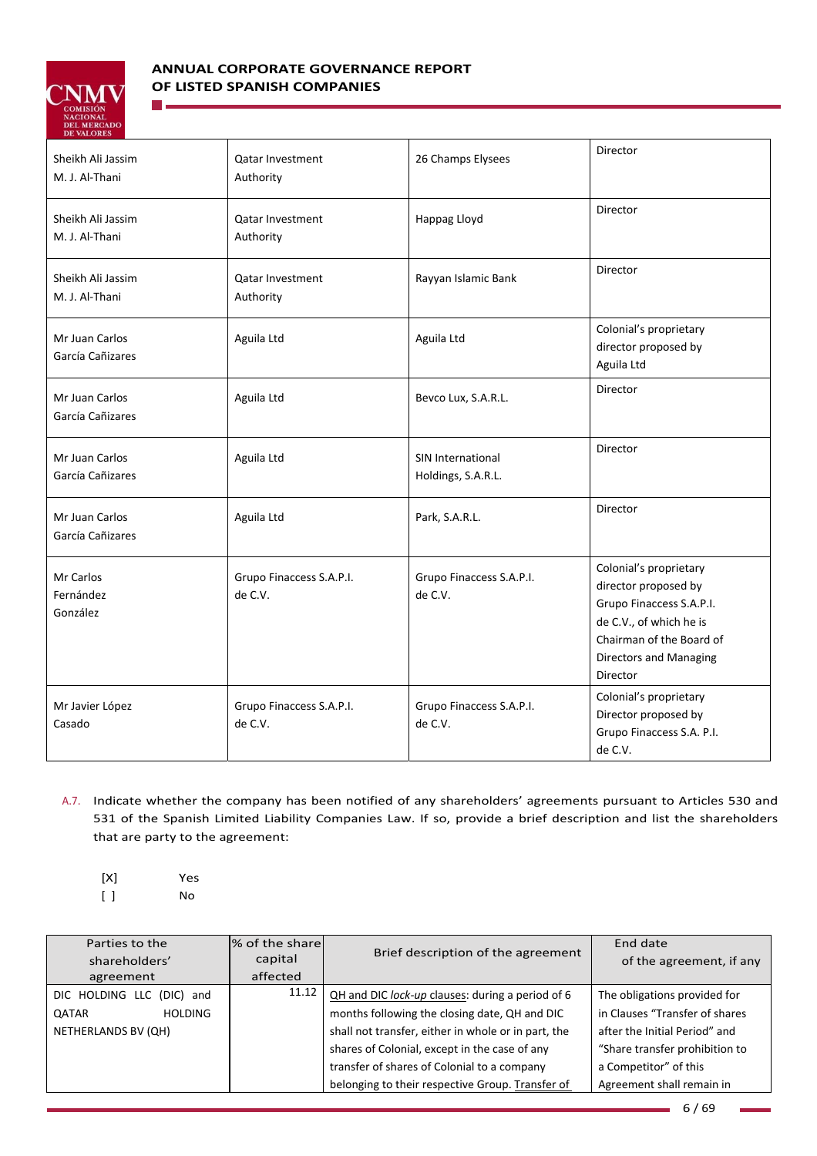

n L

# **ANNUAL CORPORATE GOVERNANCE REPORT OF LISTED SPANISH COMPANIES**

| DE VALORES                          |                                      |                                         |                                                                                                                                                                                |
|-------------------------------------|--------------------------------------|-----------------------------------------|--------------------------------------------------------------------------------------------------------------------------------------------------------------------------------|
| Sheikh Ali Jassim<br>M. J. Al-Thani | <b>Qatar Investment</b><br>Authority | 26 Champs Elysees                       | Director                                                                                                                                                                       |
| Sheikh Ali Jassim<br>M. J. Al-Thani | <b>Qatar Investment</b><br>Authority | Happag Lloyd                            | Director                                                                                                                                                                       |
| Sheikh Ali Jassim<br>M. J. Al-Thani | <b>Qatar Investment</b><br>Authority | Rayyan Islamic Bank                     | Director                                                                                                                                                                       |
| Mr Juan Carlos<br>García Cañizares  | Aguila Ltd                           | Aguila Ltd                              | Colonial's proprietary<br>director proposed by<br>Aguila Ltd                                                                                                                   |
| Mr Juan Carlos<br>García Cañizares  | Aguila Ltd                           | Bevco Lux, S.A.R.L.                     | Director                                                                                                                                                                       |
| Mr Juan Carlos<br>García Cañizares  | Aguila Ltd                           | SIN International<br>Holdings, S.A.R.L. | Director                                                                                                                                                                       |
| Mr Juan Carlos<br>García Cañizares  | Aguila Ltd                           | Park, S.A.R.L.                          | Director                                                                                                                                                                       |
| Mr Carlos<br>Fernández<br>González  | Grupo Finaccess S.A.P.I.<br>de C.V.  | Grupo Finaccess S.A.P.I.<br>de C.V.     | Colonial's proprietary<br>director proposed by<br>Grupo Finaccess S.A.P.I.<br>de C.V., of which he is<br>Chairman of the Board of<br><b>Directors and Managing</b><br>Director |
| Mr Javier López<br>Casado           | Grupo Finaccess S.A.P.I.<br>de C.V.  | Grupo Finaccess S.A.P.I.<br>de C.V.     | Colonial's proprietary<br>Director proposed by<br>Grupo Finaccess S.A. P.I.<br>de C.V.                                                                                         |

- A.7. Indicate whether the company has been notified of any shareholders' agreements pursuant to Articles 530 and 531 of the Spanish Limited Liability Companies Law. If so, provide a brief description and list the shareholders that are party to the agreement:
	- [X] Yes [ ] No

| Parties to the                 | % of the share | Brief description of the agreement                  | End date                       |
|--------------------------------|----------------|-----------------------------------------------------|--------------------------------|
| shareholders'                  | capital        |                                                     | of the agreement, if any       |
| agreement                      | affected       |                                                     |                                |
| DIC HOLDING LLC (DIC) and      | 11.12          | QH and DIC lock-up clauses: during a period of 6    | The obligations provided for   |
| <b>HOLDING</b><br><b>QATAR</b> |                | months following the closing date, QH and DIC       | in Clauses "Transfer of shares |
| NETHERLANDS BV (QH)            |                | shall not transfer, either in whole or in part, the | after the Initial Period" and  |
|                                |                | shares of Colonial, except in the case of any       | "Share transfer prohibition to |
|                                |                | transfer of shares of Colonial to a company         | a Competitor" of this          |
|                                |                | belonging to their respective Group. Transfer of    | Agreement shall remain in      |

6 / 69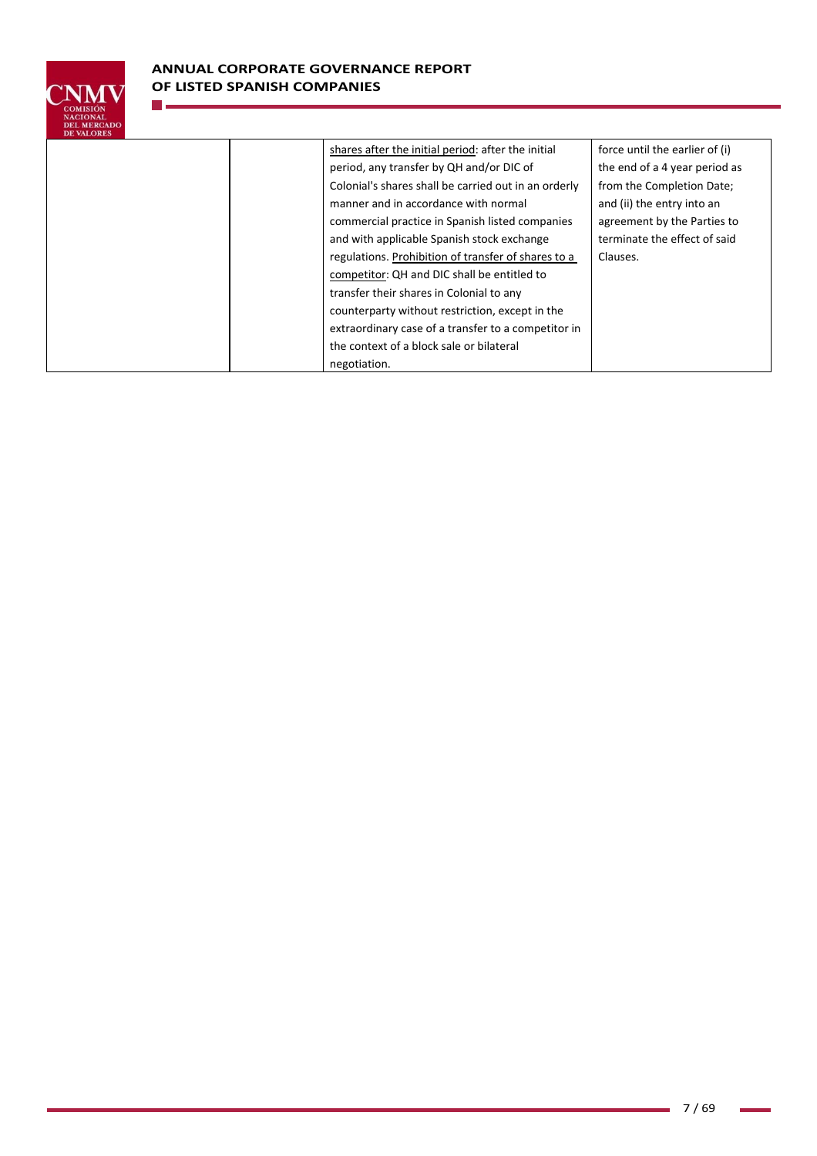

n.

|  | shares after the initial period: after the initial   | force until the earlier of (i) |
|--|------------------------------------------------------|--------------------------------|
|  | period, any transfer by QH and/or DIC of             | the end of a 4 year period as  |
|  | Colonial's shares shall be carried out in an orderly | from the Completion Date;      |
|  | manner and in accordance with normal                 | and (ii) the entry into an     |
|  | commercial practice in Spanish listed companies      | agreement by the Parties to    |
|  | and with applicable Spanish stock exchange           | terminate the effect of said   |
|  | regulations. Prohibition of transfer of shares to a  | Clauses.                       |
|  | competitor: QH and DIC shall be entitled to          |                                |
|  | transfer their shares in Colonial to any             |                                |
|  | counterparty without restriction, except in the      |                                |
|  | extraordinary case of a transfer to a competitor in  |                                |
|  | the context of a block sale or bilateral             |                                |
|  | negotiation.                                         |                                |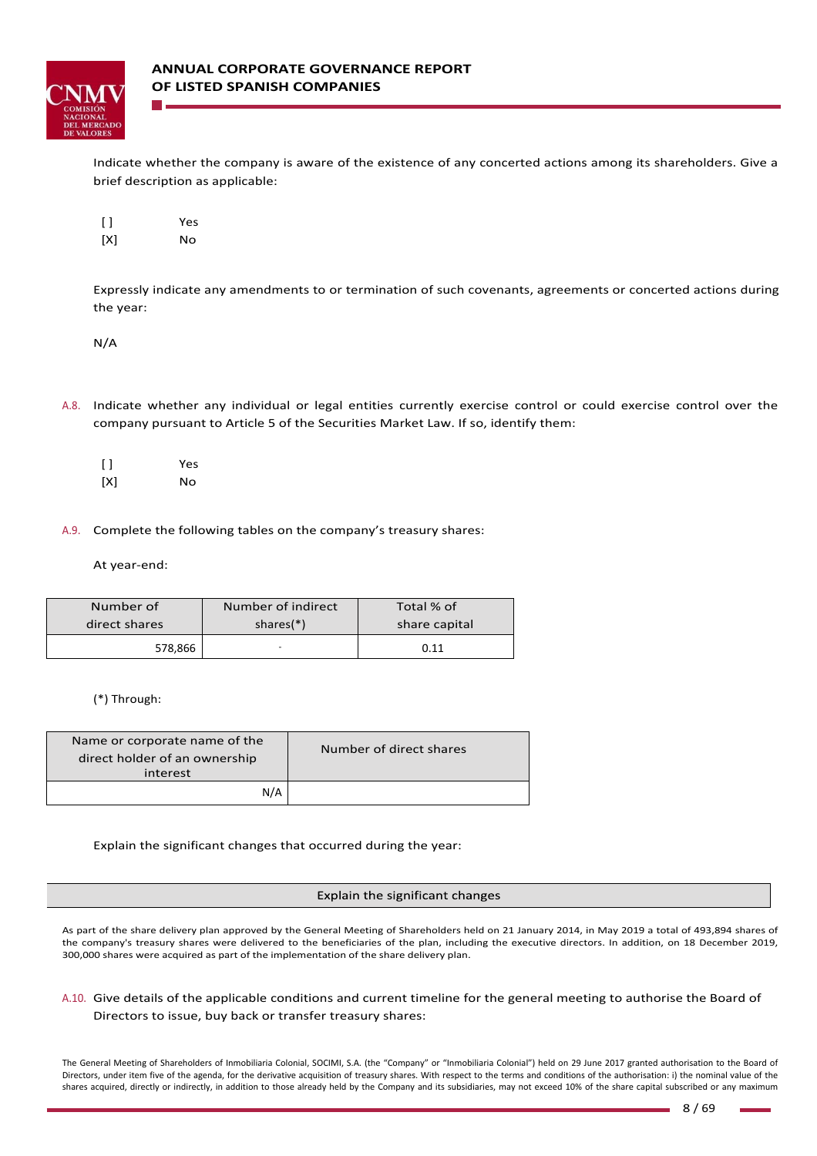

Indicate whether the company is aware of the existence of any concerted actions among its shareholders. Give a brief description as applicable:

[ ] Yes [X] No

Expressly indicate any amendments to or termination of such covenants, agreements or concerted actions during the year:

N/A

A.8. Indicate whether any individual or legal entities currently exercise control or could exercise control over the company pursuant to Article 5 of the Securities Market Law. If so, identify them:

[ ] Yes [X] No

A.9. Complete the following tables on the company's treasury shares:

At year‐end:

| Number of     | Number of indirect | Total % of    |
|---------------|--------------------|---------------|
| direct shares | shares $(*)$       | share capital |
| 578,866       | -                  | 0.11          |

(\*) Through:

| Name or corporate name of the<br>direct holder of an ownership<br>interest | Number of direct shares |
|----------------------------------------------------------------------------|-------------------------|
| N/A                                                                        |                         |

Explain the significant changes that occurred during the year:

#### Explain the significant changes

As part of the share delivery plan approved by the General Meeting of Shareholders held on 21 January 2014, in May 2019 a total of 493,894 shares of the company's treasury shares were delivered to the beneficiaries of the plan, including the executive directors. In addition, on 18 December 2019, 300,000 shares were acquired as part of the implementation of the share delivery plan.

## A.10. Give details of the applicable conditions and current timeline for the general meeting to authorise the Board of Directors to issue, buy back or transfer treasury shares:

The General Meeting of Shareholders of Inmobiliaria Colonial, SOCIMI, S.A. (the "Company" or "Inmobiliaria Colonial") held on 29 June 2017 granted authorisation to the Board of Directors, under item five of the agenda, for the derivative acquisition of treasury shares. With respect to the terms and conditions of the authorisation: i) the nominal value of the shares acquired, directly or indirectly, in addition to those already held by the Company and its subsidiaries, may not exceed 10% of the share capital subscribed or any maximum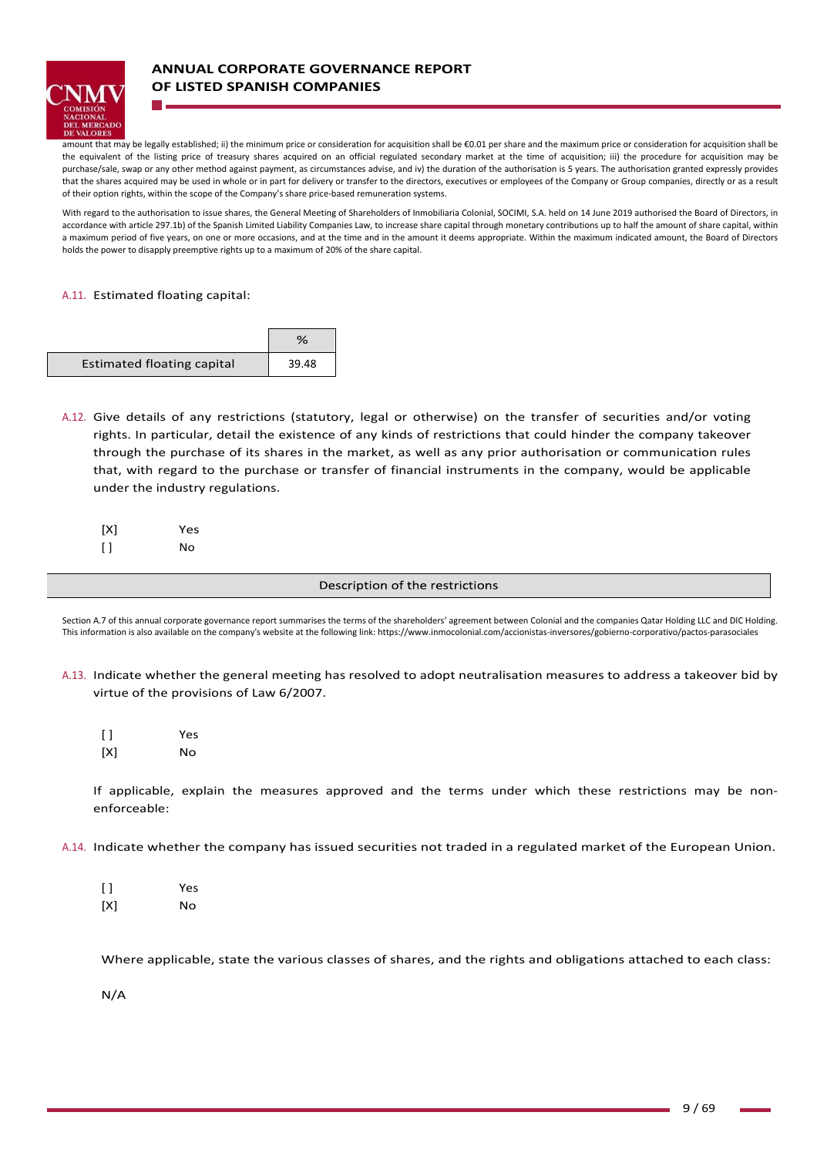

# **ANNUAL CORPORATE GOVERNANCE REPORT OF LISTED SPANISH COMPANIES**

amount that may be legally established; ii) the minimum price or consideration for acquisition shall be €0.01 per share and the maximum price or consideration for acquisition shall be the equivalent of the listing price of treasury shares acquired on an official regulated secondary market at the time of acquisition; iii) the procedure for acquisition may be purchase/sale, swap or any other method against payment, as circumstances advise, and iv) the duration of the authorisation is 5 years. The authorisation granted expressly provides that the shares acquired may be used in whole or in part for delivery or transfer to the directors, executives or employees of the Company or Group companies, directly or as a result of their option rights, within the scope of the Company's share price‐based remuneration systems.

With regard to the authorisation to issue shares, the General Meeting of Shareholders of Inmobiliaria Colonial, SOCIMI, S.A. held on 14 June 2019 authorised the Board of Directors, in accordance with article 297.1b) of the Spanish Limited Liability Companies Law, to increase share capital through monetary contributions up to half the amount of share capital, within a maximum period of five years, on one or more occasions, and at the time and in the amount it deems appropriate. Within the maximum indicated amount, the Board of Directors holds the power to disapply preemptive rights up to a maximum of 20% of the share capital.

### A.11. Estimated floating capital:

|                                   | %     |
|-----------------------------------|-------|
| <b>Estimated floating capital</b> | 39.48 |

A.12. Give details of any restrictions (statutory, legal or otherwise) on the transfer of securities and/or voting rights. In particular, detail the existence of any kinds of restrictions that could hinder the company takeover through the purchase of its shares in the market, as well as any prior authorisation or communication rules that, with regard to the purchase or transfer of financial instruments in the company, would be applicable under the industry regulations.

| [X]                  | Yes |
|----------------------|-----|
| $\lbrack \, \rbrack$ | Nο  |

#### Description of the restrictions

Section A.7 of this annual corporate governance report summarises the terms of the shareholders' agreement between Colonial and the companies Qatar Holding LLC and DIC Holding. This information is also available on the company's website at the following link: https://www.inmocolonial.com/accionistas-inversores/gobierno-corporativo/pactos-parasociales

- A.13. Indicate whether the general meeting has resolved to adopt neutralisation measures to address a takeover bid by virtue of the provisions of Law 6/2007.
	- [ ] Yes [X] No

If applicable, explain the measures approved and the terms under which these restrictions may be nonenforceable:

- A.14. Indicate whether the company has issued securities not traded in a regulated market of the European Union.
	- [ ] Yes [X] No

Where applicable, state the various classes of shares, and the rights and obligations attached to each class:

N/A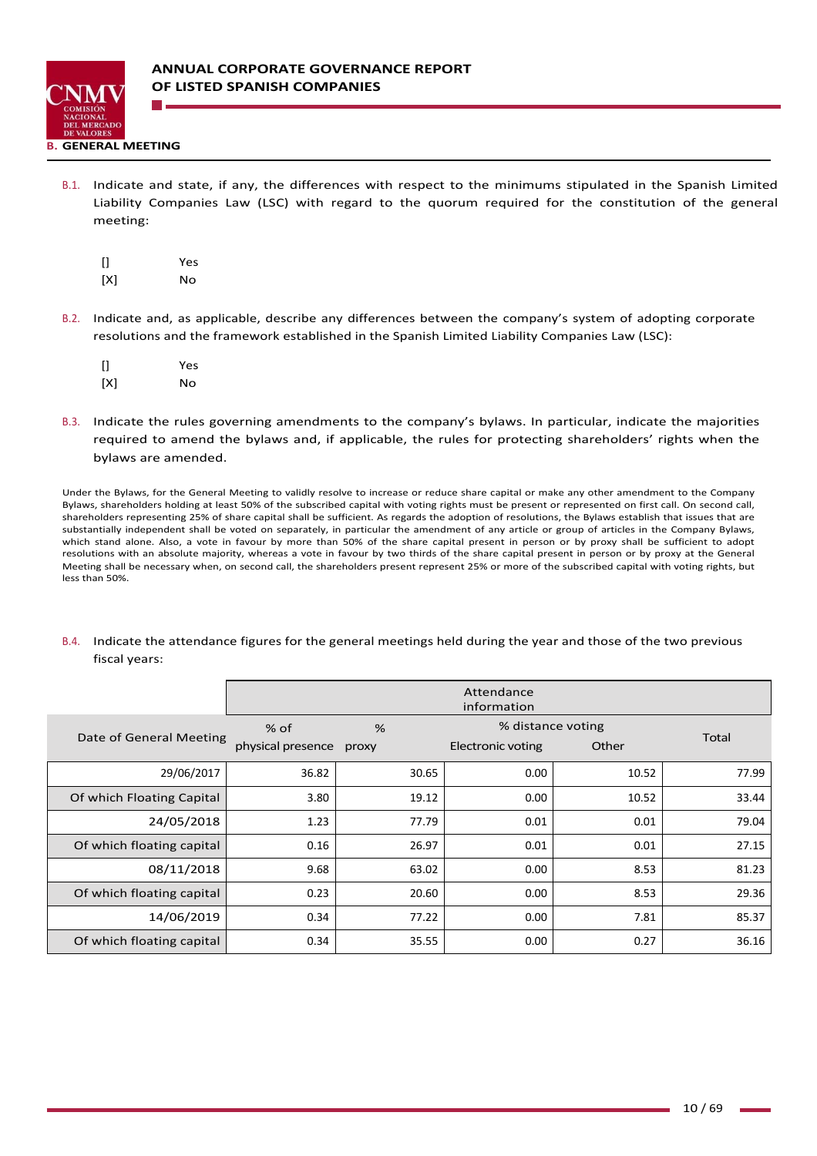

B.1. Indicate and state, if any, the differences with respect to the minimums stipulated in the Spanish Limited Liability Companies Law (LSC) with regard to the quorum required for the constitution of the general meeting:

| []  | Yes |
|-----|-----|
| [X] | Nο  |

B.2. Indicate and, as applicable, describe any differences between the company's system of adopting corporate resolutions and the framework established in the Spanish Limited Liability Companies Law (LSC):

| []  | Yes |
|-----|-----|
| [X] | Nο  |

B.3. Indicate the rules governing amendments to the company's bylaws. In particular, indicate the majorities required to amend the bylaws and, if applicable, the rules for protecting shareholders' rights when the bylaws are amended.

Under the Bylaws, for the General Meeting to validly resolve to increase or reduce share capital or make any other amendment to the Company Bylaws, shareholders holding at least 50% of the subscribed capital with voting rights must be present or represented on first call. On second call, shareholders representing 25% of share capital shall be sufficient. As regards the adoption of resolutions, the Bylaws establish that issues that are substantially independent shall be voted on separately, in particular the amendment of any article or group of articles in the Company Bylaws, which stand alone. Also, a vote in favour by more than 50% of the share capital present in person or by proxy shall be sufficient to adopt resolutions with an absolute majority, whereas a vote in favour by two thirds of the share capital present in person or by proxy at the General Meeting shall be necessary when, on second call, the shareholders present represent 25% or more of the subscribed capital with voting rights, but less than 50%.

## B.4. Indicate the attendance figures for the general meetings held during the year and those of the two previous fiscal years:

|                           | Attendance<br>information   |            |                                        |       |       |
|---------------------------|-----------------------------|------------|----------------------------------------|-------|-------|
| Date of General Meeting   | $%$ of<br>physical presence | %<br>proxy | % distance voting<br>Electronic voting | Other | Total |
| 29/06/2017                | 36.82                       | 30.65      | 0.00                                   | 10.52 | 77.99 |
| Of which Floating Capital | 3.80                        | 19.12      | 0.00                                   | 10.52 | 33.44 |
| 24/05/2018                | 1.23                        | 77.79      | 0.01                                   | 0.01  | 79.04 |
| Of which floating capital | 0.16                        | 26.97      | 0.01                                   | 0.01  | 27.15 |
| 08/11/2018                | 9.68                        | 63.02      | 0.00                                   | 8.53  | 81.23 |
| Of which floating capital | 0.23                        | 20.60      | 0.00                                   | 8.53  | 29.36 |
| 14/06/2019                | 0.34                        | 77.22      | 0.00                                   | 7.81  | 85.37 |
| Of which floating capital | 0.34                        | 35.55      | 0.00                                   | 0.27  | 36.16 |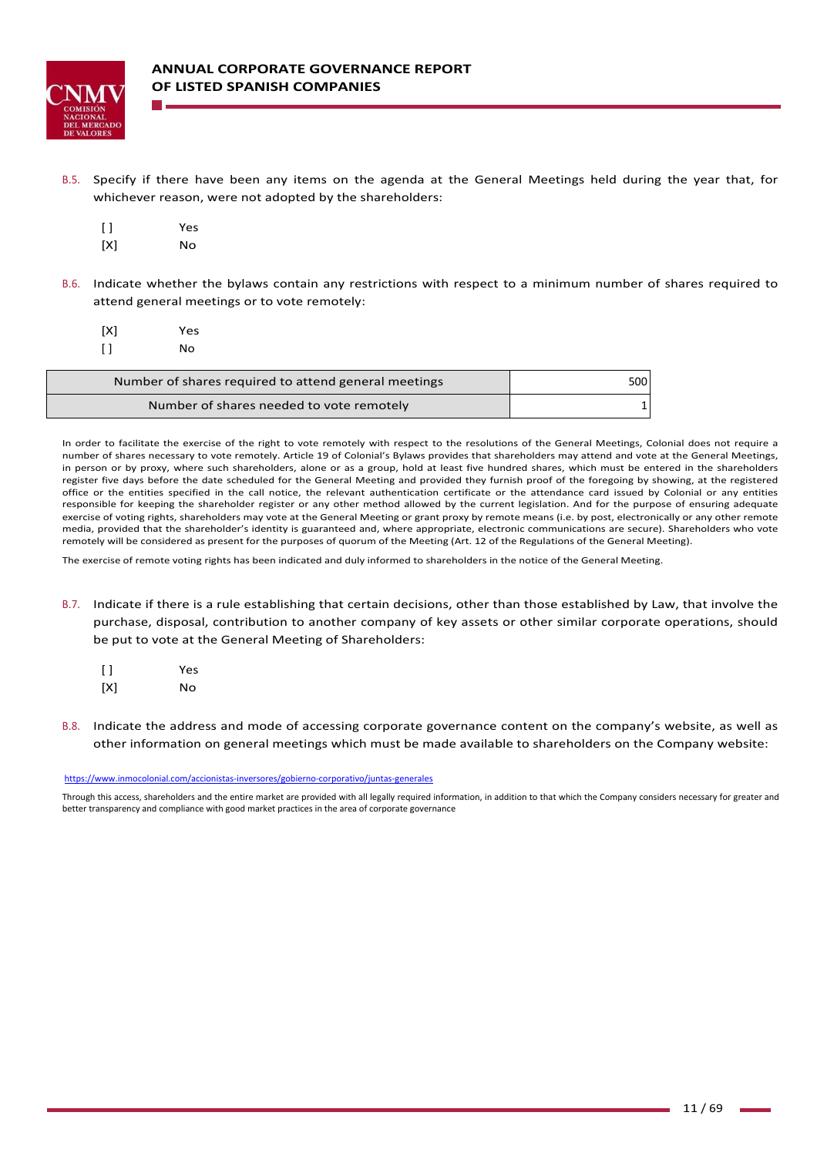

B.5. Specify if there have been any items on the agenda at the General Meetings held during the year that, for whichever reason, were not adopted by the shareholders:

| $\lceil$ $\rceil$ | Yes |
|-------------------|-----|
| [X]               | Nο  |

B.6. Indicate whether the bylaws contain any restrictions with respect to a minimum number of shares required to attend general meetings or to vote remotely:

| [X]    | Yes |  |
|--------|-----|--|
| $\Box$ | No  |  |
|        |     |  |

| Number of shares required to attend general meetings | 500 <sup>1</sup> |
|------------------------------------------------------|------------------|
| Number of shares needed to vote remotely             |                  |

In order to facilitate the exercise of the right to vote remotely with respect to the resolutions of the General Meetings, Colonial does not require a number of shares necessary to vote remotely. Article 19 of Colonial's Bylaws provides that shareholders may attend and vote at the General Meetings, in person or by proxy, where such shareholders, alone or as a group, hold at least five hundred shares, which must be entered in the shareholders register five days before the date scheduled for the General Meeting and provided they furnish proof of the foregoing by showing, at the registered office or the entities specified in the call notice, the relevant authentication certificate or the attendance card issued by Colonial or any entities responsible for keeping the shareholder register or any other method allowed by the current legislation. And for the purpose of ensuring adequate exercise of voting rights, shareholders may vote at the General Meeting or grant proxy by remote means (i.e. by post, electronically or any other remote media, provided that the shareholder's identity is guaranteed and, where appropriate, electronic communications are secure). Shareholders who vote remotely will be considered as present for the purposes of quorum of the Meeting (Art. 12 of the Regulations of the General Meeting).

The exercise of remote voting rights has been indicated and duly informed to shareholders in the notice of the General Meeting.

- B.7. Indicate if there is a rule establishing that certain decisions, other than those established by Law, that involve the purchase, disposal, contribution to another company of key assets or other similar corporate operations, should be put to vote at the General Meeting of Shareholders:
	- [ ] Yes [X] No
- B.8. Indicate the address and mode of accessing corporate governance content on the company's website, as well as other information on general meetings which must be made available to shareholders on the Company website:

https://www.inmocolonial.com/accionistas‐inversores/gobierno‐corporativo/juntas‐generales

Through this access, shareholders and the entire market are provided with all legally required information, in addition to that which the Company considers necessary for greater and better transparency and compliance with good market practices in the area of corporate governance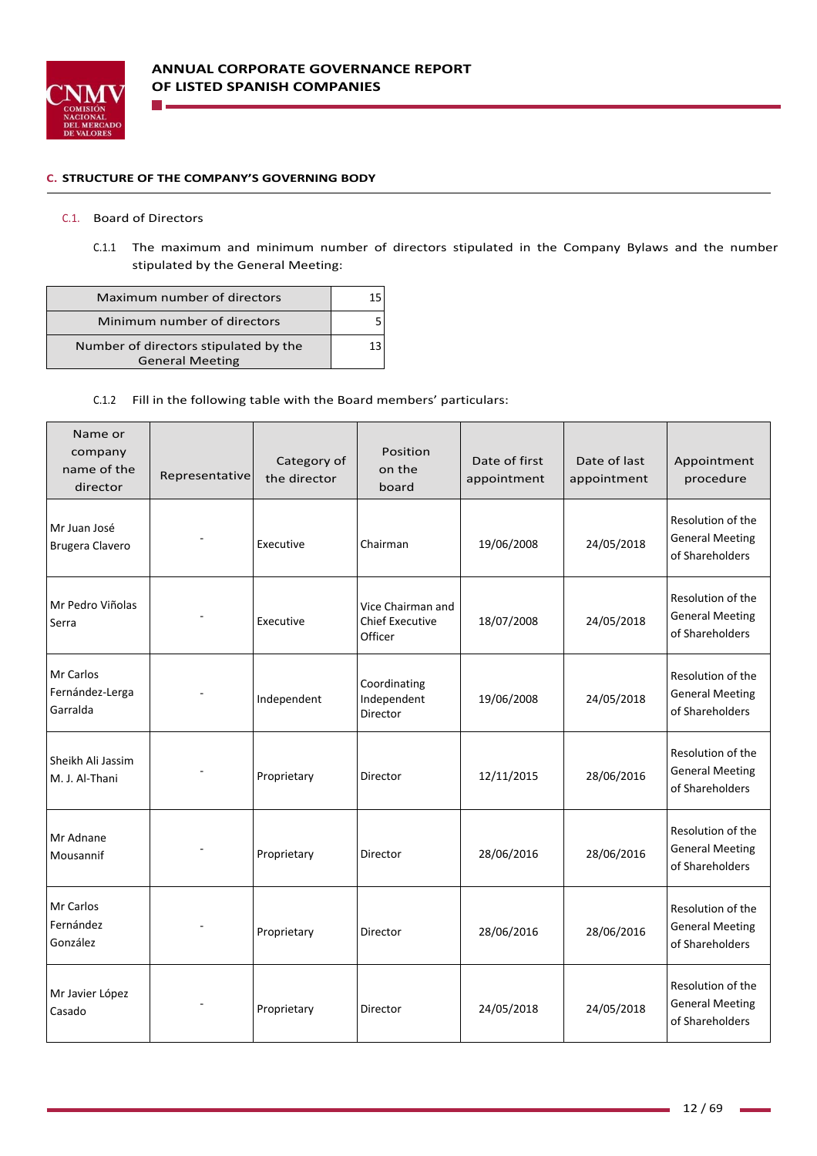

### **C. STRUCTURE OF THE COMPANY'S GOVERNING BODY**

### C.1. Board of Directors

n.

C.1.1 The maximum and minimum number of directors stipulated in the Company Bylaws and the number stipulated by the General Meeting:

| Maximum number of directors                                     |    |
|-----------------------------------------------------------------|----|
| Minimum number of directors                                     |    |
| Number of directors stipulated by the<br><b>General Meeting</b> | 13 |

## C.1.2 Fill in the following table with the Board members' particulars:

| Name or<br>company<br>name of the<br>director | Representative | Category of<br>the director | Position<br>on the<br>board                            | Date of first<br>appointment | Date of last<br>appointment | Appointment<br>procedure                                       |
|-----------------------------------------------|----------------|-----------------------------|--------------------------------------------------------|------------------------------|-----------------------------|----------------------------------------------------------------|
| Mr Juan José<br>Brugera Clavero               |                | Executive                   | Chairman                                               | 19/06/2008                   | 24/05/2018                  | Resolution of the<br><b>General Meeting</b><br>of Shareholders |
| Mr Pedro Viñolas<br>Serra                     |                | Executive                   | Vice Chairman and<br><b>Chief Executive</b><br>Officer | 18/07/2008                   | 24/05/2018                  | Resolution of the<br><b>General Meeting</b><br>of Shareholders |
| Mr Carlos<br>Fernández-Lerga<br>Garralda      |                | Independent                 | Coordinating<br>Independent<br>Director                | 19/06/2008                   | 24/05/2018                  | Resolution of the<br><b>General Meeting</b><br>of Shareholders |
| Sheikh Ali Jassim<br>M. J. Al-Thani           |                | Proprietary                 | Director                                               | 12/11/2015                   | 28/06/2016                  | Resolution of the<br><b>General Meeting</b><br>of Shareholders |
| Mr Adnane<br>Mousannif                        |                | Proprietary                 | Director                                               | 28/06/2016                   | 28/06/2016                  | Resolution of the<br><b>General Meeting</b><br>of Shareholders |
| Mr Carlos<br>Fernández<br>González            |                | Proprietary                 | Director                                               | 28/06/2016                   | 28/06/2016                  | Resolution of the<br><b>General Meeting</b><br>of Shareholders |
| Mr Javier López<br>Casado                     |                | Proprietary                 | Director                                               | 24/05/2018                   | 24/05/2018                  | Resolution of the<br><b>General Meeting</b><br>of Shareholders |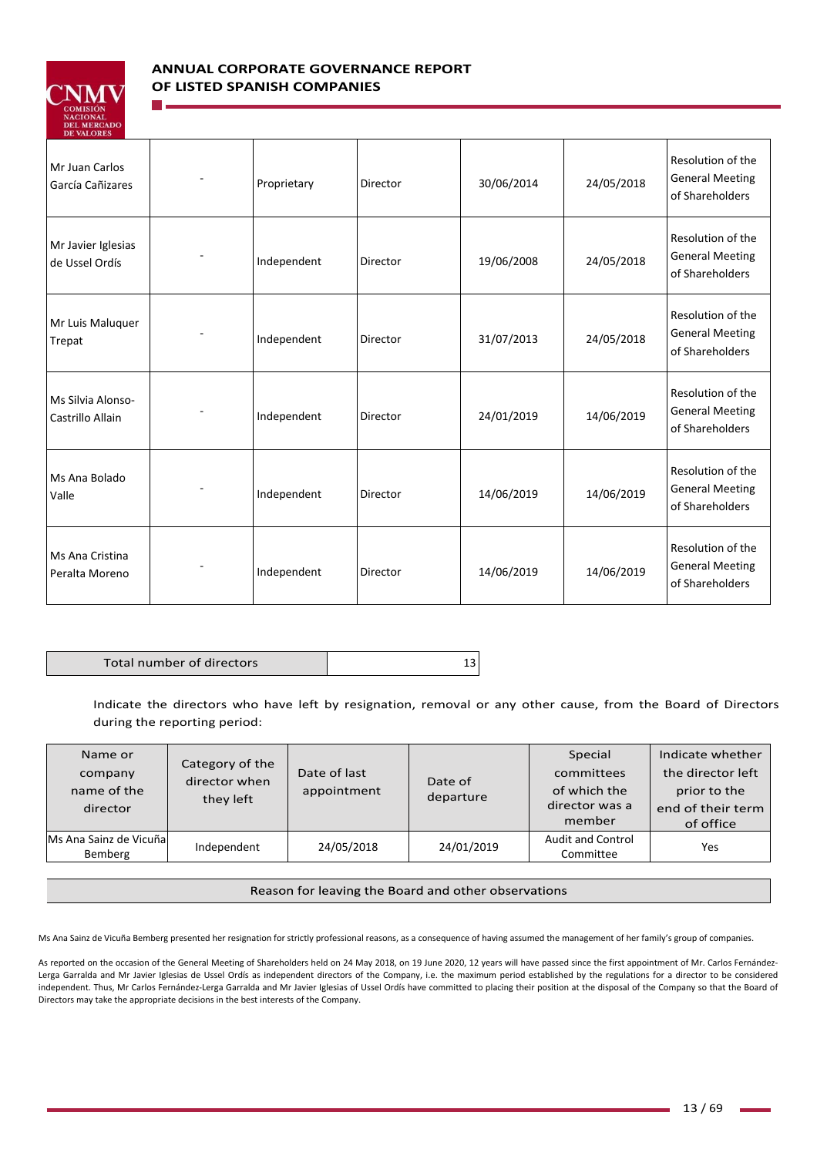

# **ANNUAL CORPORATE GOVERNANCE REPORT OF LISTED SPANISH COMPANIES**

| <b>DE VALUALS</b>                     |             |          |            |            |                                                                |
|---------------------------------------|-------------|----------|------------|------------|----------------------------------------------------------------|
| Mr Juan Carlos<br>García Cañizares    | Proprietary | Director | 30/06/2014 | 24/05/2018 | Resolution of the<br><b>General Meeting</b><br>of Shareholders |
| Mr Javier Iglesias<br>de Ussel Ordís  | Independent | Director | 19/06/2008 | 24/05/2018 | Resolution of the<br><b>General Meeting</b><br>of Shareholders |
| Mr Luis Maluquer<br>Trepat            | Independent | Director | 31/07/2013 | 24/05/2018 | Resolution of the<br><b>General Meeting</b><br>of Shareholders |
| Ms Silvia Alonso-<br>Castrillo Allain | Independent | Director | 24/01/2019 | 14/06/2019 | Resolution of the<br><b>General Meeting</b><br>of Shareholders |
| Ms Ana Bolado<br>Valle                | Independent | Director | 14/06/2019 | 14/06/2019 | Resolution of the<br><b>General Meeting</b><br>of Shareholders |
| Ms Ana Cristina<br>Peralta Moreno     | Independent | Director | 14/06/2019 | 14/06/2019 | Resolution of the<br><b>General Meeting</b><br>of Shareholders |

Total number of directors and the state of the 13

Indicate the directors who have left by resignation, removal or any other cause, from the Board of Directors during the reporting period:

| Name or<br>company<br>name of the<br>director | Category of the<br>director when<br>they left | Date of last<br>appointment | Date of<br>departure | Special<br>committees<br>of which the<br>director was a<br>member | Indicate whether<br>the director left<br>prior to the<br>end of their term<br>of office |
|-----------------------------------------------|-----------------------------------------------|-----------------------------|----------------------|-------------------------------------------------------------------|-----------------------------------------------------------------------------------------|
| Ms Ana Sainz de Vicuñal<br>Bemberg            | Independent                                   | 24/05/2018                  | 24/01/2019           | <b>Audit and Control</b><br>Committee                             | Yes                                                                                     |

### Reason for leaving the Board and other observations

Ms Ana Sainz de Vicuña Bemberg presented her resignation for strictly professional reasons, as a consequence of having assumed the management of her family's group of companies.

As reported on the occasion of the General Meeting of Shareholders held on 24 May 2018, on 19 June 2020, 12 years will have passed since the first appointment of Mr. Carlos Fernández-Lerga Garralda and Mr Javier Iglesias de Ussel Ordís as independent directors of the Company, i.e. the maximum period established by the regulations for a director to be considered independent. Thus, Mr Carlos Fernández‐Lerga Garralda and Mr Javier Iglesias of Ussel Ordís have committed to placing their position at the disposal of the Company so that the Board of Directors may take the appropriate decisions in the best interests of the Company.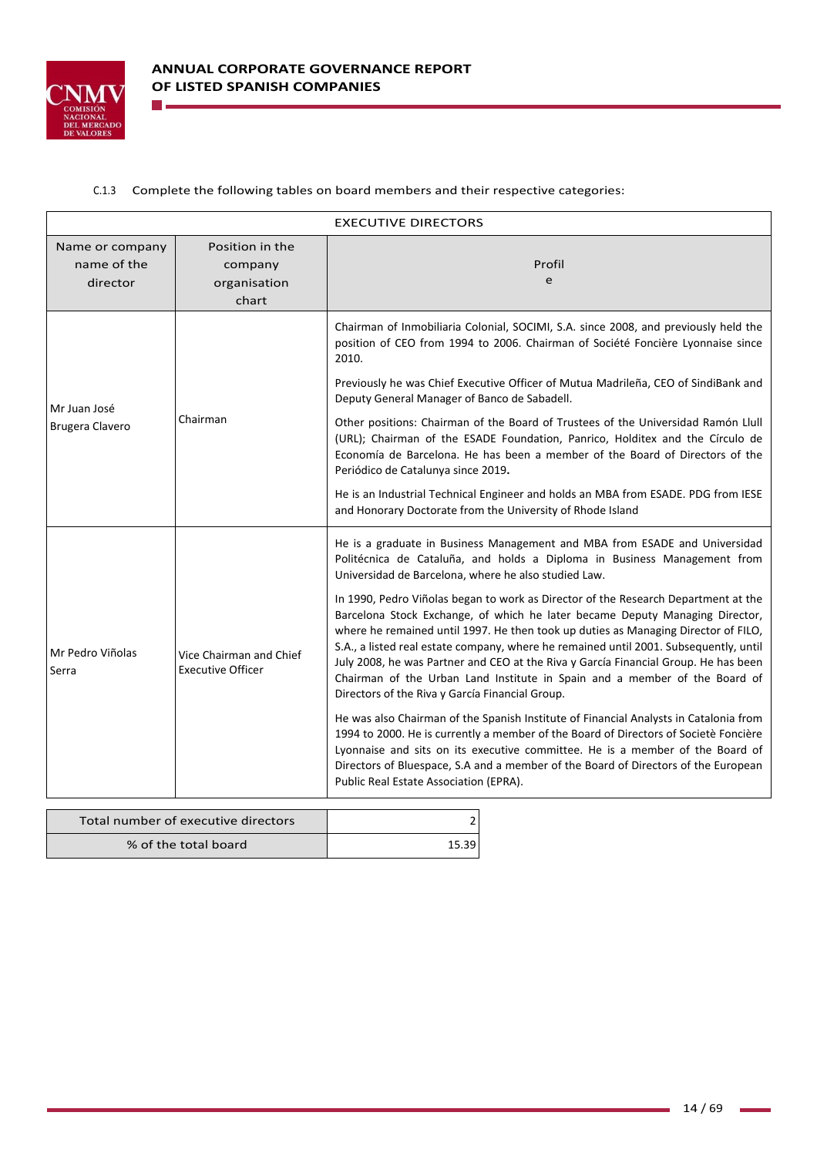

**College** 

## C.1.3 Complete the following tables on board members and their respective categories:

| <b>EXECUTIVE DIRECTORS</b>                 |                                                     |                                                                                                                                                                                                                                                                                                                                                                                                                                                                                                                                                                           |  |
|--------------------------------------------|-----------------------------------------------------|---------------------------------------------------------------------------------------------------------------------------------------------------------------------------------------------------------------------------------------------------------------------------------------------------------------------------------------------------------------------------------------------------------------------------------------------------------------------------------------------------------------------------------------------------------------------------|--|
| Name or company<br>name of the<br>director | Position in the<br>company<br>organisation<br>chart | Profil<br>e                                                                                                                                                                                                                                                                                                                                                                                                                                                                                                                                                               |  |
| Mr Juan José<br><b>Brugera Clavero</b>     | Chairman                                            | Chairman of Inmobiliaria Colonial, SOCIMI, S.A. since 2008, and previously held the<br>position of CEO from 1994 to 2006. Chairman of Société Foncière Lyonnaise since<br>2010.<br>Previously he was Chief Executive Officer of Mutua Madrileña, CEO of SindiBank and<br>Deputy General Manager of Banco de Sabadell.                                                                                                                                                                                                                                                     |  |
|                                            |                                                     | Other positions: Chairman of the Board of Trustees of the Universidad Ramón Llull<br>(URL); Chairman of the ESADE Foundation, Panrico, Holditex and the Círculo de<br>Economía de Barcelona. He has been a member of the Board of Directors of the<br>Periódico de Catalunya since 2019.                                                                                                                                                                                                                                                                                  |  |
|                                            |                                                     | He is an Industrial Technical Engineer and holds an MBA from ESADE. PDG from IESE<br>and Honorary Doctorate from the University of Rhode Island                                                                                                                                                                                                                                                                                                                                                                                                                           |  |
| Mr Pedro Viñolas<br>Serra                  | Vice Chairman and Chief<br><b>Executive Officer</b> | He is a graduate in Business Management and MBA from ESADE and Universidad<br>Politécnica de Cataluña, and holds a Diploma in Business Management from<br>Universidad de Barcelona, where he also studied Law.                                                                                                                                                                                                                                                                                                                                                            |  |
|                                            |                                                     | In 1990, Pedro Viñolas began to work as Director of the Research Department at the<br>Barcelona Stock Exchange, of which he later became Deputy Managing Director,<br>where he remained until 1997. He then took up duties as Managing Director of FILO,<br>S.A., a listed real estate company, where he remained until 2001. Subsequently, until<br>July 2008, he was Partner and CEO at the Riva y García Financial Group. He has been<br>Chairman of the Urban Land Institute in Spain and a member of the Board of<br>Directors of the Riva y García Financial Group. |  |
|                                            |                                                     | He was also Chairman of the Spanish Institute of Financial Analysts in Catalonia from<br>1994 to 2000. He is currently a member of the Board of Directors of Societè Foncière<br>Lyonnaise and sits on its executive committee. He is a member of the Board of<br>Directors of Bluespace, S.A and a member of the Board of Directors of the European<br>Public Real Estate Association (EPRA).                                                                                                                                                                            |  |
|                                            |                                                     |                                                                                                                                                                                                                                                                                                                                                                                                                                                                                                                                                                           |  |

| Total number of executive directors |       |
|-------------------------------------|-------|
| % of the total board                | 15.39 |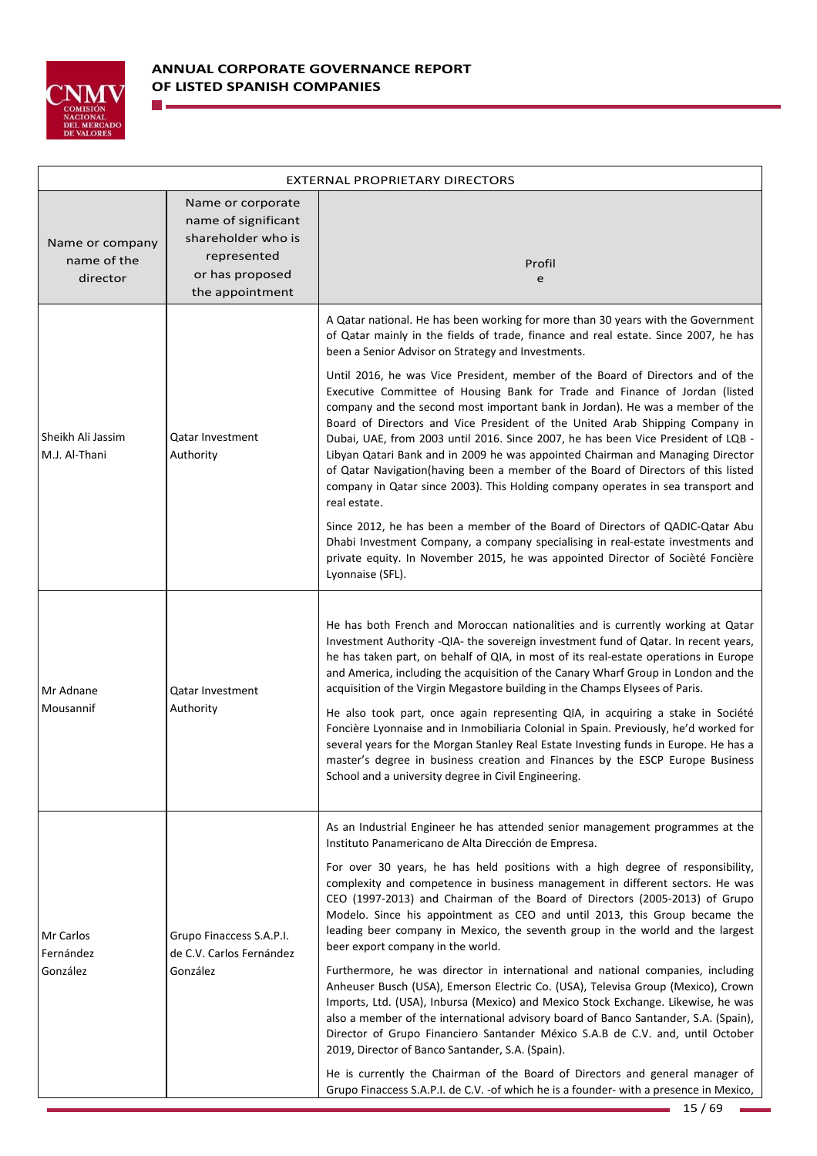

**The Co** 

| EXTERNAL PROPRIETARY DIRECTORS             |                                                                                                                     |                                                                                                                                                                                                                                                                                                                                                                                                                                                                                                                                                                                                                                                                                                                                                                                                                                                                                                                                                                                                                                                                                                                                                                                                                                                                   |  |
|--------------------------------------------|---------------------------------------------------------------------------------------------------------------------|-------------------------------------------------------------------------------------------------------------------------------------------------------------------------------------------------------------------------------------------------------------------------------------------------------------------------------------------------------------------------------------------------------------------------------------------------------------------------------------------------------------------------------------------------------------------------------------------------------------------------------------------------------------------------------------------------------------------------------------------------------------------------------------------------------------------------------------------------------------------------------------------------------------------------------------------------------------------------------------------------------------------------------------------------------------------------------------------------------------------------------------------------------------------------------------------------------------------------------------------------------------------|--|
| Name or company<br>name of the<br>director | Name or corporate<br>name of significant<br>shareholder who is<br>represented<br>or has proposed<br>the appointment | Profil<br>e                                                                                                                                                                                                                                                                                                                                                                                                                                                                                                                                                                                                                                                                                                                                                                                                                                                                                                                                                                                                                                                                                                                                                                                                                                                       |  |
| Sheikh Ali Jassim<br>M.J. Al-Thani         | Qatar Investment<br>Authority                                                                                       | A Qatar national. He has been working for more than 30 years with the Government<br>of Qatar mainly in the fields of trade, finance and real estate. Since 2007, he has<br>been a Senior Advisor on Strategy and Investments.<br>Until 2016, he was Vice President, member of the Board of Directors and of the<br>Executive Committee of Housing Bank for Trade and Finance of Jordan (listed<br>company and the second most important bank in Jordan). He was a member of the<br>Board of Directors and Vice President of the United Arab Shipping Company in<br>Dubai, UAE, from 2003 until 2016. Since 2007, he has been Vice President of LQB -<br>Libyan Qatari Bank and in 2009 he was appointed Chairman and Managing Director<br>of Qatar Navigation(having been a member of the Board of Directors of this listed<br>company in Qatar since 2003). This Holding company operates in sea transport and<br>real estate.<br>Since 2012, he has been a member of the Board of Directors of QADIC-Qatar Abu<br>Dhabi Investment Company, a company specialising in real-estate investments and<br>private equity. In November 2015, he was appointed Director of Socièté Foncière<br>Lyonnaise (SFL).                                                        |  |
| Mr Adnane<br>Mousannif                     | Qatar Investment<br>Authority                                                                                       | He has both French and Moroccan nationalities and is currently working at Qatar<br>Investment Authority - QIA- the sovereign investment fund of Qatar. In recent years,<br>he has taken part, on behalf of QIA, in most of its real-estate operations in Europe<br>and America, including the acquisition of the Canary Wharf Group in London and the<br>acquisition of the Virgin Megastore building in the Champs Elysees of Paris.<br>He also took part, once again representing QIA, in acquiring a stake in Société<br>Foncière Lyonnaise and in Inmobiliaria Colonial in Spain. Previously, he'd worked for<br>several years for the Morgan Stanley Real Estate Investing funds in Europe. He has a<br>master's degree in business creation and Finances by the ESCP Europe Business<br>School and a university degree in Civil Engineering.                                                                                                                                                                                                                                                                                                                                                                                                                |  |
| Mr Carlos<br>Fernández<br>González         | Grupo Finaccess S.A.P.I.<br>de C.V. Carlos Fernández<br>González                                                    | As an Industrial Engineer he has attended senior management programmes at the<br>Instituto Panamericano de Alta Dirección de Empresa.<br>For over 30 years, he has held positions with a high degree of responsibility,<br>complexity and competence in business management in different sectors. He was<br>CEO (1997-2013) and Chairman of the Board of Directors (2005-2013) of Grupo<br>Modelo. Since his appointment as CEO and until 2013, this Group became the<br>leading beer company in Mexico, the seventh group in the world and the largest<br>beer export company in the world.<br>Furthermore, he was director in international and national companies, including<br>Anheuser Busch (USA), Emerson Electric Co. (USA), Televisa Group (Mexico), Crown<br>Imports, Ltd. (USA), Inbursa (Mexico) and Mexico Stock Exchange. Likewise, he was<br>also a member of the international advisory board of Banco Santander, S.A. (Spain),<br>Director of Grupo Financiero Santander México S.A.B de C.V. and, until October<br>2019, Director of Banco Santander, S.A. (Spain).<br>He is currently the Chairman of the Board of Directors and general manager of<br>Grupo Finaccess S.A.P.I. de C.V. - of which he is a founder- with a presence in Mexico, |  |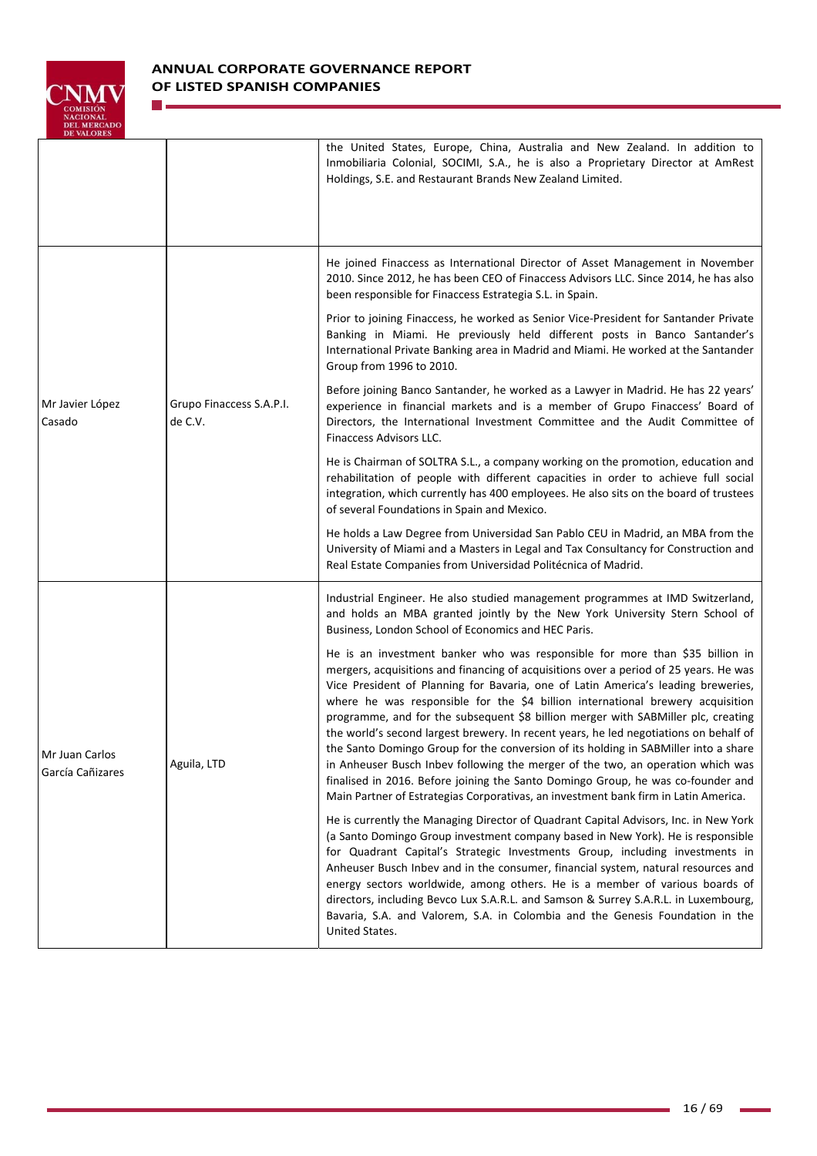

n e

| <b>DE VALURES</b>                  |                                     | the United States, Europe, China, Australia and New Zealand. In addition to<br>Inmobiliaria Colonial, SOCIMI, S.A., he is also a Proprietary Director at AmRest<br>Holdings, S.E. and Restaurant Brands New Zealand Limited.                                                                                                                                                                                                                                                                                                                                                                                                                                                                                                                                                                                                                                                    |
|------------------------------------|-------------------------------------|---------------------------------------------------------------------------------------------------------------------------------------------------------------------------------------------------------------------------------------------------------------------------------------------------------------------------------------------------------------------------------------------------------------------------------------------------------------------------------------------------------------------------------------------------------------------------------------------------------------------------------------------------------------------------------------------------------------------------------------------------------------------------------------------------------------------------------------------------------------------------------|
|                                    | Grupo Finaccess S.A.P.I.<br>de C.V. | He joined Finaccess as International Director of Asset Management in November<br>2010. Since 2012, he has been CEO of Finaccess Advisors LLC. Since 2014, he has also<br>been responsible for Finaccess Estrategia S.L. in Spain.                                                                                                                                                                                                                                                                                                                                                                                                                                                                                                                                                                                                                                               |
|                                    |                                     | Prior to joining Finaccess, he worked as Senior Vice-President for Santander Private<br>Banking in Miami. He previously held different posts in Banco Santander's<br>International Private Banking area in Madrid and Miami. He worked at the Santander<br>Group from 1996 to 2010.                                                                                                                                                                                                                                                                                                                                                                                                                                                                                                                                                                                             |
| Mr Javier López<br>Casado          |                                     | Before joining Banco Santander, he worked as a Lawyer in Madrid. He has 22 years'<br>experience in financial markets and is a member of Grupo Finaccess' Board of<br>Directors, the International Investment Committee and the Audit Committee of<br>Finaccess Advisors LLC.                                                                                                                                                                                                                                                                                                                                                                                                                                                                                                                                                                                                    |
|                                    |                                     | He is Chairman of SOLTRA S.L., a company working on the promotion, education and<br>rehabilitation of people with different capacities in order to achieve full social<br>integration, which currently has 400 employees. He also sits on the board of trustees<br>of several Foundations in Spain and Mexico.                                                                                                                                                                                                                                                                                                                                                                                                                                                                                                                                                                  |
|                                    |                                     | He holds a Law Degree from Universidad San Pablo CEU in Madrid, an MBA from the<br>University of Miami and a Masters in Legal and Tax Consultancy for Construction and<br>Real Estate Companies from Universidad Politécnica of Madrid.                                                                                                                                                                                                                                                                                                                                                                                                                                                                                                                                                                                                                                         |
| Mr Juan Carlos<br>García Cañizares | Aguila, LTD                         | Industrial Engineer. He also studied management programmes at IMD Switzerland,<br>and holds an MBA granted jointly by the New York University Stern School of<br>Business, London School of Economics and HEC Paris.                                                                                                                                                                                                                                                                                                                                                                                                                                                                                                                                                                                                                                                            |
|                                    |                                     | He is an investment banker who was responsible for more than \$35 billion in<br>mergers, acquisitions and financing of acquisitions over a period of 25 years. He was<br>Vice President of Planning for Bavaria, one of Latin America's leading breweries,<br>where he was responsible for the \$4 billion international brewery acquisition<br>programme, and for the subsequent \$8 billion merger with SABMiller plc, creating<br>the world's second largest brewery. In recent years, he led negotiations on behalf of<br>the Santo Domingo Group for the conversion of its holding in SABMiller into a share<br>in Anheuser Busch Inbev following the merger of the two, an operation which was<br>finalised in 2016. Before joining the Santo Domingo Group, he was co-founder and<br>Main Partner of Estrategias Corporativas, an investment bank firm in Latin America. |
|                                    |                                     | He is currently the Managing Director of Quadrant Capital Advisors, Inc. in New York<br>(a Santo Domingo Group investment company based in New York). He is responsible<br>for Quadrant Capital's Strategic Investments Group, including investments in<br>Anheuser Busch Inbev and in the consumer, financial system, natural resources and<br>energy sectors worldwide, among others. He is a member of various boards of<br>directors, including Bevco Lux S.A.R.L. and Samson & Surrey S.A.R.L. in Luxembourg,<br>Bavaria, S.A. and Valorem, S.A. in Colombia and the Genesis Foundation in the<br>United States.                                                                                                                                                                                                                                                           |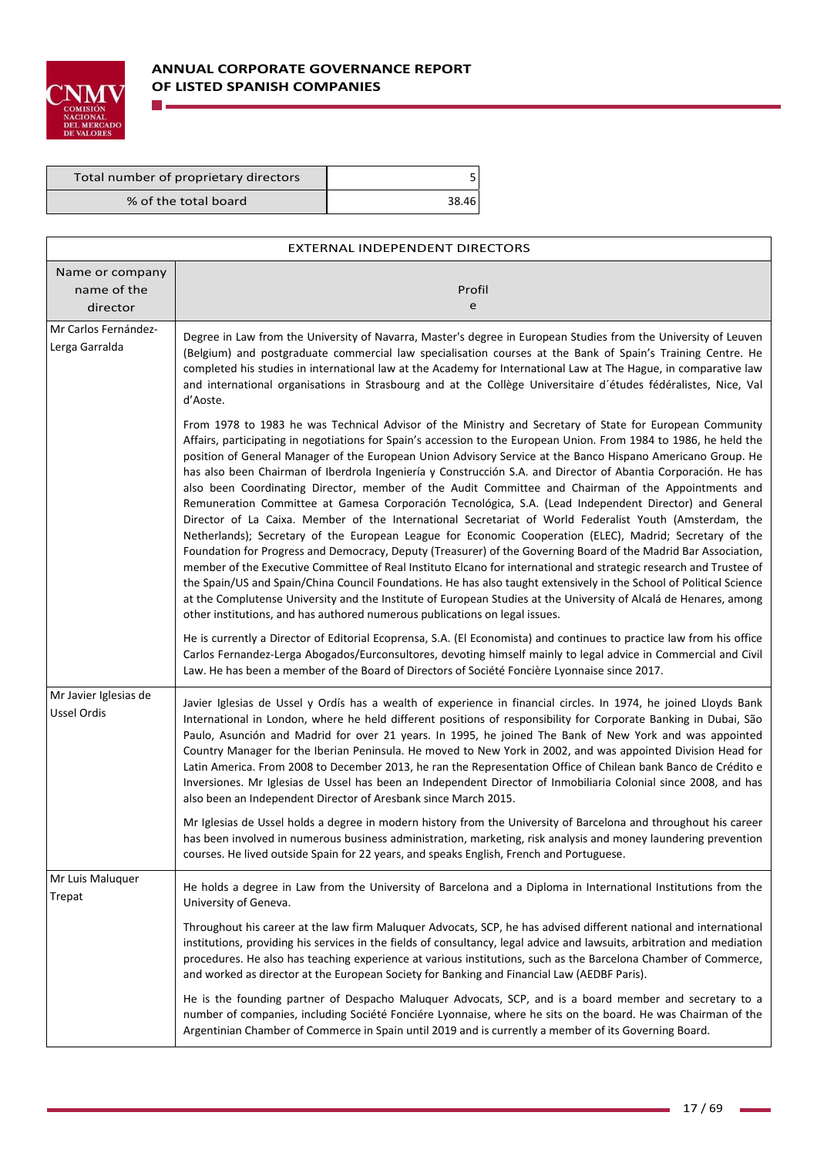

**The State** 

# **ANNUAL CORPORATE GOVERNANCE REPORT OF LISTED SPANISH COMPANIES**

| Total number of proprietary directors |       |
|---------------------------------------|-------|
| % of the total board                  | 38.46 |

| EXTERNAL INDEPENDENT DIRECTORS             |                                                                                                                                                                                                                                                                                                                                                                                                                                                                                                                                                                                                                                                                                                                                                                                                                                                                                                                                                                                                                                                                                                                                                                                                                                                                                                                                                                                                                                                                             |  |  |  |
|--------------------------------------------|-----------------------------------------------------------------------------------------------------------------------------------------------------------------------------------------------------------------------------------------------------------------------------------------------------------------------------------------------------------------------------------------------------------------------------------------------------------------------------------------------------------------------------------------------------------------------------------------------------------------------------------------------------------------------------------------------------------------------------------------------------------------------------------------------------------------------------------------------------------------------------------------------------------------------------------------------------------------------------------------------------------------------------------------------------------------------------------------------------------------------------------------------------------------------------------------------------------------------------------------------------------------------------------------------------------------------------------------------------------------------------------------------------------------------------------------------------------------------------|--|--|--|
| Name or company<br>name of the<br>director | Profil<br>e                                                                                                                                                                                                                                                                                                                                                                                                                                                                                                                                                                                                                                                                                                                                                                                                                                                                                                                                                                                                                                                                                                                                                                                                                                                                                                                                                                                                                                                                 |  |  |  |
| Mr Carlos Fernández-<br>Lerga Garralda     | Degree in Law from the University of Navarra, Master's degree in European Studies from the University of Leuven<br>(Belgium) and postgraduate commercial law specialisation courses at the Bank of Spain's Training Centre. He<br>completed his studies in international law at the Academy for International Law at The Hague, in comparative law<br>and international organisations in Strasbourg and at the Collège Universitaire d'études fédéralistes, Nice, Val<br>d'Aoste.                                                                                                                                                                                                                                                                                                                                                                                                                                                                                                                                                                                                                                                                                                                                                                                                                                                                                                                                                                                           |  |  |  |
|                                            | From 1978 to 1983 he was Technical Advisor of the Ministry and Secretary of State for European Community<br>Affairs, participating in negotiations for Spain's accession to the European Union. From 1984 to 1986, he held the<br>position of General Manager of the European Union Advisory Service at the Banco Hispano Americano Group. He<br>has also been Chairman of Iberdrola Ingeniería y Construcción S.A. and Director of Abantia Corporación. He has<br>also been Coordinating Director, member of the Audit Committee and Chairman of the Appointments and<br>Remuneration Committee at Gamesa Corporación Tecnológica, S.A. (Lead Independent Director) and General<br>Director of La Caixa. Member of the International Secretariat of World Federalist Youth (Amsterdam, the<br>Netherlands); Secretary of the European League for Economic Cooperation (ELEC), Madrid; Secretary of the<br>Foundation for Progress and Democracy, Deputy (Treasurer) of the Governing Board of the Madrid Bar Association,<br>member of the Executive Committee of Real Instituto Elcano for international and strategic research and Trustee of<br>the Spain/US and Spain/China Council Foundations. He has also taught extensively in the School of Political Science<br>at the Complutense University and the Institute of European Studies at the University of Alcalá de Henares, among<br>other institutions, and has authored numerous publications on legal issues. |  |  |  |
|                                            | He is currently a Director of Editorial Ecoprensa, S.A. (El Economista) and continues to practice law from his office<br>Carlos Fernandez-Lerga Abogados/Eurconsultores, devoting himself mainly to legal advice in Commercial and Civil<br>Law. He has been a member of the Board of Directors of Société Foncière Lyonnaise since 2017.                                                                                                                                                                                                                                                                                                                                                                                                                                                                                                                                                                                                                                                                                                                                                                                                                                                                                                                                                                                                                                                                                                                                   |  |  |  |
| Mr Javier Iglesias de<br>Ussel Ordis       | Javier Iglesias de Ussel y Ordís has a wealth of experience in financial circles. In 1974, he joined Lloyds Bank<br>International in London, where he held different positions of responsibility for Corporate Banking in Dubai, São<br>Paulo, Asunción and Madrid for over 21 years. In 1995, he joined The Bank of New York and was appointed<br>Country Manager for the Iberian Peninsula. He moved to New York in 2002, and was appointed Division Head for<br>Latin America. From 2008 to December 2013, he ran the Representation Office of Chilean bank Banco de Crédito e<br>Inversiones. Mr Iglesias de Ussel has been an Independent Director of Inmobiliaria Colonial since 2008, and has<br>also been an Independent Director of Aresbank since March 2015.                                                                                                                                                                                                                                                                                                                                                                                                                                                                                                                                                                                                                                                                                                     |  |  |  |
|                                            | Mr Iglesias de Ussel holds a degree in modern history from the University of Barcelona and throughout his career<br>has been involved in numerous business administration, marketing, risk analysis and money laundering prevention<br>courses. He lived outside Spain for 22 years, and speaks English, French and Portuguese.                                                                                                                                                                                                                                                                                                                                                                                                                                                                                                                                                                                                                                                                                                                                                                                                                                                                                                                                                                                                                                                                                                                                             |  |  |  |
| Mr Luis Maluquer<br>Trepat                 | He holds a degree in Law from the University of Barcelona and a Diploma in International Institutions from the<br>University of Geneva.                                                                                                                                                                                                                                                                                                                                                                                                                                                                                                                                                                                                                                                                                                                                                                                                                                                                                                                                                                                                                                                                                                                                                                                                                                                                                                                                     |  |  |  |
|                                            | Throughout his career at the law firm Maluquer Advocats, SCP, he has advised different national and international<br>institutions, providing his services in the fields of consultancy, legal advice and lawsuits, arbitration and mediation<br>procedures. He also has teaching experience at various institutions, such as the Barcelona Chamber of Commerce,<br>and worked as director at the European Society for Banking and Financial Law (AEDBF Paris).                                                                                                                                                                                                                                                                                                                                                                                                                                                                                                                                                                                                                                                                                                                                                                                                                                                                                                                                                                                                              |  |  |  |
|                                            | He is the founding partner of Despacho Maluquer Advocats, SCP, and is a board member and secretary to a<br>number of companies, including Société Fonciére Lyonnaise, where he sits on the board. He was Chairman of the<br>Argentinian Chamber of Commerce in Spain until 2019 and is currently a member of its Governing Board.                                                                                                                                                                                                                                                                                                                                                                                                                                                                                                                                                                                                                                                                                                                                                                                                                                                                                                                                                                                                                                                                                                                                           |  |  |  |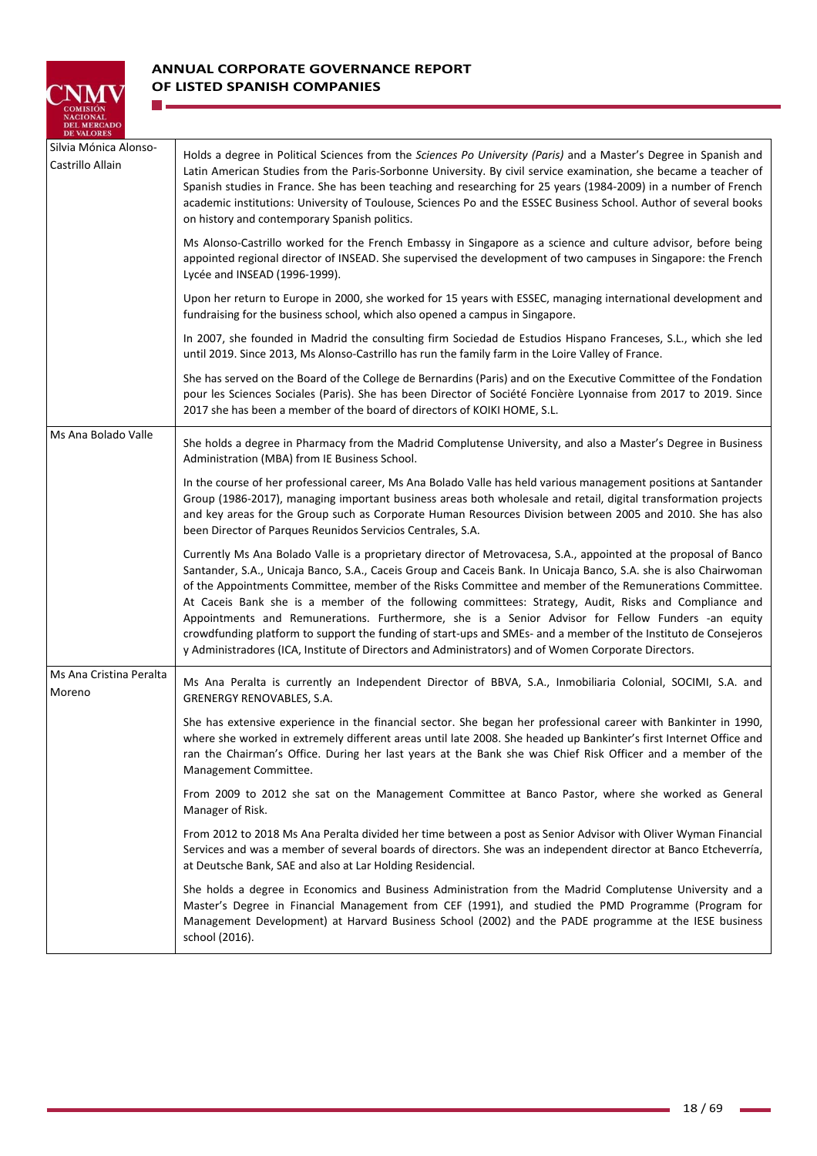

**The Co** 

| Silvia Mónica Alonso-<br>Castrillo Allain | Holds a degree in Political Sciences from the Sciences Po University (Paris) and a Master's Degree in Spanish and<br>Latin American Studies from the Paris-Sorbonne University. By civil service examination, she became a teacher of<br>Spanish studies in France. She has been teaching and researching for 25 years (1984-2009) in a number of French<br>academic institutions: University of Toulouse, Sciences Po and the ESSEC Business School. Author of several books<br>on history and contemporary Spanish politics.                                                                                                                                                                                                                                                             |
|-------------------------------------------|--------------------------------------------------------------------------------------------------------------------------------------------------------------------------------------------------------------------------------------------------------------------------------------------------------------------------------------------------------------------------------------------------------------------------------------------------------------------------------------------------------------------------------------------------------------------------------------------------------------------------------------------------------------------------------------------------------------------------------------------------------------------------------------------|
|                                           | Ms Alonso-Castrillo worked for the French Embassy in Singapore as a science and culture advisor, before being<br>appointed regional director of INSEAD. She supervised the development of two campuses in Singapore: the French<br>Lycée and INSEAD (1996-1999).                                                                                                                                                                                                                                                                                                                                                                                                                                                                                                                           |
|                                           | Upon her return to Europe in 2000, she worked for 15 years with ESSEC, managing international development and<br>fundraising for the business school, which also opened a campus in Singapore.                                                                                                                                                                                                                                                                                                                                                                                                                                                                                                                                                                                             |
|                                           | In 2007, she founded in Madrid the consulting firm Sociedad de Estudios Hispano Franceses, S.L., which she led<br>until 2019. Since 2013, Ms Alonso-Castrillo has run the family farm in the Loire Valley of France.                                                                                                                                                                                                                                                                                                                                                                                                                                                                                                                                                                       |
|                                           | She has served on the Board of the College de Bernardins (Paris) and on the Executive Committee of the Fondation<br>pour les Sciences Sociales (Paris). She has been Director of Société Foncière Lyonnaise from 2017 to 2019. Since<br>2017 she has been a member of the board of directors of KOIKI HOME, S.L.                                                                                                                                                                                                                                                                                                                                                                                                                                                                           |
| Ms Ana Bolado Valle                       | She holds a degree in Pharmacy from the Madrid Complutense University, and also a Master's Degree in Business<br>Administration (MBA) from IE Business School.                                                                                                                                                                                                                                                                                                                                                                                                                                                                                                                                                                                                                             |
|                                           | In the course of her professional career, Ms Ana Bolado Valle has held various management positions at Santander<br>Group (1986-2017), managing important business areas both wholesale and retail, digital transformation projects<br>and key areas for the Group such as Corporate Human Resources Division between 2005 and 2010. She has also<br>been Director of Parques Reunidos Servicios Centrales, S.A.                                                                                                                                                                                                                                                                                                                                                                           |
|                                           | Currently Ms Ana Bolado Valle is a proprietary director of Metrovacesa, S.A., appointed at the proposal of Banco<br>Santander, S.A., Unicaja Banco, S.A., Caceis Group and Caceis Bank. In Unicaja Banco, S.A. she is also Chairwoman<br>of the Appointments Committee, member of the Risks Committee and member of the Remunerations Committee.<br>At Caceis Bank she is a member of the following committees: Strategy, Audit, Risks and Compliance and<br>Appointments and Remunerations. Furthermore, she is a Senior Advisor for Fellow Funders -an equity<br>crowdfunding platform to support the funding of start-ups and SMEs- and a member of the Instituto de Consejeros<br>y Administradores (ICA, Institute of Directors and Administrators) and of Women Corporate Directors. |
| Ms Ana Cristina Peralta<br>Moreno         | Ms Ana Peralta is currently an Independent Director of BBVA, S.A., Inmobiliaria Colonial, SOCIMI, S.A. and<br><b>GRENERGY RENOVABLES, S.A.</b>                                                                                                                                                                                                                                                                                                                                                                                                                                                                                                                                                                                                                                             |
|                                           | She has extensive experience in the financial sector. She began her professional career with Bankinter in 1990,<br>where she worked in extremely different areas until late 2008. She headed up Bankinter's first Internet Office and<br>ran the Chairman's Office. During her last years at the Bank she was Chief Risk Officer and a member of the<br>Management Committee.                                                                                                                                                                                                                                                                                                                                                                                                              |
|                                           | From 2009 to 2012 she sat on the Management Committee at Banco Pastor, where she worked as General<br>Manager of Risk.                                                                                                                                                                                                                                                                                                                                                                                                                                                                                                                                                                                                                                                                     |
|                                           | From 2012 to 2018 Ms Ana Peralta divided her time between a post as Senior Advisor with Oliver Wyman Financial<br>Services and was a member of several boards of directors. She was an independent director at Banco Etcheverría,<br>at Deutsche Bank, SAE and also at Lar Holding Residencial.                                                                                                                                                                                                                                                                                                                                                                                                                                                                                            |
|                                           | She holds a degree in Economics and Business Administration from the Madrid Complutense University and a<br>Master's Degree in Financial Management from CEF (1991), and studied the PMD Programme (Program for<br>Management Development) at Harvard Business School (2002) and the PADE programme at the IESE business<br>school (2016).                                                                                                                                                                                                                                                                                                                                                                                                                                                 |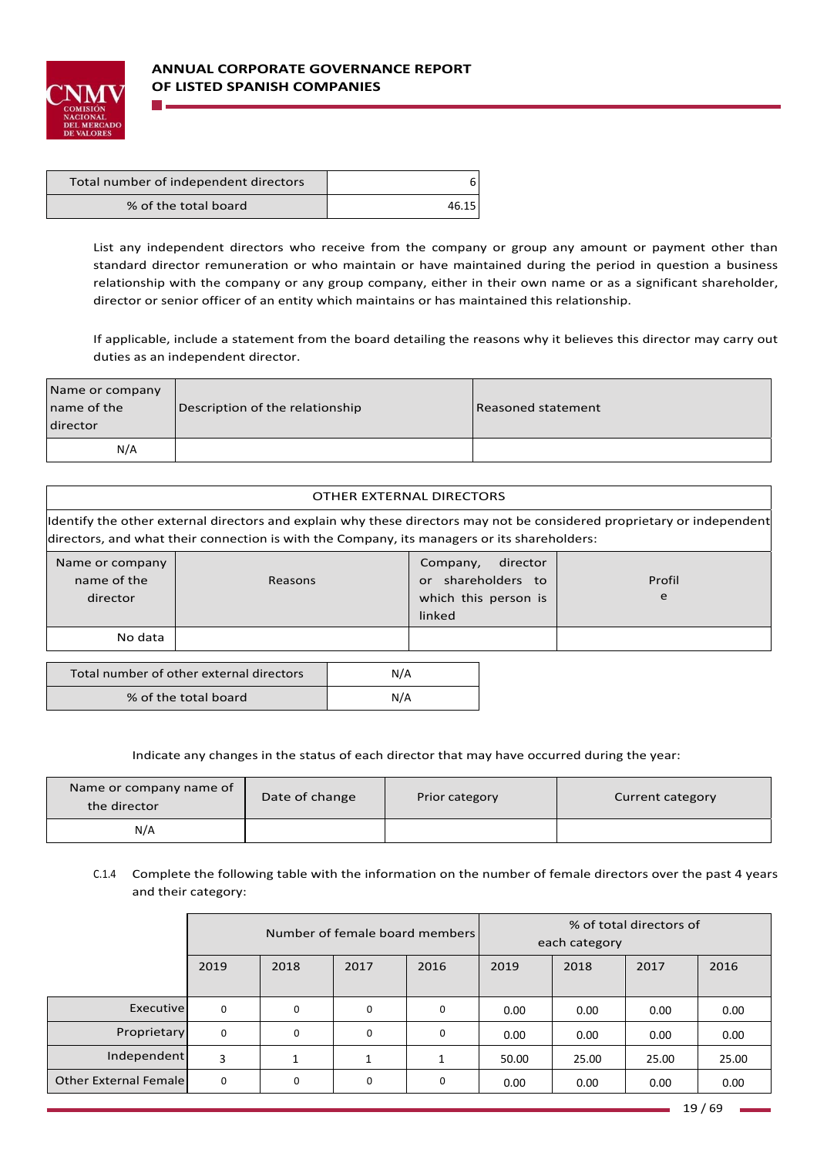

| Total number of independent directors |       |
|---------------------------------------|-------|
| % of the total board                  | 46.15 |

% of the total board  $N/A$ 

List any independent directors who receive from the company or group any amount or payment other than standard director remuneration or who maintain or have maintained during the period in question a business relationship with the company or any group company, either in their own name or as a significant shareholder, director or senior officer of an entity which maintains or has maintained this relationship.

If applicable, include a statement from the board detailing the reasons why it believes this director may carry out duties as an independent director.

| Name or company<br>name of the<br>director | Description of the relationship | Reasoned statement |
|--------------------------------------------|---------------------------------|--------------------|
| N/A                                        |                                 |                    |

|                                                                                                                                                                                                                       | OTHER EXTERNAL DIRECTORS |                                                                      |                         |  |  |
|-----------------------------------------------------------------------------------------------------------------------------------------------------------------------------------------------------------------------|--------------------------|----------------------------------------------------------------------|-------------------------|--|--|
| ldentify the other external directors and explain why these directors may not be considered proprietary or independent<br>directors, and what their connection is with the Company, its managers or its shareholders: |                          |                                                                      |                         |  |  |
| Name or company<br>name of the<br>director                                                                                                                                                                            | Reasons                  | Company,<br>shareholders to<br>or.<br>which this person is<br>linked | director<br>Profil<br>e |  |  |
| No data                                                                                                                                                                                                               |                          |                                                                      |                         |  |  |
| Total number of other external directors<br>N/A                                                                                                                                                                       |                          |                                                                      |                         |  |  |

| Name or company name of<br>the director | Date of change | Prior category | Current category |
|-----------------------------------------|----------------|----------------|------------------|
| N/A                                     |                |                |                  |

Indicate any changes in the status of each director that may have occurred during the year:

# C.1.4 Complete the following table with the information on the number of female directors over the past 4 years and their category:

|                               | Number of female board members |             |          | % of total directors of<br>each category |       |       |       |       |
|-------------------------------|--------------------------------|-------------|----------|------------------------------------------|-------|-------|-------|-------|
|                               | 2019                           | 2018        | 2017     | 2016                                     | 2019  | 2018  | 2017  | 2016  |
| Executive                     | $\Omega$                       | $\Omega$    | $\Omega$ | $\mathbf 0$                              | 0.00  | 0.00  | 0.00  | 0.00  |
| Proprietary                   | 0                              | $\mathbf 0$ | $\Omega$ | 0                                        | 0.00  | 0.00  | 0.00  | 0.00  |
| Independent                   | 3                              |             |          |                                          | 50.00 | 25.00 | 25.00 | 25.00 |
| <b>Other External Femalel</b> | $\Omega$                       | 0           | 0        | 0                                        | 0.00  | 0.00  | 0.00  | 0.00  |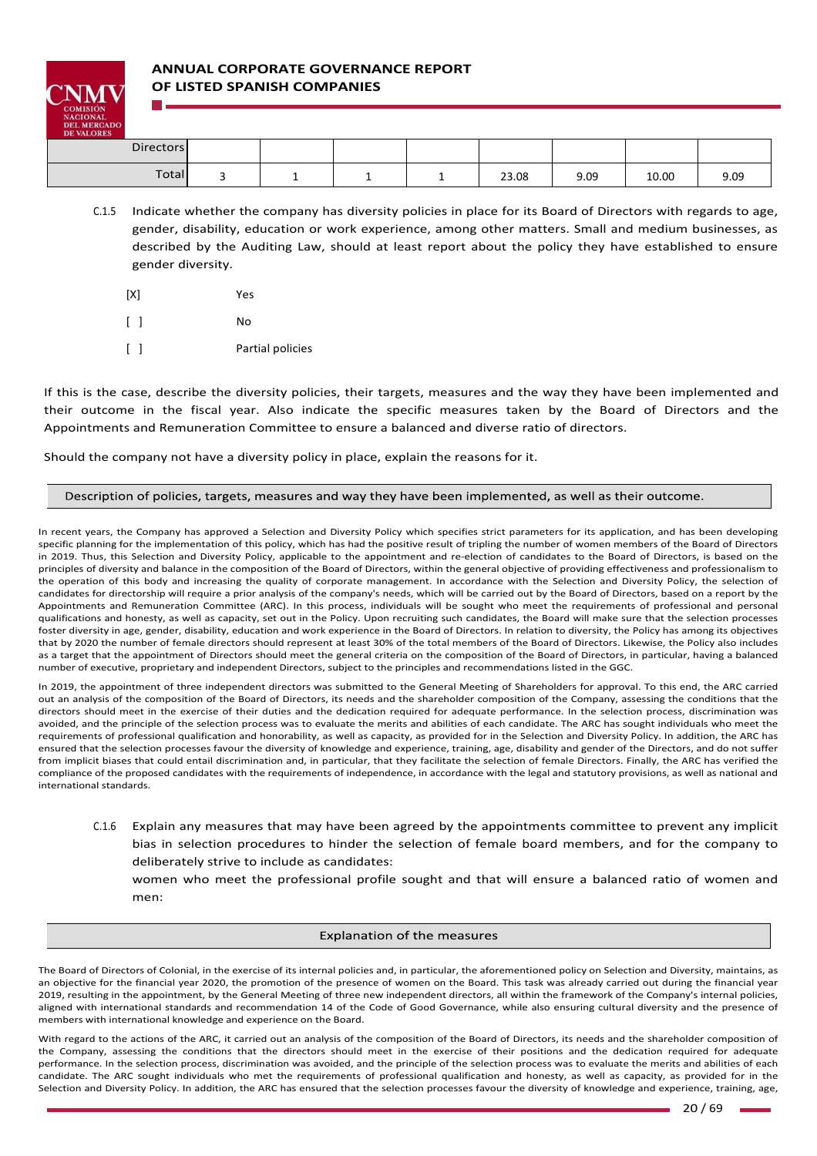

# **ANNUAL CORPORATE GOVERNANCE REPORT OF LISTED SPANISH COMPANIES**

| <b>Directors</b> |  |  |       |      |       |      |
|------------------|--|--|-------|------|-------|------|
| Total            |  |  | 23.08 | 9.09 | 10.00 | 9.09 |

- C.1.5 Indicate whether the company has diversity policies in place for its Board of Directors with regards to age, gender, disability, education or work experience, among other matters. Small and medium businesses, as described by the Auditing Law, should at least report about the policy they have established to ensure gender diversity.
	- [X] Yes [ ] No
	- [ ] **Partial policies**

If this is the case, describe the diversity policies, their targets, measures and the way they have been implemented and their outcome in the fiscal year. Also indicate the specific measures taken by the Board of Directors and the Appointments and Remuneration Committee to ensure a balanced and diverse ratio of directors.

Should the company not have a diversity policy in place, explain the reasons for it.

### Description of policies, targets, measures and way they have been implemented, as well as their outcome.

In recent years, the Company has approved a Selection and Diversity Policy which specifies strict parameters for its application, and has been developing specific planning for the implementation of this policy, which has had the positive result of tripling the number of women members of the Board of Directors in 2019. Thus, this Selection and Diversity Policy, applicable to the appointment and re-election of candidates to the Board of Directors, is based on the principles of diversity and balance in the composition of the Board of Directors, within the general objective of providing effectiveness and professionalism to the operation of this body and increasing the quality of corporate management. In accordance with the Selection and Diversity Policy, the selection of candidates for directorship will require a prior analysis of the company's needs, which will be carried out by the Board of Directors, based on a report by the Appointments and Remuneration Committee (ARC). In this process, individuals will be sought who meet the requirements of professional and personal qualifications and honesty, as well as capacity, set out in the Policy. Upon recruiting such candidates, the Board will make sure that the selection processes foster diversity in age, gender, disability, education and work experience in the Board of Directors. In relation to diversity, the Policy has among its objectives that by 2020 the number of female directors should represent at least 30% of the total members of the Board of Directors. Likewise, the Policy also includes as a target that the appointment of Directors should meet the general criteria on the composition of the Board of Directors, in particular, having a balanced number of executive, proprietary and independent Directors, subject to the principles and recommendations listed in the GGC.

In 2019, the appointment of three independent directors was submitted to the General Meeting of Shareholders for approval. To this end, the ARC carried out an analysis of the composition of the Board of Directors, its needs and the shareholder composition of the Company, assessing the conditions that the directors should meet in the exercise of their duties and the dedication required for adequate performance. In the selection process, discrimination was avoided, and the principle of the selection process was to evaluate the merits and abilities of each candidate. The ARC has sought individuals who meet the requirements of professional qualification and honorability, as well as capacity, as provided for in the Selection and Diversity Policy. In addition, the ARC has ensured that the selection processes favour the diversity of knowledge and experience, training, age, disability and gender of the Directors, and do not suffer from implicit biases that could entail discrimination and, in particular, that they facilitate the selection of female Directors. Finally, the ARC has verified the compliance of the proposed candidates with the requirements of independence, in accordance with the legal and statutory provisions, as well as national and international standards.

C.1.6 Explain any measures that may have been agreed by the appointments committee to prevent any implicit bias in selection procedures to hinder the selection of female board members, and for the company to deliberately strive to include as candidates:

women who meet the professional profile sought and that will ensure a balanced ratio of women and men:

### Explanation of the measures

The Board of Directors of Colonial, in the exercise of its internal policies and, in particular, the aforementioned policy on Selection and Diversity, maintains, as an objective for the financial year 2020, the promotion of the presence of women on the Board. This task was already carried out during the financial year 2019, resulting in the appointment, by the General Meeting of three new independent directors, all within the framework of the Company's internal policies, aligned with international standards and recommendation 14 of the Code of Good Governance, while also ensuring cultural diversity and the presence of members with international knowledge and experience on the Board.

With regard to the actions of the ARC, it carried out an analysis of the composition of the Board of Directors, its needs and the shareholder composition of the Company, assessing the conditions that the directors should meet in the exercise of their positions and the dedication required for adequate performance. In the selection process, discrimination was avoided, and the principle of the selection process was to evaluate the merits and abilities of each candidate. The ARC sought individuals who met the requirements of professional qualification and honesty, as well as capacity, as provided for in the Selection and Diversity Policy. In addition, the ARC has ensured that the selection processes favour the diversity of knowledge and experience, training, age,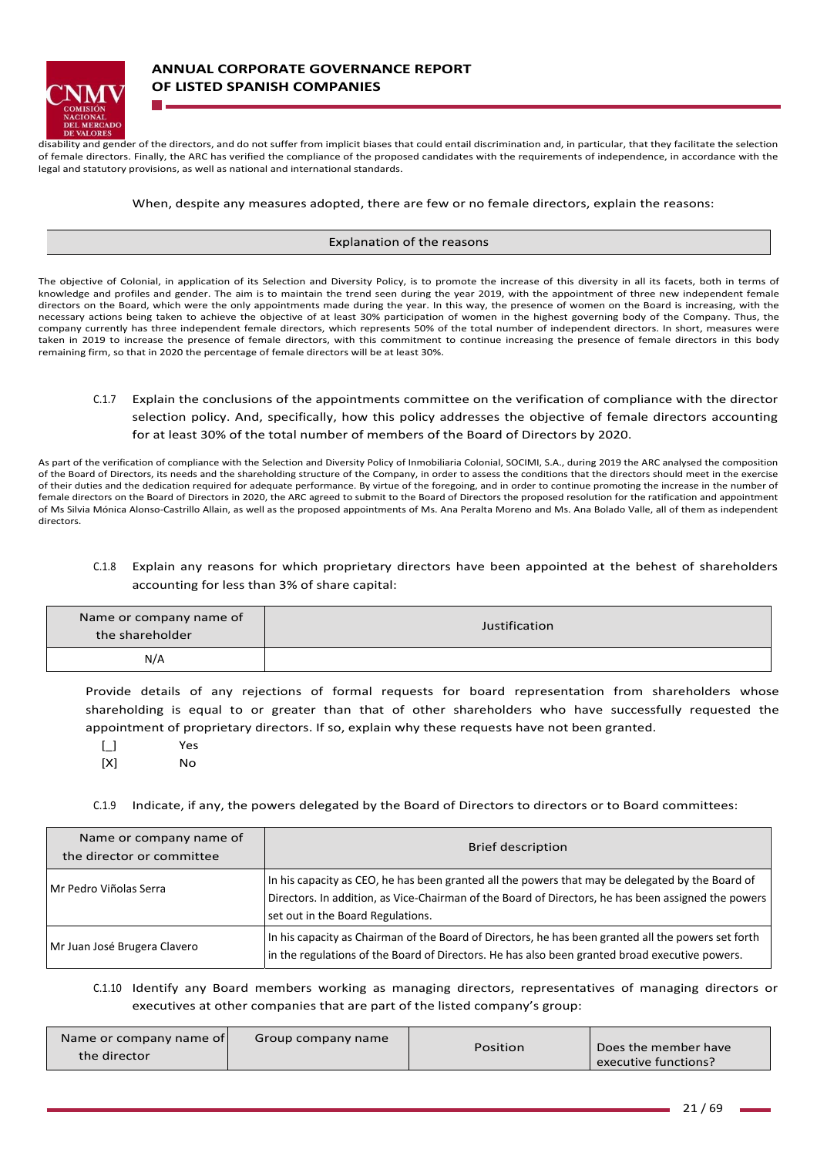

disability and gender of the directors, and do not suffer from implicit biases that could entail discrimination and, in particular, that they facilitate the selection of female directors. Finally, the ARC has verified the compliance of the proposed candidates with the requirements of independence, in accordance with the legal and statutory provisions, as well as national and international standards.

#### When, despite any measures adopted, there are few or no female directors, explain the reasons:

#### Explanation of the reasons

The objective of Colonial, in application of its Selection and Diversity Policy, is to promote the increase of this diversity in all its facets, both in terms of knowledge and profiles and gender. The aim is to maintain the trend seen during the year 2019, with the appointment of three new independent female directors on the Board, which were the only appointments made during the year. In this way, the presence of women on the Board is increasing, with the necessary actions being taken to achieve the objective of at least 30% participation of women in the highest governing body of the Company. Thus, the company currently has three independent female directors, which represents 50% of the total number of independent directors. In short, measures were taken in 2019 to increase the presence of female directors, with this commitment to continue increasing the presence of female directors in this body remaining firm, so that in 2020 the percentage of female directors will be at least 30%.

C.1.7 Explain the conclusions of the appointments committee on the verification of compliance with the director selection policy. And, specifically, how this policy addresses the objective of female directors accounting for at least 30% of the total number of members of the Board of Directors by 2020.

As part of the verification of compliance with the Selection and Diversity Policy of Inmobiliaria Colonial, SOCIMI, S.A., during 2019 the ARC analysed the composition of the Board of Directors, its needs and the shareholding structure of the Company, in order to assess the conditions that the directors should meet in the exercise of their duties and the dedication required for adequate performance. By virtue of the foregoing, and in order to continue promoting the increase in the number of female directors on the Board of Directors in 2020, the ARC agreed to submit to the Board of Directors the proposed resolution for the ratification and appointment of Ms Silvia Mónica Alonso‐Castrillo Allain, as well as the proposed appointments of Ms. Ana Peralta Moreno and Ms. Ana Bolado Valle, all of them as independent directors.

## C.1.8 Explain any reasons for which proprietary directors have been appointed at the behest of shareholders accounting for less than 3% of share capital:

| Name or company name of<br>the shareholder | Justification |
|--------------------------------------------|---------------|
| N/A                                        |               |

Provide details of any rejections of formal requests for board representation from shareholders whose shareholding is equal to or greater than that of other shareholders who have successfully requested the appointment of proprietary directors. If so, explain why these requests have not been granted.

[\_] Yes

[X] No

C.1.9 Indicate, if any, the powers delegated by the Board of Directors to directors or to Board committees:

| Name or company name of<br>the director or committee | <b>Brief description</b>                                                                                                                                                                                                                     |
|------------------------------------------------------|----------------------------------------------------------------------------------------------------------------------------------------------------------------------------------------------------------------------------------------------|
| Mr Pedro Viñolas Serra                               | In his capacity as CEO, he has been granted all the powers that may be delegated by the Board of<br>Directors. In addition, as Vice-Chairman of the Board of Directors, he has been assigned the powers<br>set out in the Board Regulations. |
| Mr Juan José Brugera Clavero                         | In his capacity as Chairman of the Board of Directors, he has been granted all the powers set forth<br>in the regulations of the Board of Directors. He has also been granted broad executive powers.                                        |

C.1.10 Identify any Board members working as managing directors, representatives of managing directors or executives at other companies that are part of the listed company's group:

| Name or company name of<br>the director | Group company name | Position | Does the member have<br>executive functions? |
|-----------------------------------------|--------------------|----------|----------------------------------------------|
|-----------------------------------------|--------------------|----------|----------------------------------------------|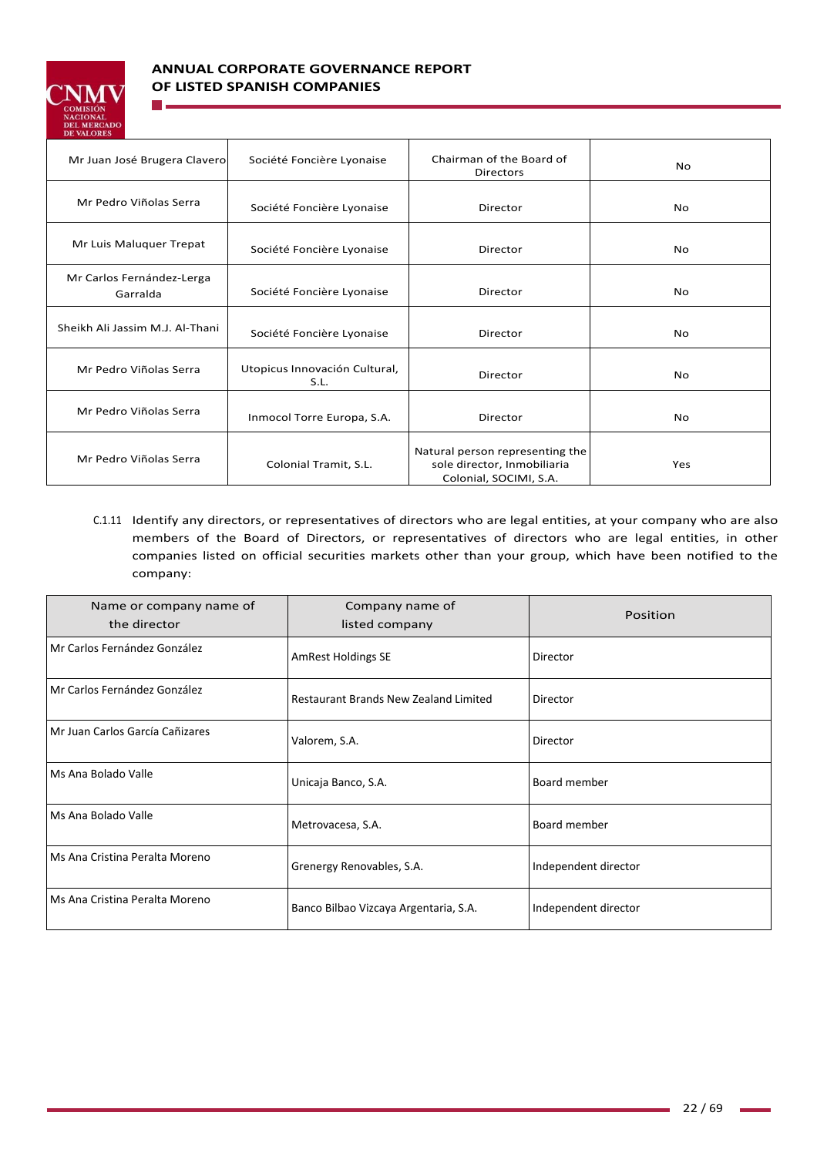

**The Co** 

# **ANNUAL CORPORATE GOVERNANCE REPORT OF LISTED SPANISH COMPANIES**

| Mr Juan José Brugera Clavero          | Société Foncière Lyonaise             | Chairman of the Board of<br><b>Directors</b>                                             | No             |
|---------------------------------------|---------------------------------------|------------------------------------------------------------------------------------------|----------------|
| Mr Pedro Viñolas Serra                | Société Foncière Lyonaise             | Director                                                                                 | N <sub>o</sub> |
| Mr Luis Maluquer Trepat               | Société Foncière Lyonaise             | Director                                                                                 | <b>No</b>      |
| Mr Carlos Fernández-Lerga<br>Garralda | Société Foncière Lyonaise             | Director                                                                                 | <b>No</b>      |
| Sheikh Ali Jassim M.J. Al-Thani       | Société Foncière Lyonaise             | Director                                                                                 | <b>No</b>      |
| Mr Pedro Viñolas Serra                | Utopicus Innovación Cultural,<br>S.L. | Director                                                                                 | No             |
| Mr Pedro Viñolas Serra                | Inmocol Torre Europa, S.A.            | Director                                                                                 | No             |
| Mr Pedro Viñolas Serra                | Colonial Tramit, S.L.                 | Natural person representing the<br>sole director, Inmobiliaria<br>Colonial, SOCIMI, S.A. | Yes            |

C.1.11 Identify any directors, or representatives of directors who are legal entities, at your company who are also members of the Board of Directors, or representatives of directors who are legal entities, in other companies listed on official securities markets other than your group, which have been notified to the company:

| Name or company name of<br>the director | Company name of<br>listed company     | Position             |
|-----------------------------------------|---------------------------------------|----------------------|
| Mr Carlos Fernández González            | <b>AmRest Holdings SE</b>             | Director             |
| Mr Carlos Fernández González            | Restaurant Brands New Zealand Limited | Director             |
| l Mr Juan Carlos García Cañizares       | Valorem, S.A.                         | Director             |
| Ms Ana Bolado Valle                     | Unicaja Banco, S.A.                   | Board member         |
| Ms Ana Bolado Valle                     | Metrovacesa, S.A.                     | Board member         |
| Ms Ana Cristina Peralta Moreno          | Grenergy Renovables, S.A.             | Independent director |
| Ms Ana Cristina Peralta Moreno          | Banco Bilbao Vizcaya Argentaria, S.A. | Independent director |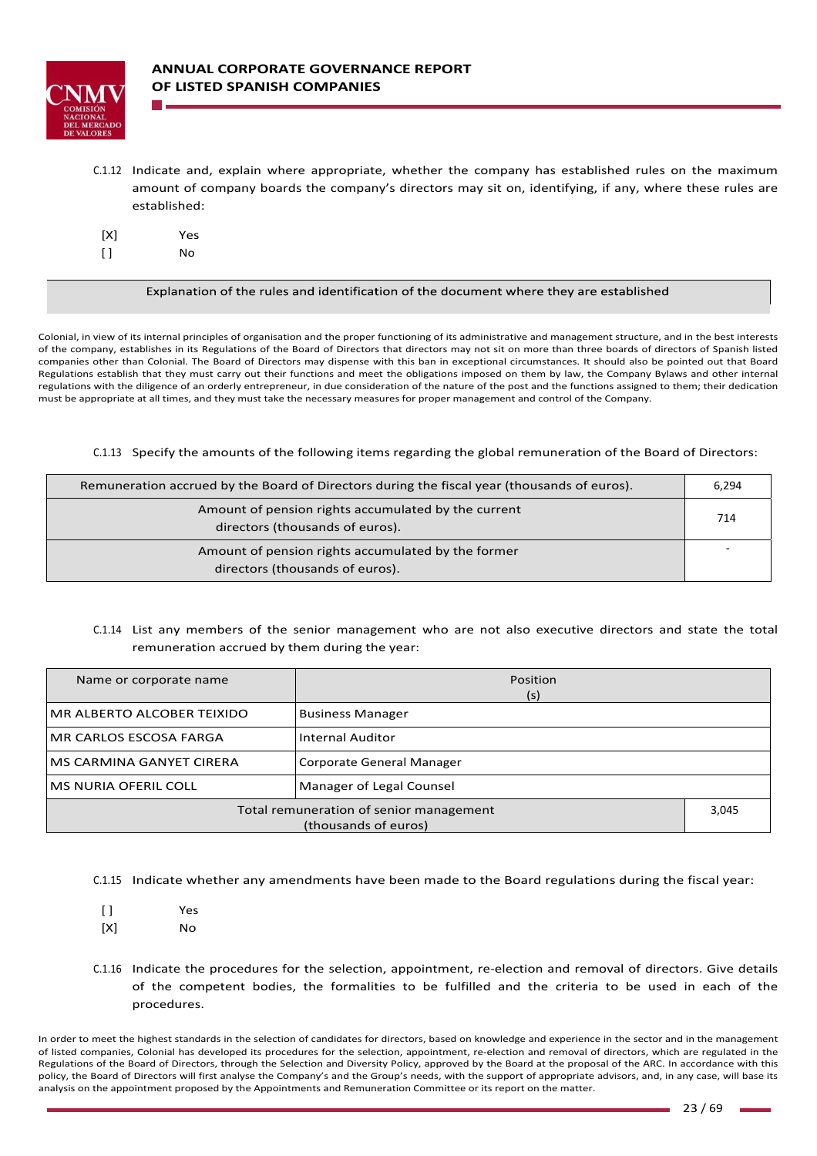

C.1.12 Indicate and, explain where appropriate, whether the company has established rules on the maximum amount of company boards the company's directors may sit on, identifying, if any, where these rules are established:

| [X]     | Yes |
|---------|-----|
| $[ \ ]$ | No  |

Explanation of the rules and identification of the document where they are established

Colonial, in view of its internal principles of organisation and the proper functioning of its administrative and management structure, and in the best interests of the company, establishes in its Regulations of the Board of Directors that directors may not sit on more than three boards of directors of Spanish listed companies other than Colonial. The Board of Directors may dispense with this ban in exceptional circumstances. It should also be pointed out that Board Regulations establish that they must carry out their functions and meet the obligations imposed on them by law, the Company Bylaws and other internal regulations with the diligence of an orderly entrepreneur, in due consideration of the nature of the post and the functions assigned to them; their dedication must be appropriate at all times, and they must take the necessary measures for proper management and control of the Company.

C.1.13 Specify the amounts of the following items regarding the global remuneration of the Board of Directors:

| Remuneration accrued by the Board of Directors during the fiscal year (thousands of euros). |  |
|---------------------------------------------------------------------------------------------|--|
| Amount of pension rights accumulated by the current<br>directors (thousands of euros).      |  |
| Amount of pension rights accumulated by the former<br>directors (thousands of euros).       |  |

C.1.14 List any members of the senior management who are not also executive directors and state the total remuneration accrued by them during the year:

| Name or corporate name                                          | <b>Position</b><br>(s)  |  |
|-----------------------------------------------------------------|-------------------------|--|
| MR ALBERTO ALCOBER TEIXIDO                                      | <b>Business Manager</b> |  |
| IMR CARLOS ESCOSA FARGA                                         | Internal Auditor        |  |
| Corporate General Manager<br>IMS CARMINA GANYET CIRERA          |                         |  |
| Manager of Legal Counsel<br>lMS NURIA OFERIL COLL               |                         |  |
| Total remuneration of senior management<br>(thousands of euros) |                         |  |

C.1.15 Indicate whether any amendments have been made to the Board regulations during the fiscal year:

- [ ] Yes
- [X] No
- C.1.16 Indicate the procedures for the selection, appointment, re‐election and removal of directors. Give details of the competent bodies, the formalities to be fulfilled and the criteria to be used in each of the procedures.

In order to meet the highest standards in the selection of candidates for directors, based on knowledge and experience in the sector and in the management of listed companies, Colonial has developed its procedures for the selection, appointment, re‐election and removal of directors, which are regulated in the Regulations of the Board of Directors, through the Selection and Diversity Policy, approved by the Board at the proposal of the ARC. In accordance with this policy, the Board of Directors will first analyse the Company's and the Group's needs, with the support of appropriate advisors, and, in any case, will base its analysis on the appointment proposed by the Appointments and Remuneration Committee or its report on the matter.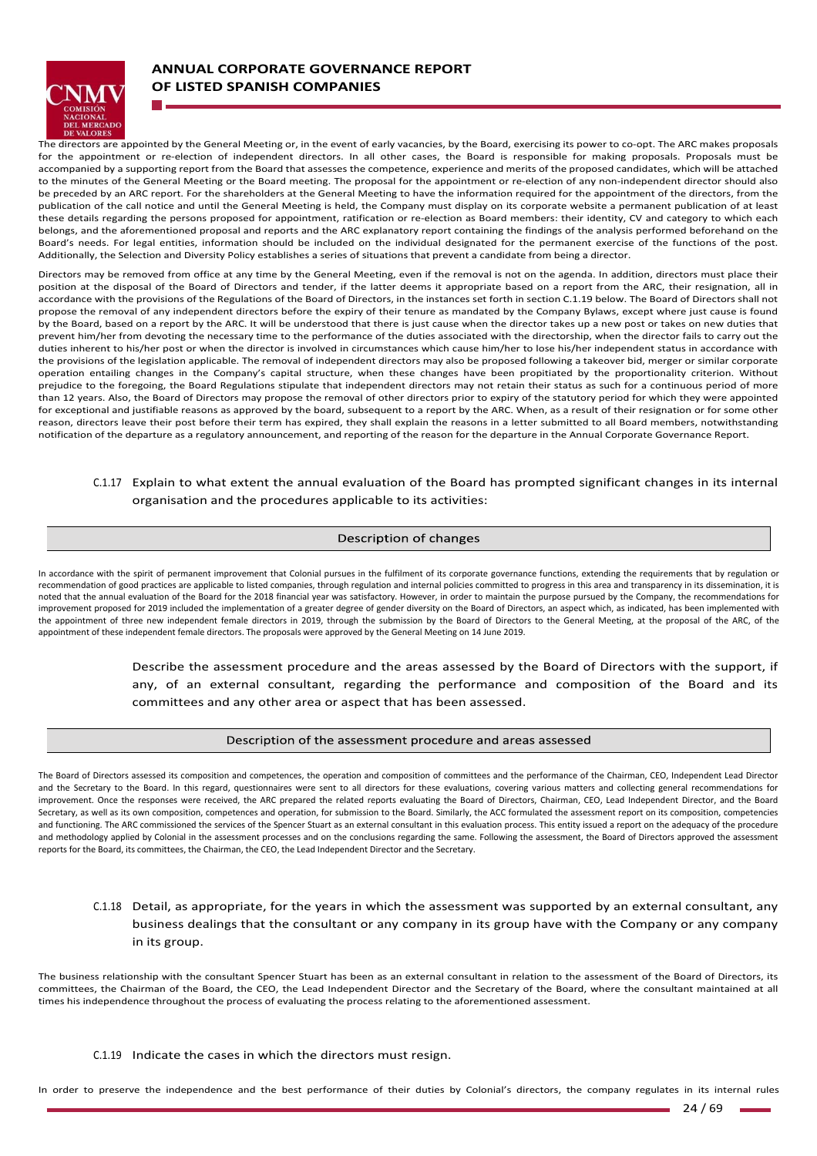

# **ANNUAL CORPORATE GOVERNANCE REPORT OF LISTED SPANISH COMPANIES**

The directors are appointed by the General Meeting or, in the event of early vacancies, by the Board, exercising its power to co-opt. The ARC makes proposals for the appointment or re-election of independent directors. In all other cases, the Board is responsible for making proposals. Proposals must be accompanied by a supporting report from the Board that assesses the competence, experience and merits of the proposed candidates, which will be attached to the minutes of the General Meeting or the Board meeting. The proposal for the appointment or re-election of any non-independent director should also be preceded by an ARC report. For the shareholders at the General Meeting to have the information required for the appointment of the directors, from the publication of the call notice and until the General Meeting is held, the Company must display on its corporate website a permanent publication of at least .<br>these details regarding the persons proposed for appointment, ratification or re-election as Board members: their identity, CV and category to which each belongs, and the aforementioned proposal and reports and the ARC explanatory report containing the findings of the analysis performed beforehand on the Board's needs. For legal entities, information should be included on the individual designated for the permanent exercise of the functions of the post. Additionally, the Selection and Diversity Policy establishes a series of situations that prevent a candidate from being a director.

Directors may be removed from office at any time by the General Meeting, even if the removal is not on the agenda. In addition, directors must place their position at the disposal of the Board of Directors and tender, if the latter deems it appropriate based on a report from the ARC, their resignation, all in accordance with the provisions of the Regulations of the Board of Directors, in the instances set forth in section C.1.19 below. The Board of Directors shall not propose the removal of any independent directors before the expiry of their tenure as mandated by the Company Bylaws, except where just cause is found by the Board, based on a report by the ARC. It will be understood that there is just cause when the director takes up a new post or takes on new duties that prevent him/her from devoting the necessary time to the performance of the duties associated with the directorship, when the director fails to carry out the duties inherent to his/her post or when the director is involved in circumstances which cause him/her to lose his/her independent status in accordance with the provisions of the legislation applicable. The removal of independent directors may also be proposed following a takeover bid, merger or similar corporate operation entailing changes in the Company's capital structure, when these changes have been propitiated by the proportionality criterion. Without prejudice to the foregoing, the Board Regulations stipulate that independent directors may not retain their status as such for a continuous period of more than 12 years. Also, the Board of Directors may propose the removal of other directors prior to expiry of the statutory period for which they were appointed for exceptional and justifiable reasons as approved by the board, subsequent to a report by the ARC. When, as a result of their resignation or for some other reason, directors leave their post before their term has expired, they shall explain the reasons in a letter submitted to all Board members, notwithstanding notification of the departure as a regulatory announcement, and reporting of the reason for the departure in the Annual Corporate Governance Report.

## C.1.17 Explain to what extent the annual evaluation of the Board has prompted significant changes in its internal organisation and the procedures applicable to its activities:

### Description of changes

In accordance with the spirit of permanent improvement that Colonial pursues in the fulfilment of its corporate governance functions, extending the requirements that by regulation or recommendation of good practices are applicable to listed companies, through regulation and internal policies committed to progress in this area and transparency in its dissemination, it is noted that the annual evaluation of the Board for the 2018 financial year was satisfactory. However, in order to maintain the purpose pursued by the Company, the recommendations for improvement proposed for 2019 included the implementation of a greater degree of gender diversity on the Board of Directors, an aspect which, as indicated, has been implemented with the appointment of three new independent female directors in 2019, through the submission by the Board of Directors to the General Meeting, at the proposal of the ARC, of the appointment of these independent female directors. The proposals were approved by the General Meeting on 14 June 2019.

> Describe the assessment procedure and the areas assessed by the Board of Directors with the support, if any, of an external consultant, regarding the performance and composition of the Board and its committees and any other area or aspect that has been assessed.

### Description of the assessment procedure and areas assessed

The Board of Directors assessed its composition and competences, the operation and composition of committees and the performance of the Chairman, CEO, Independent Lead Director and the Secretary to the Board. In this regard, questionnaires were sent to all directors for these evaluations, covering various matters and collecting general recommendations for improvement. Once the responses were received, the ARC prepared the related reports evaluating the Board of Directors, Chairman, CEO, Lead Independent Director, and the Board Secretary, as well as its own composition, competences and operation, for submission to the Board. Similarly, the ACC formulated the assessment report on its composition, competencies and functioning. The ARC commissioned the services of the Spencer Stuart as an external consultant in this evaluation process. This entity issued a report on the adequacy of the procedure and methodology applied by Colonial in the assessment processes and on the conclusions regarding the same. Following the assessment, the Board of Directors approved the assessment reports for the Board, its committees, the Chairman, the CEO, the Lead Independent Director and the Secretary.

## C.1.18 Detail, as appropriate, for the years in which the assessment was supported by an external consultant, any business dealings that the consultant or any company in its group have with the Company or any company in its group.

The business relationship with the consultant Spencer Stuart has been as an external consultant in relation to the assessment of the Board of Directors, its committees, the Chairman of the Board, the CEO, the Lead Independent Director and the Secretary of the Board, where the consultant maintained at all times his independence throughout the process of evaluating the process relating to the aforementioned assessment.

### C.1.19 Indicate the cases in which the directors must resign.

In order to preserve the independence and the best performance of their duties by Colonial's directors, the company regulates in its internal rules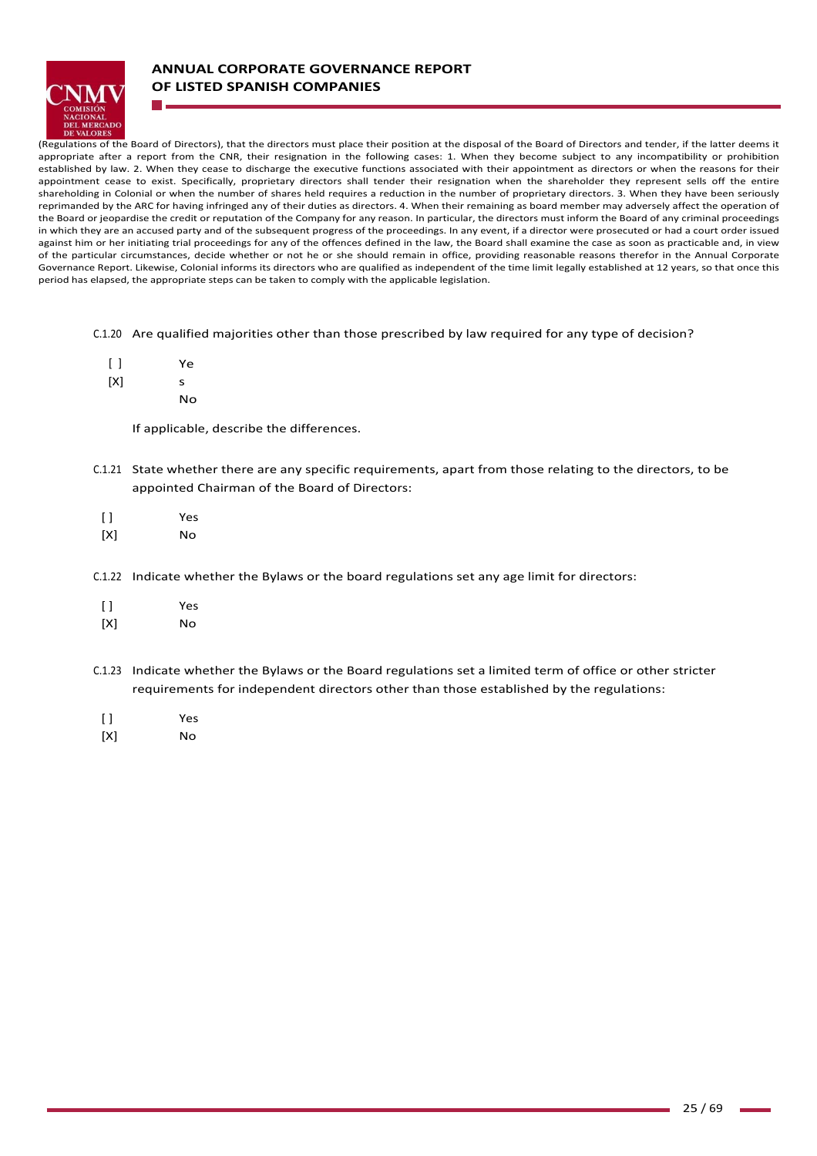

# **ANNUAL CORPORATE GOVERNANCE REPORT OF LISTED SPANISH COMPANIES**

(Regulations of the Board of Directors), that the directors must place their position at the disposal of the Board of Directors and tender, if the latter deems it appropriate after a report from the CNR, their resignation in the following cases: 1. When they become subject to any incompatibility or prohibition established by law. 2. When they cease to discharge the executive functions associated with their appointment as directors or when the reasons for their appointment cease to exist. Specifically, proprietary directors shall tender their resignation when the shareholder they represent sells off the entire shareholding in Colonial or when the number of shares held requires a reduction in the number of proprietary directors. 3. When they have been seriously reprimanded by the ARC for having infringed any of their duties as directors. 4. When their remaining as board member may adversely affect the operation of the Board or jeopardise the credit or reputation of the Company for any reason. In particular, the directors must inform the Board of any criminal proceedings in which they are an accused party and of the subsequent progress of the proceedings. In any event, if a director were prosecuted or had a court order issued against him or her initiating trial proceedings for any of the offences defined in the law, the Board shall examine the case as soon as practicable and, in view of the particular circumstances, decide whether or not he or she should remain in office, providing reasonable reasons therefor in the Annual Corporate Governance Report. Likewise, Colonial informs its directors who are qualified as independent of the time limit legally established at 12 years, so that once this period has elapsed, the appropriate steps can be taken to comply with the applicable legislation.

C.1.20 Are qualified majorities other than those prescribed by law required for any type of decision?

- $[ ]$  $[X]$ Ye s
	- No

If applicable, describe the differences.

- C.1.21 State whether there are any specific requirements, apart from those relating to the directors, to be appointed Chairman of the Board of Directors:
- [ ] Yes
- [X] No
- C.1.22 Indicate whether the Bylaws or the board regulations set any age limit for directors:
- [ ] Yes
- [X] No
- C.1.23 Indicate whether the Bylaws or the Board regulations set a limited term of office or other stricter requirements for independent directors other than those established by the regulations:
- [ ] Yes
- [X] No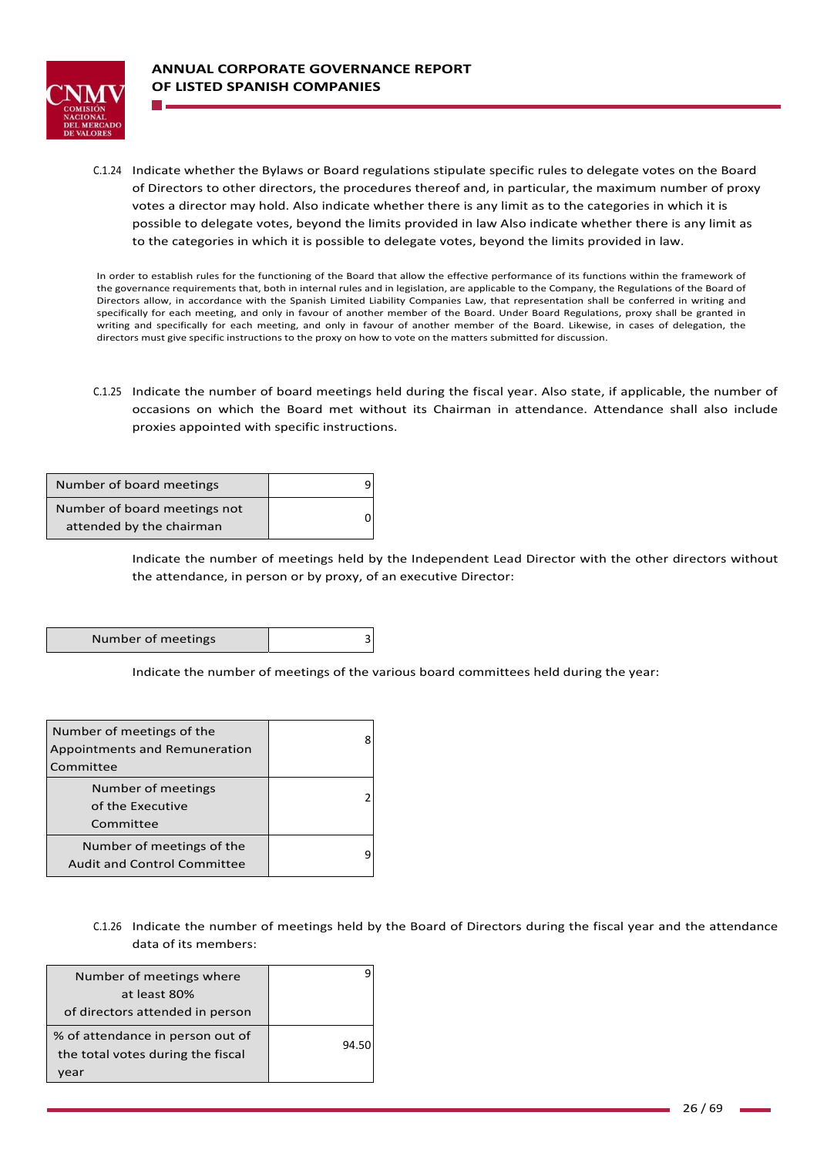

C.1.24 Indicate whether the Bylaws or Board regulations stipulate specific rules to delegate votes on the Board of Directors to other directors, the procedures thereof and, in particular, the maximum number of proxy votes a director may hold. Also indicate whether there is any limit as to the categories in which it is possible to delegate votes, beyond the limits provided in law Also indicate whether there is any limit as to the categories in which it is possible to delegate votes, beyond the limits provided in law.

In order to establish rules for the functioning of the Board that allow the effective performance of its functions within the framework of the governance requirements that, both in internal rules and in legislation, are applicable to the Company, the Regulations of the Board of Directors allow, in accordance with the Spanish Limited Liability Companies Law, that representation shall be conferred in writing and specifically for each meeting, and only in favour of another member of the Board. Under Board Regulations, proxy shall be granted in writing and specifically for each meeting, and only in favour of another member of the Board. Likewise, in cases of delegation, the directors must give specific instructions to the proxy on how to vote on the matters submitted for discussion.

C.1.25 Indicate the number of board meetings held during the fiscal year. Also state, if applicable, the number of occasions on which the Board met without its Chairman in attendance. Attendance shall also include proxies appointed with specific instructions.

| Number of board meetings     |  |
|------------------------------|--|
| Number of board meetings not |  |
| attended by the chairman     |  |

Indicate the number of meetings held by the Independent Lead Director with the other directors without the attendance, in person or by proxy, of an executive Director:

| Number of meetings |  |
|--------------------|--|
|                    |  |

Indicate the number of meetings of the various board committees held during the year:

| Number of meetings of the<br>Appointments and Remuneration<br>Committee |  |
|-------------------------------------------------------------------------|--|
| Number of meetings<br>of the Executive<br>Committee                     |  |
| Number of meetings of the<br><b>Audit and Control Committee</b>         |  |

C.1.26 Indicate the number of meetings held by the Board of Directors during the fiscal year and the attendance data of its members:

| Number of meetings where          |       |
|-----------------------------------|-------|
| at least 80%                      |       |
| of directors attended in person   |       |
| % of attendance in person out of  | 94.50 |
| the total votes during the fiscal |       |
| 'ear                              |       |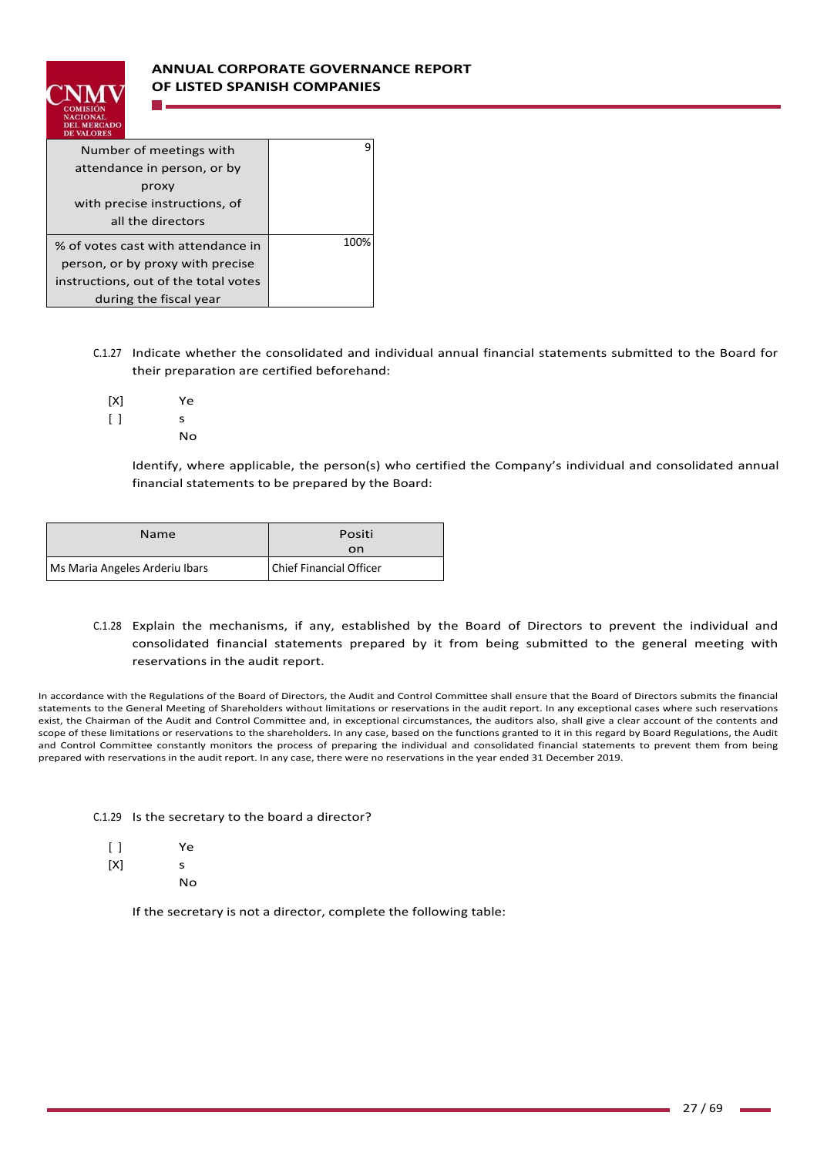

| Number of meetings with              |      |
|--------------------------------------|------|
| attendance in person, or by          |      |
| proxy                                |      |
| with precise instructions, of        |      |
| all the directors                    |      |
| % of votes cast with attendance in   | 100% |
| person, or by proxy with precise     |      |
| instructions, out of the total votes |      |
| during the fiscal year               |      |

- C.1.27 Indicate whether the consolidated and individual annual financial statements submitted to the Board for their preparation are certified beforehand:
	- $[X]$  $\lceil$   $\rceil$ Ye s
		- No

Identify, where applicable, the person(s) who certified the Company's individual and consolidated annual financial statements to be prepared by the Board:

| <b>Name</b>                    | Positi<br>on            |
|--------------------------------|-------------------------|
| Ms Maria Angeles Arderiu Ibars | Chief Financial Officer |

# C.1.28 Explain the mechanisms, if any, established by the Board of Directors to prevent the individual and consolidated financial statements prepared by it from being submitted to the general meeting with reservations in the audit report.

In accordance with the Regulations of the Board of Directors, the Audit and Control Committee shall ensure that the Board of Directors submits the financial statements to the General Meeting of Shareholders without limitations or reservations in the audit report. In any exceptional cases where such reservations exist, the Chairman of the Audit and Control Committee and, in exceptional circumstances, the auditors also, shall give a clear account of the contents and scope of these limitations or reservations to the shareholders. In any case, based on the functions granted to it in this regard by Board Regulations, the Audit and Control Committee constantly monitors the process of preparing the individual and consolidated financial statements to prevent them from being prepared with reservations in the audit report. In any case, there were no reservations in the year ended 31 December 2019.

|  |  | C.1.29 Is the secretary to the board a director? |  |  |  |  |
|--|--|--------------------------------------------------|--|--|--|--|
|--|--|--------------------------------------------------|--|--|--|--|

| $\lceil$ | Ye |
|----------|----|
| [X]      | s  |

No

If the secretary is not a director, complete the following table: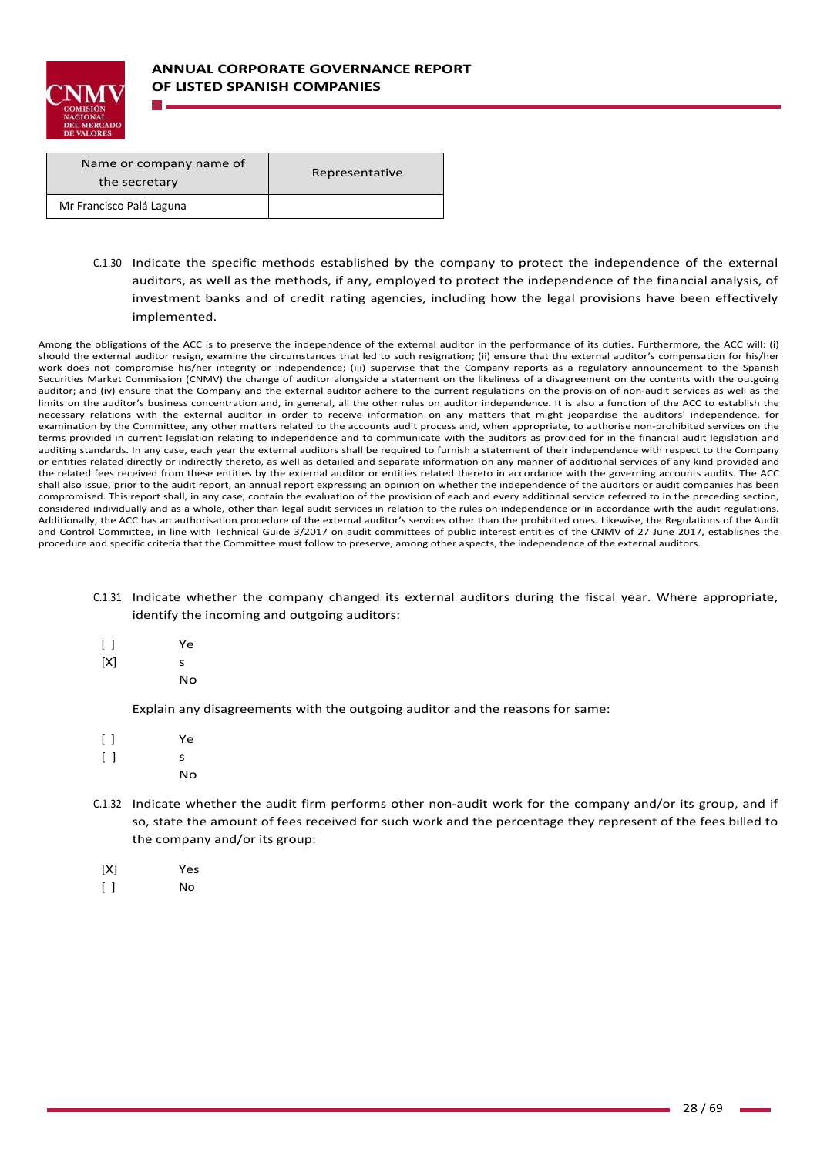

| Name or company name of<br>the secretary | Representative |
|------------------------------------------|----------------|
| Mr Francisco Palá Laguna                 |                |

C.1.30 Indicate the specific methods established by the company to protect the independence of the external auditors, as well as the methods, if any, employed to protect the independence of the financial analysis, of investment banks and of credit rating agencies, including how the legal provisions have been effectively implemented.

Among the obligations of the ACC is to preserve the independence of the external auditor in the performance of its duties. Furthermore, the ACC will: (i) should the external auditor resign, examine the circumstances that led to such resignation; (ii) ensure that the external auditor's compensation for his/her work does not compromise his/her integrity or independence; (iii) supervise that the Company reports as a regulatory announcement to the Spanish Securities Market Commission (CNMV) the change of auditor alongside a statement on the likeliness of a disagreement on the contents with the outgoing auditor; and (iv) ensure that the Company and the external auditor adhere to the current regulations on the provision of non-audit services as well as the limits on the auditor's business concentration and, in general, all the other rules on auditor independence. It is also a function of the ACC to establish the necessary relations with the external auditor in order to receive information on any matters that might jeopardise the auditors' independence, for examination by the Committee, any other matters related to the accounts audit process and, when appropriate, to authorise non‐prohibited services on the terms provided in current legislation relating to independence and to communicate with the auditors as provided for in the financial audit legislation and auditing standards. In any case, each year the external auditors shall be required to furnish a statement of their independence with respect to the Company or entities related directly or indirectly thereto, as well as detailed and separate information on any manner of additional services of any kind provided and the related fees received from these entities by the external auditor or entities related thereto in accordance with the governing accounts audits. The ACC shall also issue, prior to the audit report, an annual report expressing an opinion on whether the independence of the auditors or audit companies has been compromised. This report shall, in any case, contain the evaluation of the provision of each and every additional service referred to in the preceding section, considered individually and as a whole, other than legal audit services in relation to the rules on independence or in accordance with the audit regulations. Additionally, the ACC has an authorisation procedure of the external auditor's services other than the prohibited ones. Likewise, the Regulations of the Audit and Control Committee, in line with Technical Guide 3/2017 on audit committees of public interest entities of the CNMV of 27 June 2017, establishes the procedure and specific criteria that the Committee must follow to preserve, among other aspects, the independence of the external auditors.

- C.1.31 Indicate whether the company changed its external auditors during the fiscal year. Where appropriate, identify the incoming and outgoing auditors:
	- $\lceil$   $\rceil$ Ye
	- $[X]$ s
		- No

Explain any disagreements with the outgoing auditor and the reasons for same:

- $[ ]$  $[ ]$ Ye s
	- No
- C.1.32 Indicate whether the audit firm performs other non‐audit work for the company and/or its group, and if so, state the amount of fees received for such work and the percentage they represent of the fees billed to the company and/or its group:
- [X] Yes
- [ ] No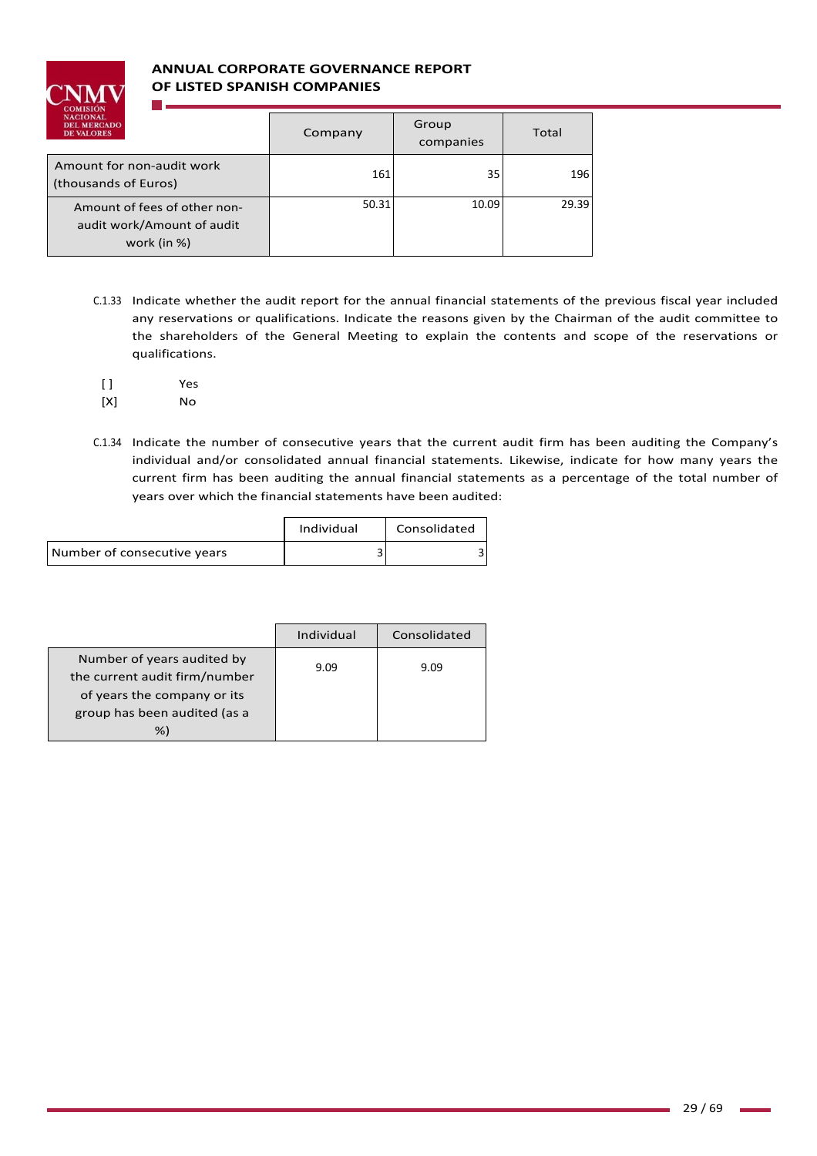

# **ANNUAL CORPORATE GOVERNANCE REPORT OF LISTED SPANISH COMPANIES**

| <b>NACIONAL</b><br><b>DEL MERCADO</b><br><b>DE VALORES</b>                | Company | Group<br>companies | Total |
|---------------------------------------------------------------------------|---------|--------------------|-------|
| Amount for non-audit work<br>(thousands of Euros)                         | 161     | 35                 | 196   |
| Amount of fees of other non-<br>audit work/Amount of audit<br>work (in %) | 50.31   | 10.09              | 29.39 |

- C.1.33 Indicate whether the audit report for the annual financial statements of the previous fiscal year included any reservations or qualifications. Indicate the reasons given by the Chairman of the audit committee to the shareholders of the General Meeting to explain the contents and scope of the reservations or qualifications.
- [ ] Yes
- [X] No
- C.1.34 Indicate the number of consecutive years that the current audit firm has been auditing the Company's individual and/or consolidated annual financial statements. Likewise, indicate for how many years the current firm has been auditing the annual financial statements as a percentage of the total number of years over which the financial statements have been audited:

|                             | Individual | Consolidated |
|-----------------------------|------------|--------------|
| Number of consecutive years |            |              |

|                                                             | Individual | Consolidated |
|-------------------------------------------------------------|------------|--------------|
| Number of years audited by<br>the current audit firm/number | 9.09       | 9.09         |
| of years the company or its                                 |            |              |
| group has been audited (as a                                |            |              |
| %)                                                          |            |              |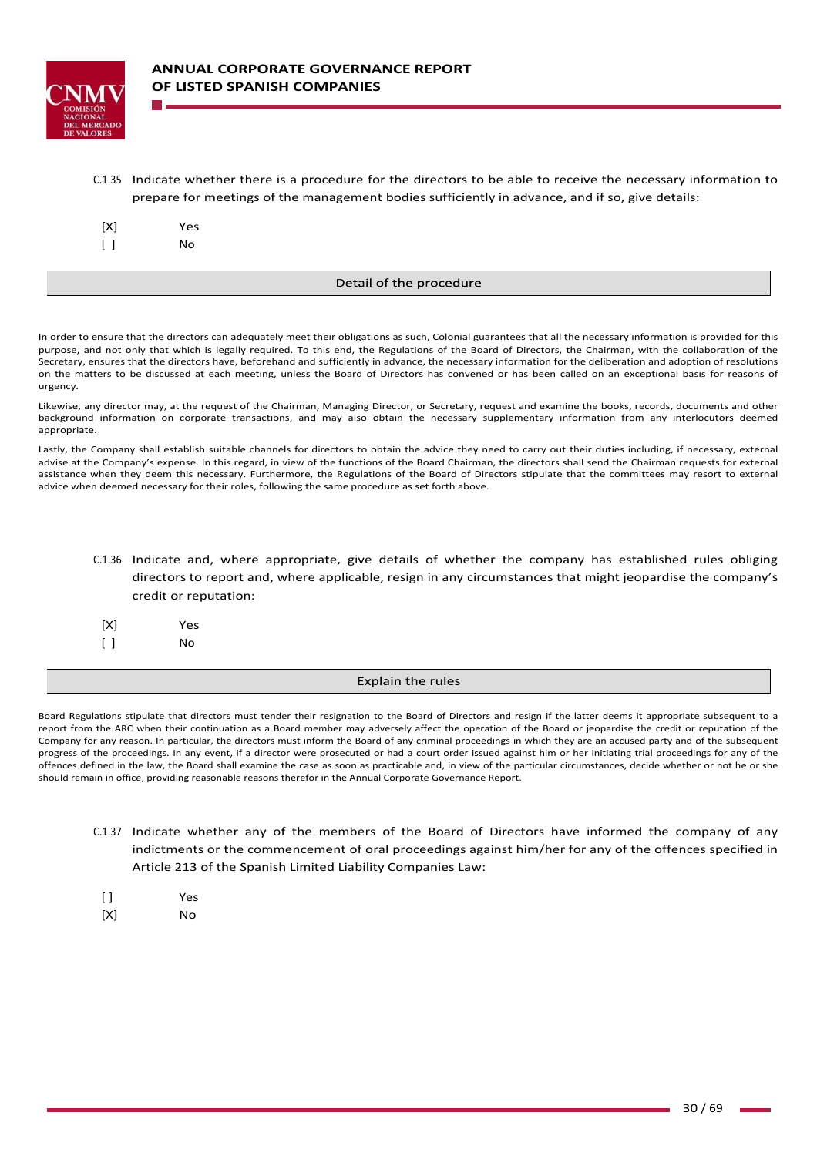

C.1.35 Indicate whether there is a procedure for the directors to be able to receive the necessary information to prepare for meetings of the management bodies sufficiently in advance, and if so, give details:

| [X]    | Yes |
|--------|-----|
| $\Box$ | No  |

#### Detail of the procedure

In order to ensure that the directors can adequately meet their obligations as such, Colonial guarantees that all the necessary information is provided for this purpose, and not only that which is legally required. To this end, the Regulations of the Board of Directors, the Chairman, with the collaboration of the Secretary, ensures that the directors have, beforehand and sufficiently in advance, the necessary information for the deliberation and adoption of resolutions on the matters to be discussed at each meeting, unless the Board of Directors has convened or has been called on an exceptional basis for reasons of urgency.

Likewise, any director may, at the request of the Chairman, Managing Director, or Secretary, request and examine the books, records, documents and other background information on corporate transactions, and may also obtain the necessary supplementary information from any interlocutors deemed appropriate.

Lastly, the Company shall establish suitable channels for directors to obtain the advice they need to carry out their duties including, if necessary, external advise at the Company's expense. In this regard, in view of the functions of the Board Chairman, the directors shall send the Chairman requests for external assistance when they deem this necessary. Furthermore, the Regulations of the Board of Directors stipulate that the committees may resort to external advice when deemed necessary for their roles, following the same procedure as set forth above.

## C.1.36 Indicate and, where appropriate, give details of whether the company has established rules obliging directors to report and, where applicable, resign in any circumstances that might jeopardise the company's credit or reputation:

| [X]                                     | Yes |
|-----------------------------------------|-----|
| $\begin{smallmatrix} \end{smallmatrix}$ | Nο  |

### Explain the rules

Board Regulations stipulate that directors must tender their resignation to the Board of Directors and resign if the latter deems it appropriate subsequent to a report from the ARC when their continuation as a Board member may adversely affect the operation of the Board or jeopardise the credit or reputation of the Company for any reason. In particular, the directors must inform the Board of any criminal proceedings in which they are an accused party and of the subsequent progress of the proceedings. In any event, if a director were prosecuted or had a court order issued against him or her initiating trial proceedings for any of the offences defined in the law, the Board shall examine the case as soon as practicable and, in view of the particular circumstances, decide whether or not he or she should remain in office, providing reasonable reasons therefor in the Annual Corporate Governance Report.

- C.1.37 Indicate whether any of the members of the Board of Directors have informed the company of any indictments or the commencement of oral proceedings against him/her for any of the offences specified in Article 213 of the Spanish Limited Liability Companies Law:
- [ ] Yes
- [X] No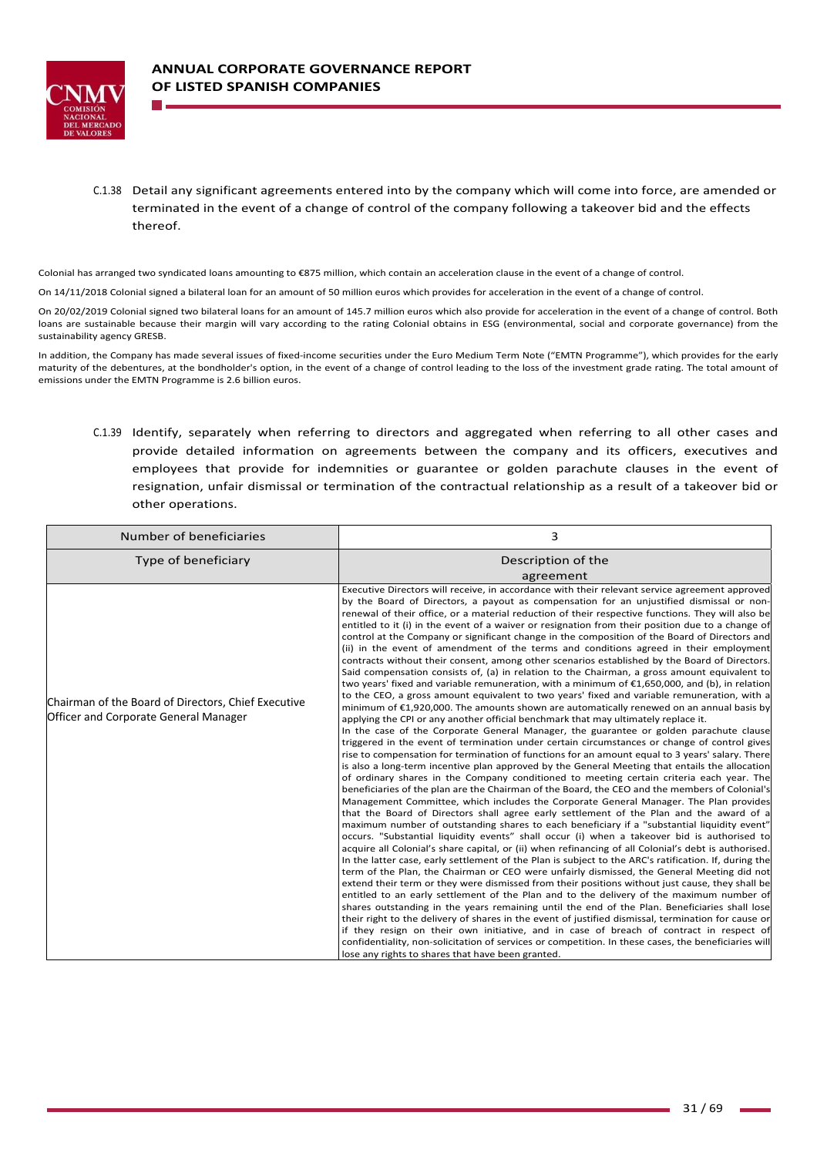

C.1.38 Detail any significant agreements entered into by the company which will come into force, are amended or terminated in the event of a change of control of the company following a takeover bid and the effects thereof.

Colonial has arranged two syndicated loans amounting to €875 million, which contain an acceleration clause in the event of a change of control.

On 14/11/2018 Colonial signed a bilateral loan for an amount of 50 million euros which provides for acceleration in the event of a change of control.

On 20/02/2019 Colonial signed two bilateral loans for an amount of 145.7 million euros which also provide for acceleration in the event of a change of control. Both loans are sustainable because their margin will vary according to the rating Colonial obtains in ESG (environmental, social and corporate governance) from the sustainability agency GRESB.

In addition, the Company has made several issues of fixed-income securities under the Euro Medium Term Note ("EMTN Programme"), which provides for the early maturity of the debentures, at the bondholder's option, in the event of a change of control leading to the loss of the investment grade rating. The total amount of emissions under the EMTN Programme is 2.6 billion euros.

C.1.39 Identify, separately when referring to directors and aggregated when referring to all other cases and provide detailed information on agreements between the company and its officers, executives and employees that provide for indemnities or guarantee or golden parachute clauses in the event of resignation, unfair dismissal or termination of the contractual relationship as a result of a takeover bid or other operations.

| Number of beneficiaries                                                                             | 3                                                                                                                                                                                                                                                                                                                                                                                                                                                                                                                                                                                                                                                                                                                                                                                                                                                                                                                                                                                                                                                                                                                                                                                                                                                                                                                                                                                                                                                                                                                                                                                                                                                                                                                                                                                                                                                                                                                                                                                                                                                                                                                                                                                                                                                                                                                                                                                                                                                                                                                                                                                                                                                                                                                                                                                                                                                                                                                                                                                                                                                                                                                                               |
|-----------------------------------------------------------------------------------------------------|-------------------------------------------------------------------------------------------------------------------------------------------------------------------------------------------------------------------------------------------------------------------------------------------------------------------------------------------------------------------------------------------------------------------------------------------------------------------------------------------------------------------------------------------------------------------------------------------------------------------------------------------------------------------------------------------------------------------------------------------------------------------------------------------------------------------------------------------------------------------------------------------------------------------------------------------------------------------------------------------------------------------------------------------------------------------------------------------------------------------------------------------------------------------------------------------------------------------------------------------------------------------------------------------------------------------------------------------------------------------------------------------------------------------------------------------------------------------------------------------------------------------------------------------------------------------------------------------------------------------------------------------------------------------------------------------------------------------------------------------------------------------------------------------------------------------------------------------------------------------------------------------------------------------------------------------------------------------------------------------------------------------------------------------------------------------------------------------------------------------------------------------------------------------------------------------------------------------------------------------------------------------------------------------------------------------------------------------------------------------------------------------------------------------------------------------------------------------------------------------------------------------------------------------------------------------------------------------------------------------------------------------------------------------------------------------------------------------------------------------------------------------------------------------------------------------------------------------------------------------------------------------------------------------------------------------------------------------------------------------------------------------------------------------------------------------------------------------------------------------------------------------------|
| Type of beneficiary                                                                                 | Description of the<br>agreement                                                                                                                                                                                                                                                                                                                                                                                                                                                                                                                                                                                                                                                                                                                                                                                                                                                                                                                                                                                                                                                                                                                                                                                                                                                                                                                                                                                                                                                                                                                                                                                                                                                                                                                                                                                                                                                                                                                                                                                                                                                                                                                                                                                                                                                                                                                                                                                                                                                                                                                                                                                                                                                                                                                                                                                                                                                                                                                                                                                                                                                                                                                 |
| Chairman of the Board of Directors, Chief Executive<br><b>Officer and Corporate General Manager</b> | Executive Directors will receive, in accordance with their relevant service agreement approved<br>by the Board of Directors, a payout as compensation for an unjustified dismissal or non-<br>renewal of their office, or a material reduction of their respective functions. They will also be<br>entitled to it (i) in the event of a waiver or resignation from their position due to a change of<br>control at the Company or significant change in the composition of the Board of Directors and<br>(ii) in the event of amendment of the terms and conditions agreed in their employment<br>contracts without their consent, among other scenarios established by the Board of Directors.<br>Said compensation consists of, (a) in relation to the Chairman, a gross amount equivalent to<br>two years' fixed and variable remuneration, with a minimum of €1,650,000, and (b), in relation<br>to the CEO, a gross amount equivalent to two years' fixed and variable remuneration, with a<br>minimum of €1,920,000. The amounts shown are automatically renewed on an annual basis by<br>applying the CPI or any another official benchmark that may ultimately replace it.<br>In the case of the Corporate General Manager, the guarantee or golden parachute clause<br>triggered in the event of termination under certain circumstances or change of control gives<br>rise to compensation for termination of functions for an amount equal to 3 years' salary. There<br>is also a long-term incentive plan approved by the General Meeting that entails the allocation<br>of ordinary shares in the Company conditioned to meeting certain criteria each year. The<br>beneficiaries of the plan are the Chairman of the Board, the CEO and the members of Colonial's<br>Management Committee, which includes the Corporate General Manager. The Plan provides<br>that the Board of Directors shall agree early settlement of the Plan and the award of a<br>maximum number of outstanding shares to each beneficiary if a "substantial liquidity event"<br>occurs. "Substantial liquidity events" shall occur (i) when a takeover bid is authorised to<br>acquire all Colonial's share capital, or (ii) when refinancing of all Colonial's debt is authorised.<br>In the latter case, early settlement of the Plan is subject to the ARC's ratification. If, during the<br>term of the Plan, the Chairman or CEO were unfairly dismissed, the General Meeting did not<br>extend their term or they were dismissed from their positions without just cause, they shall be<br>entitled to an early settlement of the Plan and to the delivery of the maximum number of<br>shares outstanding in the years remaining until the end of the Plan. Beneficiaries shall lose<br>their right to the delivery of shares in the event of justified dismissal, termination for cause or<br>if they resign on their own initiative, and in case of breach of contract in respect of<br>confidentiality, non-solicitation of services or competition. In these cases, the beneficiaries will<br>lose any rights to shares that have been granted. |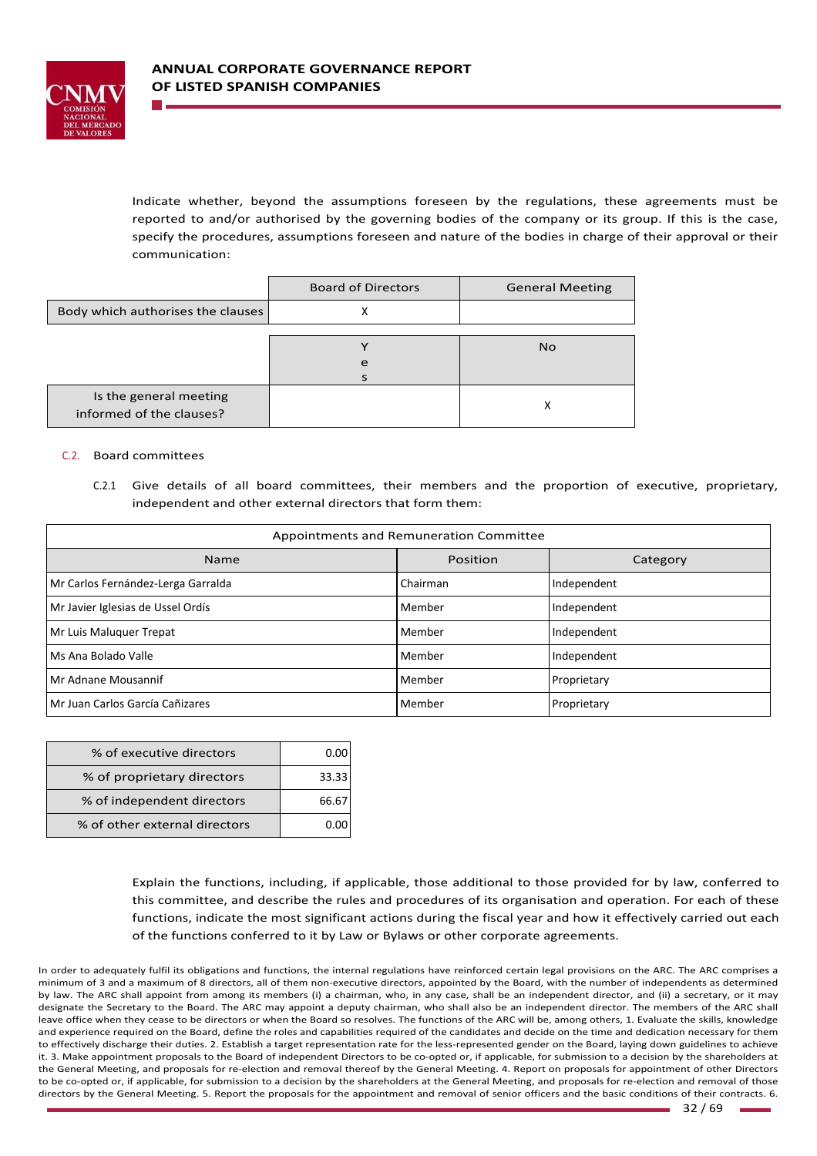

Indicate whether, beyond the assumptions foreseen by the regulations, these agreements must be reported to and/or authorised by the governing bodies of the company or its group. If this is the case, specify the procedures, assumptions foreseen and nature of the bodies in charge of their approval or their communication:

|                                                    | <b>Board of Directors</b> | <b>General Meeting</b> |
|----------------------------------------------------|---------------------------|------------------------|
| Body which authorises the clauses                  | ↗                         |                        |
|                                                    |                           |                        |
|                                                    |                           | <b>No</b>              |
|                                                    | e                         |                        |
|                                                    |                           |                        |
| Is the general meeting<br>informed of the clauses? |                           | ᄉ                      |

### C.2. Board committees

C.2.1 Give details of all board committees, their members and the proportion of executive, proprietary, independent and other external directors that form them:

| Appointments and Remuneration Committee |          |             |
|-----------------------------------------|----------|-------------|
| Name                                    | Position | Category    |
| Mr Carlos Fernández-Lerga Garralda      | Chairman | Independent |
| Mr Javier Iglesias de Ussel Ordís       | Member   | Independent |
| Mr Luis Maluquer Trepat                 | Member   | Independent |
| Ms Ana Bolado Valle                     | Member   | Independent |
| Mr Adnane Mousannif                     | Member   | Proprietary |
| l Mr Juan Carlos García Cañizares       | Member   | Proprietary |

| % of executive directors      |       |
|-------------------------------|-------|
| % of proprietary directors    | 33.33 |
| % of independent directors    | 66.6  |
| % of other external directors |       |

Explain the functions, including, if applicable, those additional to those provided for by law, conferred to this committee, and describe the rules and procedures of its organisation and operation. For each of these functions, indicate the most significant actions during the fiscal year and how it effectively carried out each of the functions conferred to it by Law or Bylaws or other corporate agreements.

In order to adequately fulfil its obligations and functions, the internal regulations have reinforced certain legal provisions on the ARC. The ARC comprises a minimum of 3 and a maximum of 8 directors, all of them non‐executive directors, appointed by the Board, with the number of independents as determined by law. The ARC shall appoint from among its members (i) a chairman, who, in any case, shall be an independent director, and (ii) a secretary, or it may designate the Secretary to the Board. The ARC may appoint a deputy chairman, who shall also be an independent director. The members of the ARC shall leave office when they cease to be directors or when the Board so resolves. The functions of the ARC will be, among others, 1. Evaluate the skills, knowledge and experience required on the Board, define the roles and capabilities required of the candidates and decide on the time and dedication necessary for them to effectively discharge their duties. 2. Establish a target representation rate for the less-represented gender on the Board, laying down guidelines to achieve it. 3. Make appointment proposals to the Board of independent Directors to be co-opted or, if applicable, for submission to a decision by the shareholders at the General Meeting, and proposals for re‐election and removal thereof by the General Meeting. 4. Report on proposals for appointment of other Directors to be co-opted or, if applicable, for submission to a decision by the shareholders at the General Meeting, and proposals for re-election and removal of those directors by the General Meeting. 5. Report the proposals for the appointment and removal of senior officers and the basic conditions of their contracts. 6.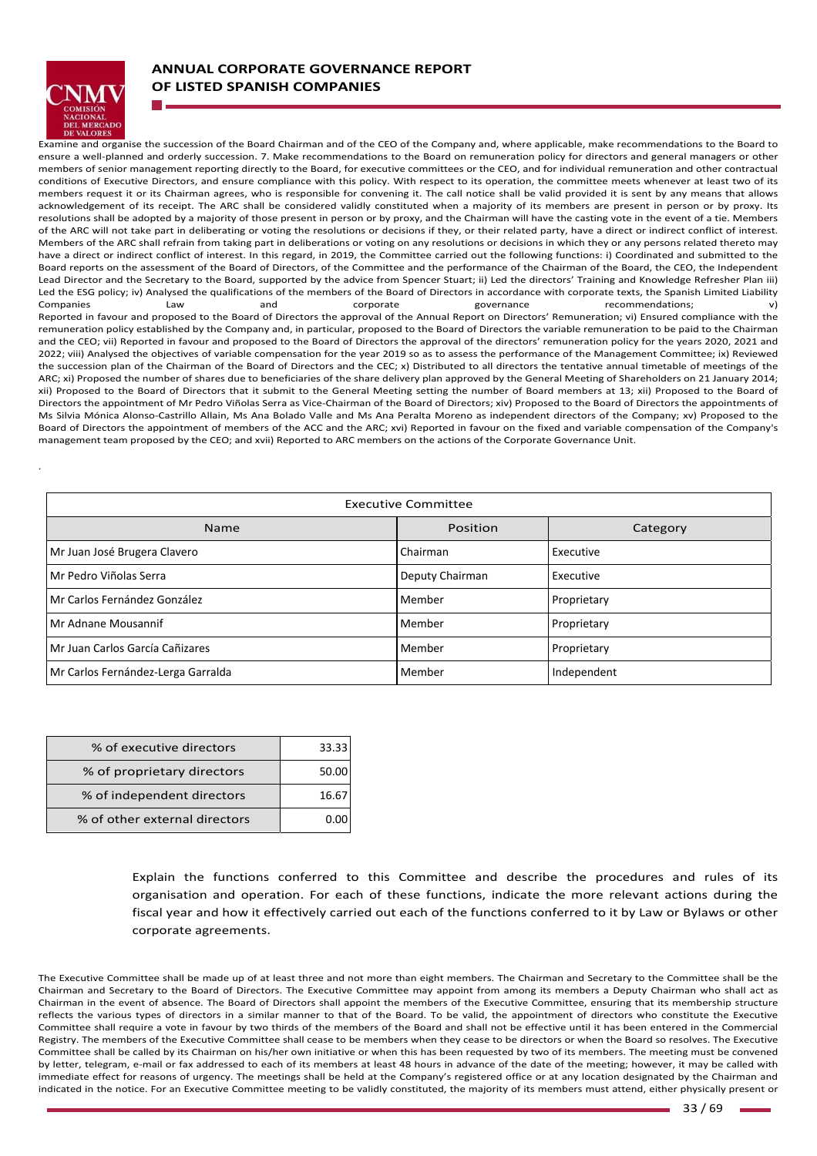

.

# **ANNUAL CORPORATE GOVERNANCE REPORT OF LISTED SPANISH COMPANIES**

Examine and organise the succession of the Board Chairman and of the CEO of the Company and, where applicable, make recommendations to the Board to ensure a well‐planned and orderly succession. 7. Make recommendations to the Board on remuneration policy for directors and general managers or other members of senior management reporting directly to the Board, for executive committees or the CEO, and for individual remuneration and other contractual conditions of Executive Directors, and ensure compliance with this policy. With respect to its operation, the committee meets whenever at least two of its members request it or its Chairman agrees, who is responsible for convening it. The call notice shall be valid provided it is sent by any means that allows acknowledgement of its receipt. The ARC shall be considered validly constituted when a majority of its members are present in person or by proxy. Its resolutions shall be adopted by a majority of those present in person or by proxy, and the Chairman will have the casting vote in the event of a tie. Members of the ARC will not take part in deliberating or voting the resolutions or decisions if they, or their related party, have a direct or indirect conflict of interest. Members of the ARC shall refrain from taking part in deliberations or voting on any resolutions or decisions in which they or any persons related thereto may have a direct or indirect conflict of interest. In this regard, in 2019, the Committee carried out the following functions: i) Coordinated and submitted to the Board reports on the assessment of the Board of Directors, of the Committee and the performance of the Chairman of the Board, the CEO, the Independent Lead Director and the Secretary to the Board, supported by the advice from Spencer Stuart; ii) Led the directors' Training and Knowledge Refresher Plan iii) Led the ESG policy; iv) Analysed the qualifications of the members of the Board of Directors in accordance with corporate texts, the Spanish Limited Liability<br>Companies Law and corporate governance processes and corporate recommendations; Reported in favour and proposed to the Board of Directors the approval of the Annual Report on Directors' Remuneration; vi) Ensured compliance with the remuneration policy established by the Company and, in particular, proposed to the Board of Directors the variable remuneration to be paid to the Chairman and the CEO; vii) Reported in favour and proposed to the Board of Directors the approval of the directors' remuneration policy for the years 2020, 2021 and 2022; viii) Analysed the objectives of variable compensation for the year 2019 so as to assess the performance of the Management Committee; ix) Reviewed the succession plan of the Chairman of the Board of Directors and the CEC; x) Distributed to all directors the tentative annual timetable of meetings of the ARC; xi) Proposed the number of shares due to beneficiaries of the share delivery plan approved by the General Meeting of Shareholders on 21 January 2014; xii) Proposed to the Board of Directors that it submit to the General Meeting setting the number of Board members at 13; xii) Proposed to the Board of Directors the appointment of Mr Pedro Viñolas Serra as Vice-Chairman of the Board of Directors; xiv) Proposed to the Board of Directors the appointments of Ms Silvia Mónica Alonso-Castrillo Allain, Ms Ana Bolado Valle and Ms Ana Peralta Moreno as independent directors of the Company; xv) Proposed to the Board of Directors the appointment of members of the ACC and the ARC; xvi) Reported in favour on the fixed and variable compensation of the Company's management team proposed by the CEO; and xvii) Reported to ARC members on the actions of the Corporate Governance Unit.

| <b>Executive Committee</b>         |                 |             |
|------------------------------------|-----------------|-------------|
| Name                               | Position        | Category    |
| Mr Juan José Brugera Clavero       | Chairman        | Executive   |
| l Mr Pedro Viñolas Serra           | Deputy Chairman | Executive   |
| Mr Carlos Fernández González       | Member          | Proprietary |
| Mr Adnane Mousannif                | Member          | Proprietary |
| Mr Juan Carlos García Cañizares    | Member          | Proprietary |
| Mr Carlos Fernández-Lerga Garralda | Member          | Independent |

| % of executive directors      | 33.33 |
|-------------------------------|-------|
| % of proprietary directors    | 50.0  |
| % of independent directors    | 16.6  |
| % of other external directors |       |

Explain the functions conferred to this Committee and describe the procedures and rules of its organisation and operation. For each of these functions, indicate the more relevant actions during the fiscal year and how it effectively carried out each of the functions conferred to it by Law or Bylaws or other corporate agreements.

The Executive Committee shall be made up of at least three and not more than eight members. The Chairman and Secretary to the Committee shall be the Chairman and Secretary to the Board of Directors. The Executive Committee may appoint from among its members a Deputy Chairman who shall act as Chairman in the event of absence. The Board of Directors shall appoint the members of the Executive Committee, ensuring that its membership structure reflects the various types of directors in a similar manner to that of the Board. To be valid, the appointment of directors who constitute the Executive Committee shall require a vote in favour by two thirds of the members of the Board and shall not be effective until it has been entered in the Commercial Registry. The members of the Executive Committee shall cease to be members when they cease to be directors or when the Board so resolves. The Executive Committee shall be called by its Chairman on his/her own initiative or when this has been requested by two of its members. The meeting must be convened by letter, telegram, e-mail or fax addressed to each of its members at least 48 hours in advance of the date of the meeting; however, it may be called with immediate effect for reasons of urgency. The meetings shall be held at the Company's registered office or at any location designated by the Chairman and indicated in the notice. For an Executive Committee meeting to be validly constituted, the majority of its members must attend, either physically present or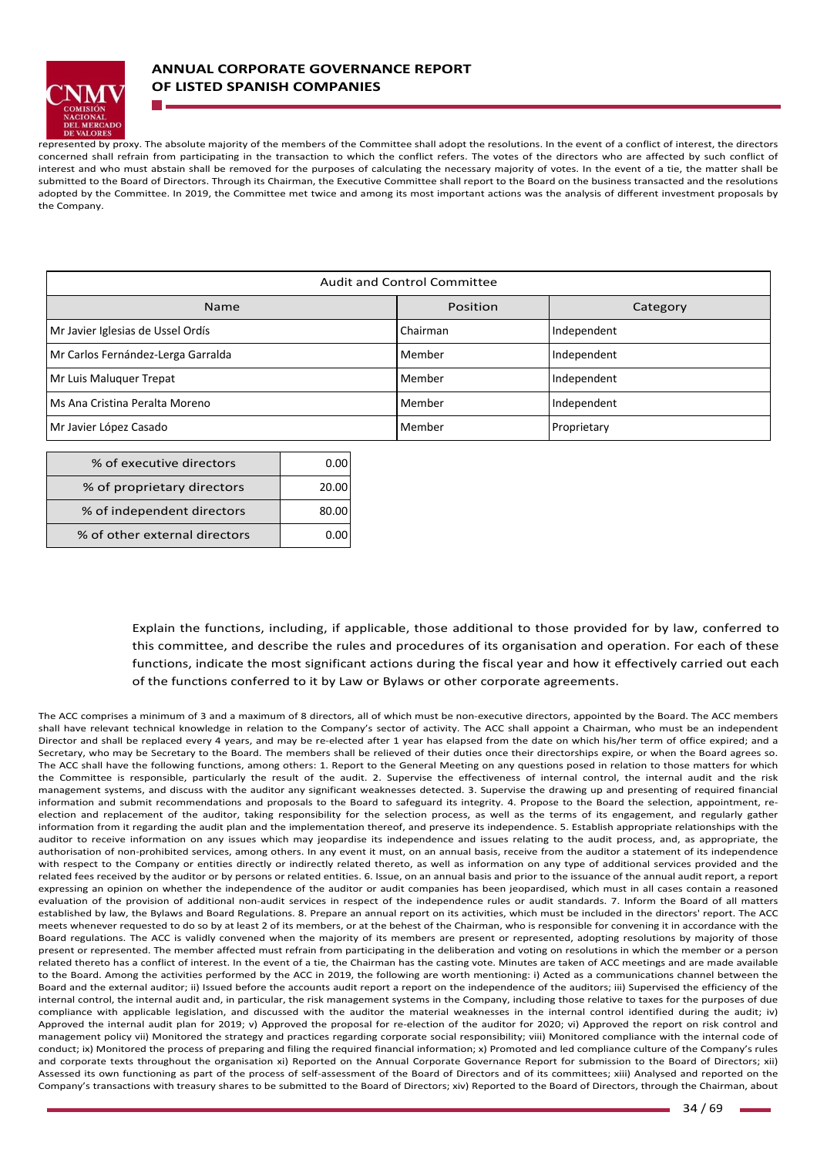

represented by proxy. The absolute majority of the members of the Committee shall adopt the resolutions. In the event of a conflict of interest, the directors concerned shall refrain from participating in the transaction to which the conflict refers. The votes of the directors who are affected by such conflict of interest and who must abstain shall be removed for the purposes of calculating the necessary majority of votes. In the event of a tie, the matter shall be submitted to the Board of Directors. Through its Chairman, the Executive Committee shall report to the Board on the business transacted and the resolutions adopted by the Committee. In 2019, the Committee met twice and among its most important actions was the analysis of different investment proposals by the Company.

| Audit and Control Committee        |          |             |  |
|------------------------------------|----------|-------------|--|
| Name                               | Position | Category    |  |
| Mr Javier Iglesias de Ussel Ordís  | Chairman | Independent |  |
| Mr Carlos Fernández-Lerga Garralda | Member   | Independent |  |
| Mr Luis Maluguer Trepat            | Member   | Independent |  |
| Ms Ana Cristina Peralta Moreno     | Member   | Independent |  |
| Mr Javier López Casado             | Member   | Proprietary |  |

| % of executive directors      |       |
|-------------------------------|-------|
| % of proprietary directors    | 20.00 |
| % of independent directors    | 80.00 |
| % of other external directors |       |

Explain the functions, including, if applicable, those additional to those provided for by law, conferred to this committee, and describe the rules and procedures of its organisation and operation. For each of these functions, indicate the most significant actions during the fiscal year and how it effectively carried out each of the functions conferred to it by Law or Bylaws or other corporate agreements.

The ACC comprises a minimum of 3 and a maximum of 8 directors, all of which must be non-executive directors, appointed by the Board. The ACC members shall have relevant technical knowledge in relation to the Company's sector of activity. The ACC shall appoint a Chairman, who must be an independent Director and shall be replaced every 4 years, and may be re-elected after 1 year has elapsed from the date on which his/her term of office expired; and a Secretary, who may be Secretary to the Board. The members shall be relieved of their duties once their directorships expire, or when the Board agrees so. The ACC shall have the following functions, among others: 1. Report to the General Meeting on any questions posed in relation to those matters for which the Committee is responsible, particularly the result of the audit. 2. Supervise the effectiveness of internal control, the internal audit and the risk management systems, and discuss with the auditor any significant weaknesses detected. 3. Supervise the drawing up and presenting of required financial information and submit recommendations and proposals to the Board to safeguard its integrity. 4. Propose to the Board the selection, appointment, reelection and replacement of the auditor, taking responsibility for the selection process, as well as the terms of its engagement, and regularly gather information from it regarding the audit plan and the implementation thereof, and preserve its independence. 5. Establish appropriate relationships with the auditor to receive information on any issues which may jeopardise its independence and issues relating to the audit process, and, as appropriate, the authorisation of non-prohibited services, among others. In any event it must, on an annual basis, receive from the auditor a statement of its independence with respect to the Company or entities directly or indirectly related thereto, as well as information on any type of additional services provided and the related fees received by the auditor or by persons or related entities. 6. Issue, on an annual basis and prior to the issuance of the annual audit report, a report expressing an opinion on whether the independence of the auditor or audit companies has been jeopardised, which must in all cases contain a reasoned evaluation of the provision of additional non-audit services in respect of the independence rules or audit standards. 7. Inform the Board of all matters established by law, the Bylaws and Board Regulations. 8. Prepare an annual report on its activities, which must be included in the directors' report. The ACC meets whenever requested to do so by at least 2 of its members, or at the behest of the Chairman, who is responsible for convening it in accordance with the Board regulations. The ACC is validly convened when the majority of its members are present or represented, adopting resolutions by majority of those present or represented. The member affected must refrain from participating in the deliberation and voting on resolutions in which the member or a person related thereto has a conflict of interest. In the event of a tie, the Chairman has the casting vote. Minutes are taken of ACC meetings and are made available to the Board. Among the activities performed by the ACC in 2019, the following are worth mentioning: i) Acted as a communications channel between the Board and the external auditor; ii) Issued before the accounts audit report a report on the independence of the auditors; iii) Supervised the efficiency of the internal control, the internal audit and, in particular, the risk management systems in the Company, including those relative to taxes for the purposes of due compliance with applicable legislation, and discussed with the auditor the material weaknesses in the internal control identified during the audit; iv) Approved the internal audit plan for 2019; v) Approved the proposal for re-election of the auditor for 2020; vi) Approved the report on risk control and management policy vii) Monitored the strategy and practices regarding corporate social responsibility; viii) Monitored compliance with the internal code of conduct; ix) Monitored the process of preparing and filing the required financial information; x) Promoted and led compliance culture of the Company's rules and corporate texts throughout the organisation xi) Reported on the Annual Corporate Governance Report for submission to the Board of Directors; xii) Assessed its own functioning as part of the process of self‐assessment of the Board of Directors and of its committees; xiii) Analysed and reported on the Company's transactions with treasury shares to be submitted to the Board of Directors; xiv) Reported to the Board of Directors, through the Chairman, about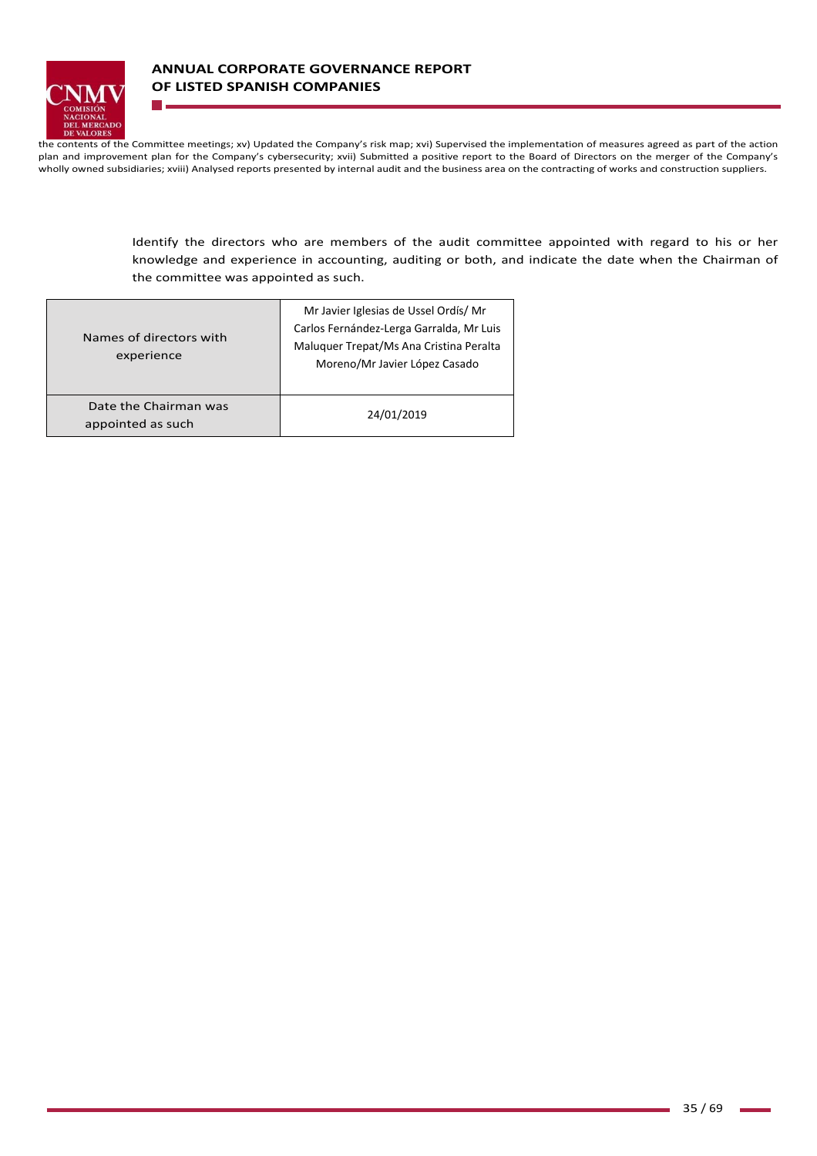

the contents of the Committee meetings; xv) Updated the Company's risk map; xvi) Supervised the implementation of measures agreed as part of the action plan and improvement plan for the Company's cybersecurity; xvii) Submitted a positive report to the Board of Directors on the merger of the Company's wholly owned subsidiaries; xviii) Analysed reports presented by internal audit and the business area on the contracting of works and construction suppliers.

> Identify the directors who are members of the audit committee appointed with regard to his or her knowledge and experience in accounting, auditing or both, and indicate the date when the Chairman of the committee was appointed as such.

| Names of directors with<br>experience      | Mr Javier Iglesias de Ussel Ordís/Mr<br>Carlos Fernández-Lerga Garralda, Mr Luis<br>Maluquer Trepat/Ms Ana Cristina Peralta<br>Moreno/Mr Javier López Casado |  |  |  |
|--------------------------------------------|--------------------------------------------------------------------------------------------------------------------------------------------------------------|--|--|--|
| Date the Chairman was<br>appointed as such | 24/01/2019                                                                                                                                                   |  |  |  |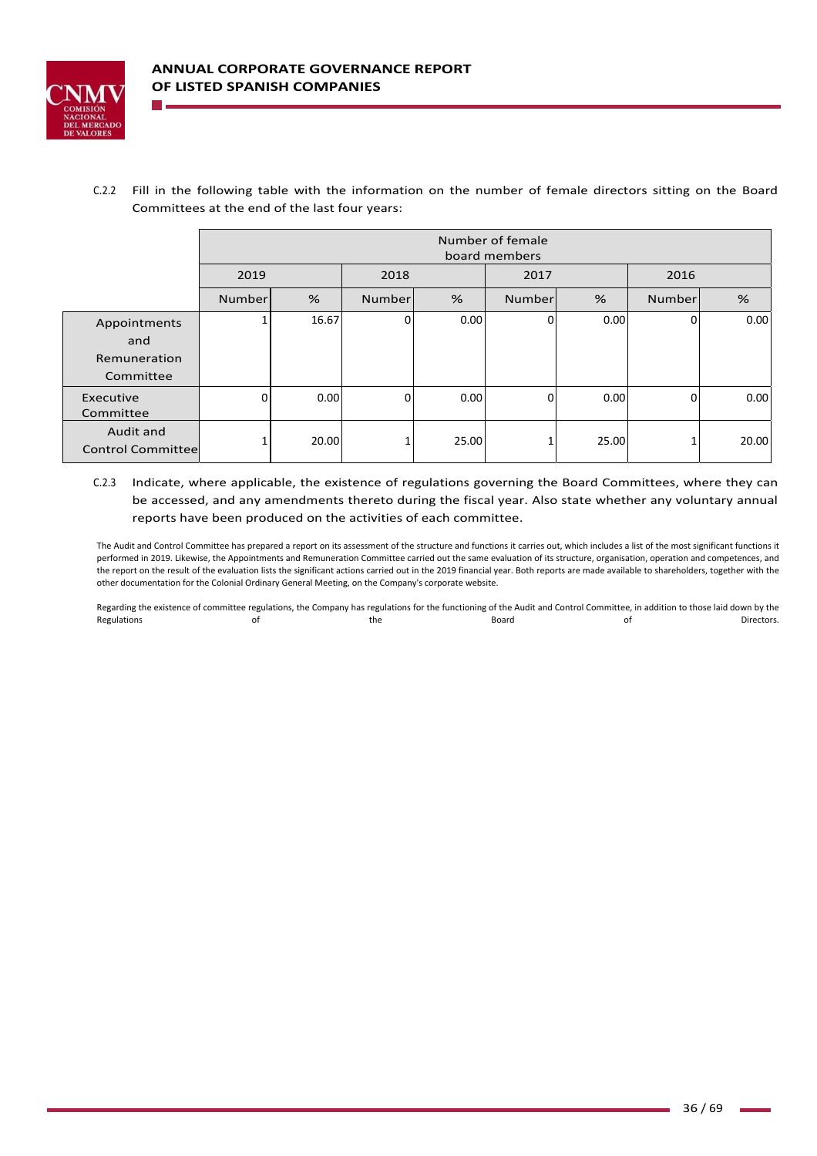

C.2.2 Fill in the following table with the information on the number of female directors sitting on the Board Committees at the end of the last four years:

|                                                  |        | Number of female<br>board members |        |       |        |       |        |       |
|--------------------------------------------------|--------|-----------------------------------|--------|-------|--------|-------|--------|-------|
|                                                  | 2019   |                                   | 2018   |       | 2017   |       | 2016   |       |
|                                                  | Number | %                                 | Number | %     | Number | %     | Number | %     |
| Appointments<br>and<br>Remuneration<br>Committee |        | 16.67                             | 0      | 0.00  | U      | 0.00  | 0      | 0.00  |
| Executive<br>Committee                           | 0      | 0.00                              | 0      | 0.00  | 0      | 0.00  | 0      | 0.00  |
| Audit and<br><b>Control Committee</b>            |        | 20.00                             |        | 25.00 |        | 25.00 |        | 20.00 |

C.2.3 Indicate, where applicable, the existence of regulations governing the Board Committees, where they can be accessed, and any amendments thereto during the fiscal year. Also state whether any voluntary annual reports have been produced on the activities of each committee.

The Audit and Control Committee has prepared a report on its assessment of the structure and functions it carries out, which includes a list of the most significant functions it performed in 2019. Likewise, the Appointments and Remuneration Committee carried out the same evaluation of its structure, organisation, operation and competences, and the report on the result of the evaluation lists the significant actions carried out in the 2019 financial year. Both reports are made available to shareholders, together with the other documentation for the Colonial Ordinary General Meeting, on the Company's corporate website.

Regarding the existence of committee regulations, the Company has regulations for the functioning of the Audit and Control Committee, in addition to those laid down by the Regulations and the the the Board Controller of Directors.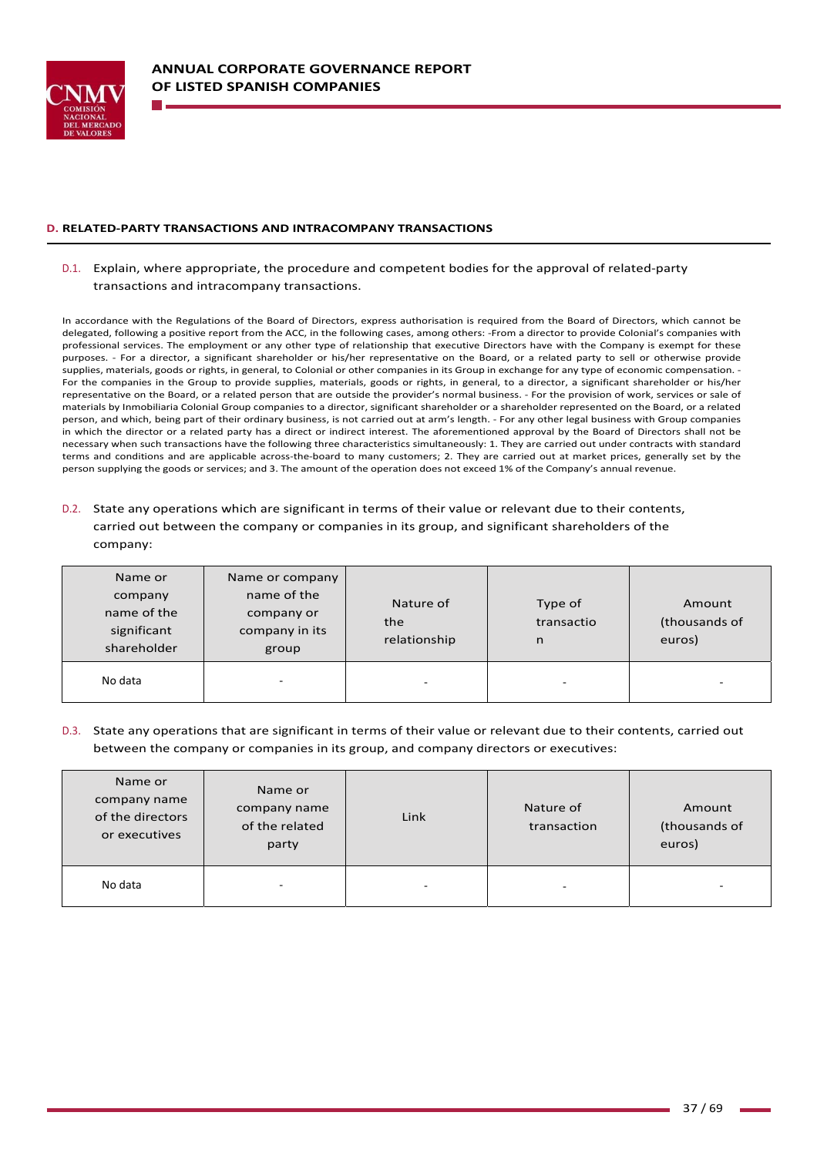

#### **D. RELATED‐PARTY TRANSACTIONS AND INTRACOMPANY TRANSACTIONS**

## D.1. Explain, where appropriate, the procedure and competent bodies for the approval of related‐party transactions and intracompany transactions.

In accordance with the Regulations of the Board of Directors, express authorisation is required from the Board of Directors, which cannot be delegated, following a positive report from the ACC, in the following cases, among others: ‐From a director to provide Colonial's companies with professional services. The employment or any other type of relationship that executive Directors have with the Company is exempt for these purposes. - For a director, a significant shareholder or his/her representative on the Board, or a related party to sell or otherwise provide supplies, materials, goods or rights, in general, to Colonial or other companies in its Group in exchange for any type of economic compensation. -For the companies in the Group to provide supplies, materials, goods or rights, in general, to a director, a significant shareholder or his/her representative on the Board, or a related person that are outside the provider's normal business. ‐ For the provision of work, services or sale of materials by Inmobiliaria Colonial Group companies to a director, significant shareholder or a shareholder represented on the Board, or a related person, and which, being part of their ordinary business, is not carried out at arm's length. ‐ For any other legal business with Group companies in which the director or a related party has a direct or indirect interest. The aforementioned approval by the Board of Directors shall not be necessary when such transactions have the following three characteristics simultaneously: 1. They are carried out under contracts with standard terms and conditions and are applicable across-the-board to many customers; 2. They are carried out at market prices, generally set by the person supplying the goods or services; and 3. The amount of the operation does not exceed 1% of the Company's annual revenue.

# D.2. State any operations which are significant in terms of their value or relevant due to their contents, carried out between the company or companies in its group, and significant shareholders of the company:

| Name or<br>company<br>name of the<br>significant<br>shareholder | Name or company<br>name of the<br>company or<br>company in its<br>group | Nature of<br>the<br>relationship | Type of<br>transactio<br>n | Amount<br>(thousands of<br>euros) |
|-----------------------------------------------------------------|-------------------------------------------------------------------------|----------------------------------|----------------------------|-----------------------------------|
| No data                                                         | -                                                                       | ۰                                | $\overline{\phantom{0}}$   | $\overline{\phantom{0}}$          |

## D.3. State any operations that are significant in terms of their value or relevant due to their contents, carried out between the company or companies in its group, and company directors or executives:

| Name or<br>company name<br>of the directors<br>or executives | Name or<br>company name<br>of the related<br>party | Link | Nature of<br>transaction | Amount<br>(thousands of<br>euros) |
|--------------------------------------------------------------|----------------------------------------------------|------|--------------------------|-----------------------------------|
| No data                                                      | $\overline{\phantom{0}}$                           | ۰    | $\overline{\phantom{0}}$ | $\overline{\phantom{a}}$          |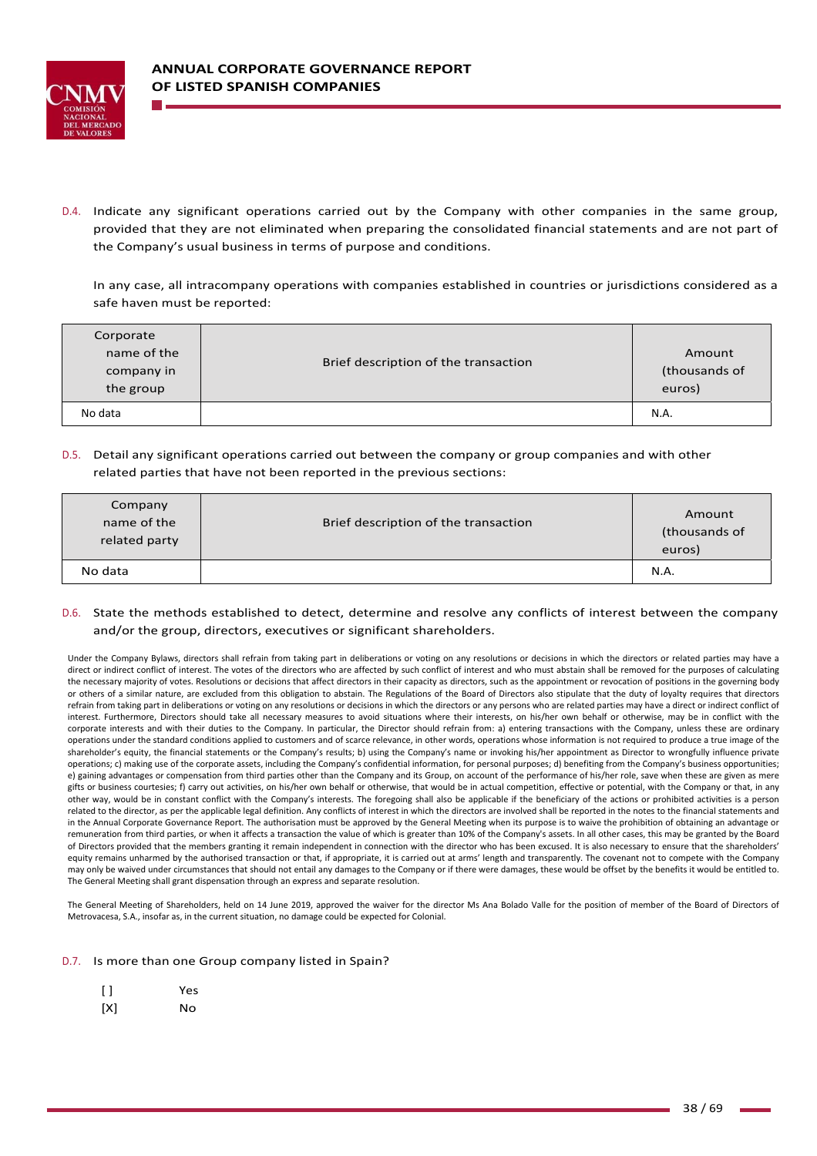

D.4. Indicate any significant operations carried out by the Company with other companies in the same group, provided that they are not eliminated when preparing the consolidated financial statements and are not part of the Company's usual business in terms of purpose and conditions.

In any case, all intracompany operations with companies established in countries or jurisdictions considered as a safe haven must be reported:

| Corporate<br>name of the<br>company in<br>the group | Brief description of the transaction | Amount<br>(thousands of<br>euros) |
|-----------------------------------------------------|--------------------------------------|-----------------------------------|
| No data                                             |                                      | N.A.                              |

D.5. Detail any significant operations carried out between the company or group companies and with other related parties that have not been reported in the previous sections:

| Company<br>name of the<br>related party | Brief description of the transaction | Amount<br>(thousands of<br>euros) |
|-----------------------------------------|--------------------------------------|-----------------------------------|
| No data                                 |                                      | N.A.                              |

## D.6. State the methods established to detect, determine and resolve any conflicts of interest between the company and/or the group, directors, executives or significant shareholders.

Under the Company Bylaws, directors shall refrain from taking part in deliberations or voting on any resolutions or decisions in which the directors or related parties may have a direct or indirect conflict of interest. The votes of the directors who are affected by such conflict of interest and who must abstain shall be removed for the purposes of calculating the necessary majority of votes. Resolutions or decisions that affect directors in their capacity as directors, such as the appointment or revocation of positions in the governing body or others of a similar nature, are excluded from this obligation to abstain. The Regulations of the Board of Directors also stipulate that the duty of loyalty requires that directors refrain from taking part in deliberations or voting on any resolutions or decisions in which the directors or any persons who are related parties may have a direct or indirect conflict of interest. Furthermore, Directors should take all necessary measures to avoid situations where their interests, on his/her own behalf or otherwise, may be in conflict with the corporate interests and with their duties to the Company. In particular, the Director should refrain from: a) entering transactions with the Company, unless these are ordinary operations under the standard conditions applied to customers and of scarce relevance, in other words, operations whose information is not required to produce a true image of the shareholder's equity, the financial statements or the Company's results; b) using the Company's name or invoking his/her appointment as Director to wrongfully influence private operations; c) making use of the corporate assets, including the Company's confidential information, for personal purposes; d) benefiting from the Company's business opportunities; e) gaining advantages or compensation from third parties other than the Company and its Group, on account of the performance of his/her role, save when these are given as mere gifts or business courtesies; f) carry out activities, on his/her own behalf or otherwise, that would be in actual competition, effective or potential, with the Company or that, in any other way, would be in constant conflict with the Company's interests. The foregoing shall also be applicable if the beneficiary of the actions or prohibited activities is a person related to the director, as per the applicable legal definition. Any conflicts of interest in which the directors are involved shall be reported in the notes to the financial statements and in the Annual Corporate Governance Report. The authorisation must be approved by the General Meeting when its purpose is to waive the prohibition of obtaining an advantage or remuneration from third parties, or when it affects a transaction the value of which is greater than 10% of the Company's assets. In all other cases, this may be granted by the Board of Directors provided that the members granting it remain independent in connection with the director who has been excused. It is also necessary to ensure that the shareholders' equity remains unharmed by the authorised transaction or that, if appropriate, it is carried out at arms' length and transparently. The covenant not to compete with the Company may only be waived under circumstances that should not entail any damages to the Company or if there were damages, these would be offset by the benefits it would be entitled to. The General Meeting shall grant dispensation through an express and separate resolution.

The General Meeting of Shareholders, held on 14 June 2019, approved the waiver for the director Ms Ana Bolado Valle for the position of member of the Board of Directors of Metrovacesa, S.A., insofar as, in the current situation, no damage could be expected for Colonial.

### D.7. Is more than one Group company listed in Spain?

| <b>Yes</b> |
|------------|
|------------|

 $[X]$  No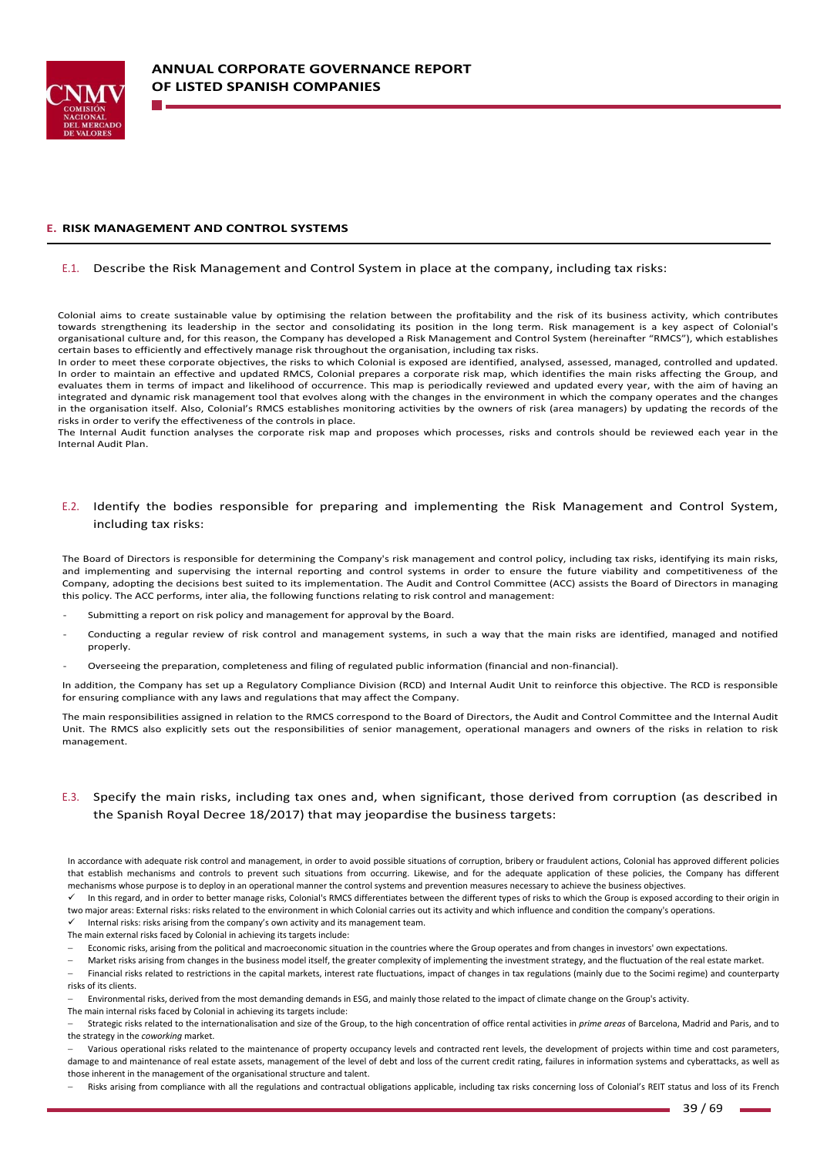

#### **E. RISK MANAGEMENT AND CONTROL SYSTEMS**

#### E.1. Describe the Risk Management and Control System in place at the company, including tax risks:

Colonial aims to create sustainable value by optimising the relation between the profitability and the risk of its business activity, which contributes towards strengthening its leadership in the sector and consolidating its position in the long term. Risk management is a key aspect of Colonial's organisational culture and, for this reason, the Company has developed a Risk Management and Control System (hereinafter "RMCS"), which establishes certain bases to efficiently and effectively manage risk throughout the organisation, including tax risks.

In order to meet these corporate objectives, the risks to which Colonial is exposed are identified, analysed, assessed, managed, controlled and updated. In order to maintain an effective and updated RMCS, Colonial prepares a corporate risk map, which identifies the main risks affecting the Group, and evaluates them in terms of impact and likelihood of occurrence. This map is periodically reviewed and updated every year, with the aim of having an integrated and dynamic risk management tool that evolves along with the changes in the environment in which the company operates and the changes in the organisation itself. Also, Colonial's RMCS establishes monitoring activities by the owners of risk (area managers) by updating the records of the risks in order to verify the effectiveness of the controls in place.

The Internal Audit function analyses the corporate risk map and proposes which processes, risks and controls should be reviewed each vear in the Internal Audit Plan.

#### E.2. Identify the bodies responsible for preparing and implementing the Risk Management and Control System, including tax risks:

The Board of Directors is responsible for determining the Company's risk management and control policy, including tax risks, identifying its main risks, and implementing and supervising the internal reporting and control systems in order to ensure the future viability and competitiveness of the Company, adopting the decisions best suited to its implementation. The Audit and Control Committee (ACC) assists the Board of Directors in managing this policy. The ACC performs, inter alia, the following functions relating to risk control and management:

- Submitting a report on risk policy and management for approval by the Board.
- Conducting a regular review of risk control and management systems, in such a way that the main risks are identified, managed and notified properly.
- ‐ Overseeing the preparation, completeness and filing of regulated public information (financial and non‐financial).

In addition, the Company has set up a Regulatory Compliance Division (RCD) and Internal Audit Unit to reinforce this objective. The RCD is responsible for ensuring compliance with any laws and regulations that may affect the Company.

The main responsibilities assigned in relation to the RMCS correspond to the Board of Directors, the Audit and Control Committee and the Internal Audit Unit. The RMCS also explicitly sets out the responsibilities of senior management, operational managers and owners of the risks in relation to risk management.

### E.3. Specify the main risks, including tax ones and, when significant, those derived from corruption (as described in the Spanish Royal Decree 18/2017) that may jeopardise the business targets:

In accordance with adequate risk control and management, in order to avoid possible situations of corruption, bribery or fraudulent actions, Colonial has approved different policies that establish mechanisms and controls to prevent such situations from occurring. Likewise, and for the adequate application of these policies, the Company has different mechanisms whose purpose is to deploy in an operational manner the control systems and prevention measures necessary to achieve the business objectives.

In this regard, and in order to better manage risks, Colonial's RMCS differentiates between the different types of risks to which the Group is exposed according to their origin in two major areas: External risks: risks related to the environment in which Colonial carries out its activity and which influence and condition the company's operations.

Internal risks: risks arising from the company's own activity and its management team.

The main external risks faced by Colonial in achieving its targets include:

Economic risks, arising from the political and macroeconomic situation in the countries where the Group operates and from changes in investors' own expectations.

Market risks arising from changes in the business model itself, the greater complexity of implementing the investment strategy, and the fluctuation of the real estate market.

 Financial risks related to restrictions in the capital markets, interest rate fluctuations, impact of changes in tax regulations (mainly due to the Socimi regime) and counterparty risks of its clients.

Environmental risks, derived from the most demanding demands in ESG, and mainly those related to the impact of climate change on the Group's activity.

The main internal risks faced by Colonial in achieving its targets include: Strategic risks related to the internationalisation and size of the Group, to the high concentration of office rental activities in *prime areas* of Barcelona, Madrid and Paris, and to

the strategy in the *coworking* market. Various operational risks related to the maintenance of property occupancy levels and contracted rent levels, the development of projects within time and cost parameters, damage to and maintenance of real estate assets, management of the level of debt and loss of the current credit rating, failures in information systems and cyberattacks, as well as

those inherent in the management of the organisational structure and talent. Risks arising from compliance with all the regulations and contractual obligations applicable, including tax risks concerning loss of Colonial's REIT status and loss of its French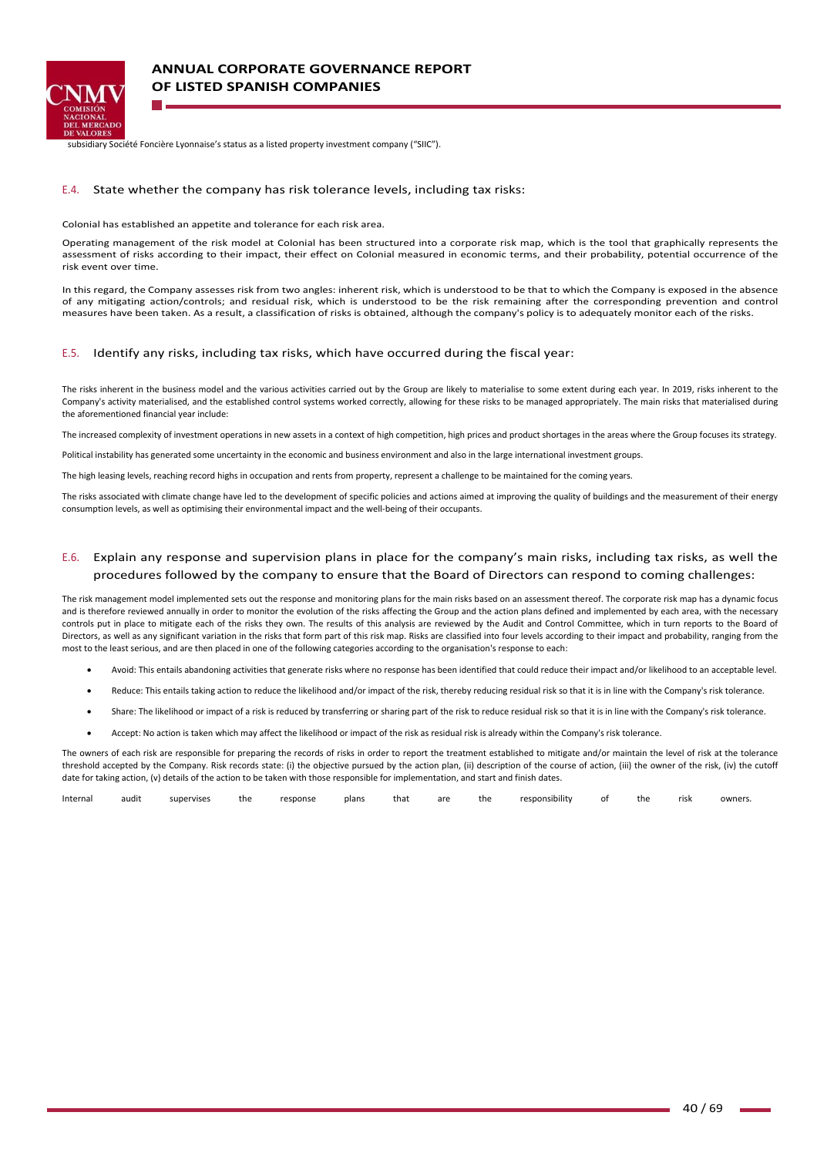

subsidiary Société Foncière Lyonnaise's status as a listed property investment company ("SIIC").

#### E.4. State whether the company has risk tolerance levels, including tax risks:

Colonial has established an appetite and tolerance for each risk area.

Operating management of the risk model at Colonial has been structured into a corporate risk map, which is the tool that graphically represents the assessment of risks according to their impact, their effect on Colonial measured in economic terms, and their probability, potential occurrence of the risk event over time.

In this regard, the Company assesses risk from two angles: inherent risk, which is understood to be that to which the Company is exposed in the absence of any mitigating action/controls; and residual risk, which is understood to be the risk remaining after the corresponding prevention and control measures have been taken. As a result, a classification of risks is obtained, although the company's policy is to adequately monitor each of the risks.

#### E.5. Identify any risks, including tax risks, which have occurred during the fiscal year:

The risks inherent in the business model and the various activities carried out by the Group are likely to materialise to some extent during each year. In 2019, risks inherent to the Company's activity materialised, and the established control systems worked correctly, allowing for these risks to be managed appropriately. The main risks that materialised during the aforementioned financial year include:

The increased complexity of investment operations in new assets in a context of high competition, high prices and product shortages in the areas where the Group focuses its strategy.

Political instability has generated some uncertainty in the economic and business environment and also in the large international investment groups.

The high leasing levels, reaching record highs in occupation and rents from property, represent a challenge to be maintained for the coming years.

The risks associated with climate change have led to the development of specific policies and actions aimed at improving the quality of buildings and the measurement of their energy consumption levels, as well as optimising their environmental impact and the well-being of their occupants.

### E.6. Explain any response and supervision plans in place for the company's main risks, including tax risks, as well the procedures followed by the company to ensure that the Board of Directors can respond to coming challenges:

The risk management model implemented sets out the response and monitoring plans for the main risks based on an assessment thereof. The corporate risk map has a dynamic focus and is therefore reviewed annually in order to monitor the evolution of the risks affecting the Group and the action plans defined and implemented by each area, with the necessary controls put in place to mitigate each of the risks they own. The results of this analysis are reviewed by the Audit and Control Committee, which in turn reports to the Board of Directors, as well as any significant variation in the risks that form part of this risk map. Risks are classified into four levels according to their impact and probability, ranging from the most to the least serious, and are then placed in one of the following categories according to the organisation's response to each:

- Avoid: This entails abandoning activities that generate risks where no response has been identified that could reduce their impact and/or likelihood to an acceptable level.
- Reduce: This entails taking action to reduce the likelihood and/or impact of the risk, thereby reducing residual risk so that it is in line with the Company's risk tolerance.
- Share: The likelihood or impact of a risk is reduced by transferring or sharing part of the risk to reduce residual risk so that it is in line with the Company's risk tolerance.
- Accept: No action is taken which may affect the likelihood or impact of the risk as residual risk is already within the Company's risk tolerance.

The owners of each risk are responsible for preparing the records of risks in order to report the treatment established to mitigate and/or maintain the level of risk at the tolerance threshold accepted by the Company. Risk records state: (i) the objective pursued by the action plan, (ii) description of the course of action, (iii) the owner of the risk, (iv) the cutoff date for taking action, (v) details of the action to be taken with those responsible for implementation, and start and finish dates.

| Interna | $\cdots$<br>audit | ervise<br>รมท | the | response | plans | that | are | the | 1.1111<br>responsibility |  | the | risl<br>- 12 | owners. |
|---------|-------------------|---------------|-----|----------|-------|------|-----|-----|--------------------------|--|-----|--------------|---------|
|---------|-------------------|---------------|-----|----------|-------|------|-----|-----|--------------------------|--|-----|--------------|---------|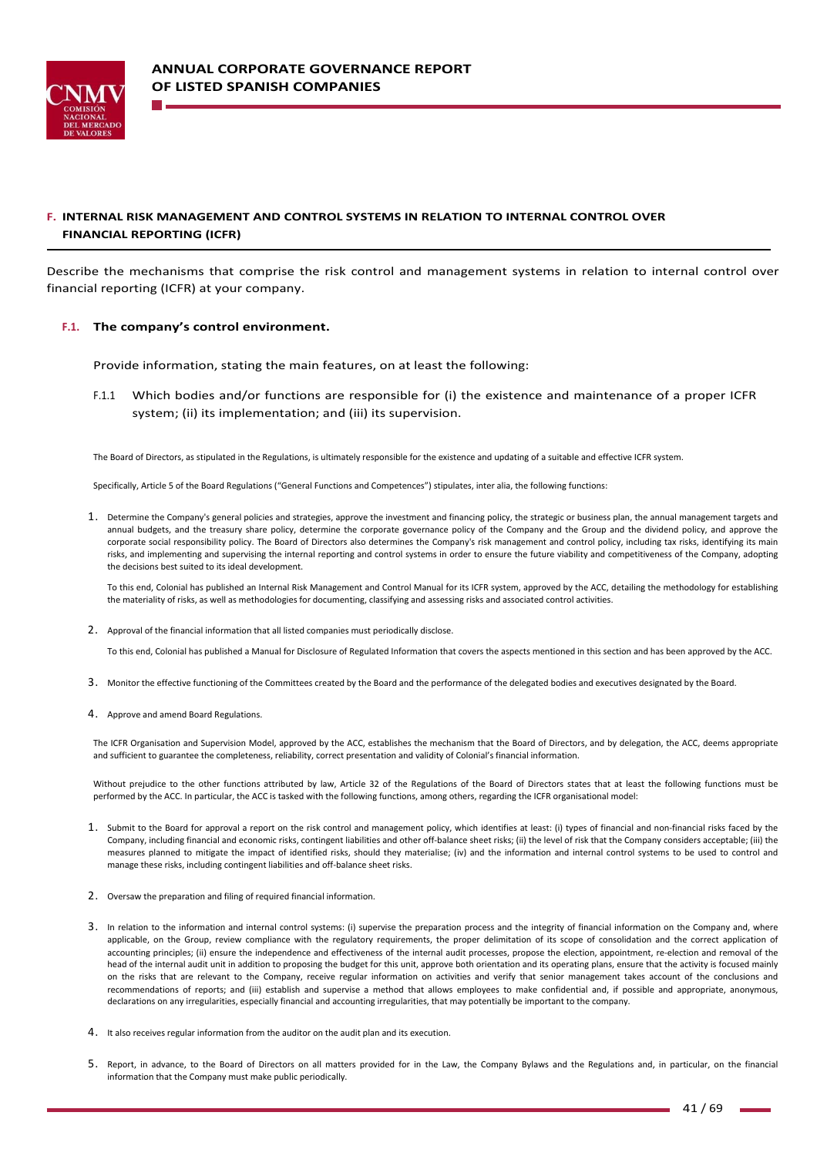

# **F. INTERNAL RISK MANAGEMENT AND CONTROL SYSTEMS IN RELATION TO INTERNAL CONTROL OVER FINANCIAL REPORTING (ICFR)**

Describe the mechanisms that comprise the risk control and management systems in relation to internal control over financial reporting (ICFR) at your company.

#### **F.1. The company's control environment.**

Provide information, stating the main features, on at least the following:

F.1.1 Which bodies and/or functions are responsible for (i) the existence and maintenance of a proper ICFR system; (ii) its implementation; and (iii) its supervision.

The Board of Directors, as stipulated in the Regulations, is ultimately responsible for the existence and updating of a suitable and effective ICFR system.

Specifically, Article 5 of the Board Regulations ("General Functions and Competences") stipulates, inter alia, the following functions:

1. Determine the Company's general policies and strategies, approve the investment and financing policy, the strategic or business plan, the annual management targets and annual budgets, and the treasury share policy, determine the corporate governance policy of the Company and the Group and the dividend policy, and approve the corporate social responsibility policy. The Board of Directors also determines the Company's risk management and control policy, including tax risks, identifying its main risks, and implementing and supervising the internal reporting and control systems in order to ensure the future viability and competitiveness of the Company, adopting the decisions best suited to its ideal development.

To this end, Colonial has published an Internal Risk Management and Control Manual for its ICFR system, approved by the ACC, detailing the methodology for establishing the materiality of risks, as well as methodologies for documenting, classifying and assessing risks and associated control activities.

2. Approval of the financial information that all listed companies must periodically disclose.

To this end, Colonial has published a Manual for Disclosure of Regulated Information that covers the aspects mentioned in this section and has been approved by the ACC.

- 3. Monitor the effective functioning of the Committees created by the Board and the performance of the delegated bodies and executives designated by the Board.
- 4. Approve and amend Board Regulations.

The ICFR Organisation and Supervision Model, approved by the ACC, establishes the mechanism that the Board of Directors, and by delegation, the ACC, deems appropriate and sufficient to guarantee the completeness, reliability, correct presentation and validity of Colonial's financial information.

Without prejudice to the other functions attributed by law, Article 32 of the Regulations of the Board of Directors states that at least the following functions must be performed by the ACC. In particular, the ACC is tasked with the following functions, among others, regarding the ICFR organisational model:

- 1. Submit to the Board for approval a report on the risk control and management policy, which identifies at least: (i) types of financial and non-financial risks faced by the Company, including financial and economic risks, contingent liabilities and other off-balance sheet risks; (ii) the level of risk that the Company considers acceptable; (iii) the measures planned to mitigate the impact of identified risks, should they materialise; (iv) and the information and internal control systems to be used to control and manage these risks, including contingent liabilities and off‐balance sheet risks.
- 2. Oversaw the preparation and filing of required financial information.
- 3. In relation to the information and internal control systems: (i) supervise the preparation process and the integrity of financial information on the Company and, where applicable, on the Group, review compliance with the regulatory requirements, the proper delimitation of its scope of consolidation and the correct application of accounting principles; (ii) ensure the independence and effectiveness of the internal audit processes, propose the election, appointment, re‐election and removal of the head of the internal audit unit in addition to proposing the budget for this unit, approve both orientation and its operating plans, ensure that the activity is focused mainly on the risks that are relevant to the Company, receive regular information on activities and verify that senior management takes account of the conclusions and recommendations of reports; and (iii) establish and supervise a method that allows employees to make confidential and, if possible and appropriate, anonymous, declarations on any irregularities, especially financial and accounting irregularities, that may potentially be important to the company.
- 4. It also receives regular information from the auditor on the audit plan and its execution.
- 5. Report, in advance, to the Board of Directors on all matters provided for in the Law, the Company Bylaws and the Regulations and, in particular, on the financial information that the Company must make public periodically.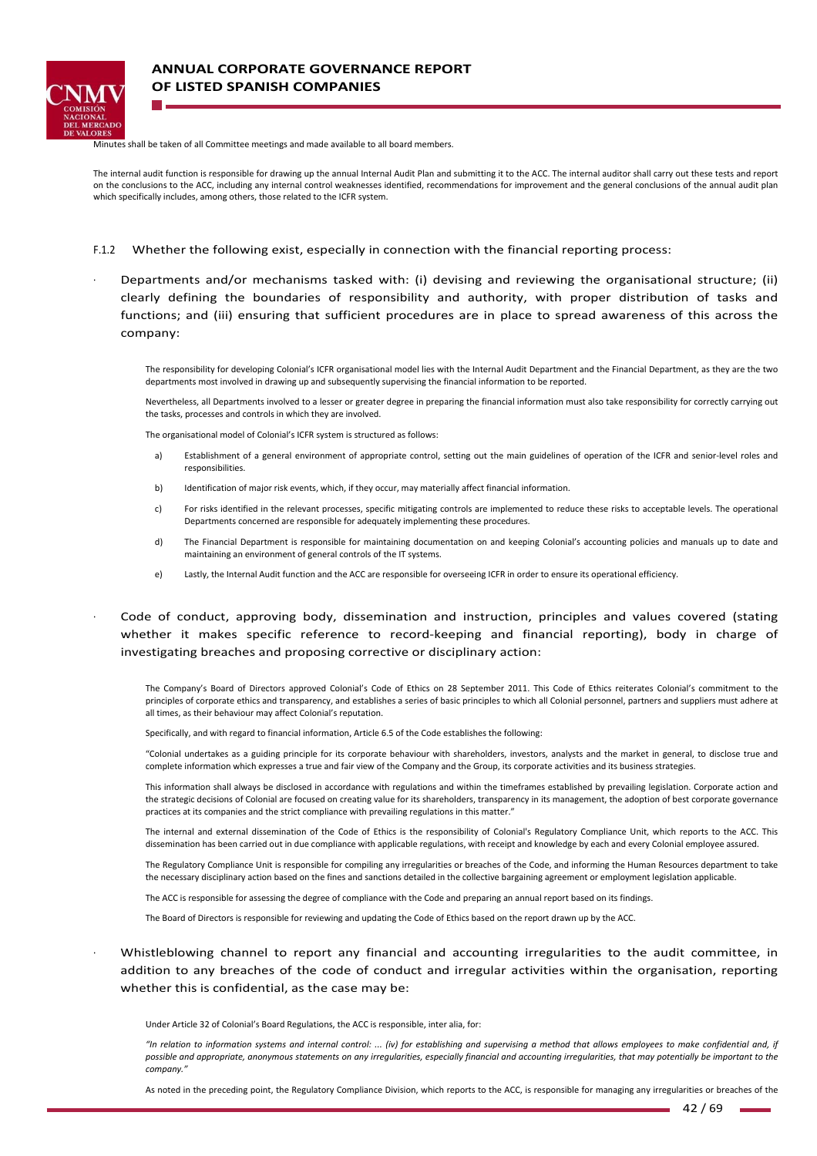

Minutes shall be taken of all Committee meetings and made available to all board members.

The internal audit function is responsible for drawing up the annual Internal Audit Plan and submitting it to the ACC. The internal auditor shall carry out these tests and report on the conclusions to the ACC, including any internal control weaknesses identified, recommendations for improvement and the general conclusions of the annual audit plan which specifically includes, among others, those related to the ICFR system.

- F.1.2 Whether the following exist, especially in connection with the financial reporting process:
- <sup>∙</sup> Departments and/or mechanisms tasked with: (i) devising and reviewing the organisational structure; (ii) clearly defining the boundaries of responsibility and authority, with proper distribution of tasks and functions; and (iii) ensuring that sufficient procedures are in place to spread awareness of this across the company:

The responsibility for developing Colonial's ICFR organisational model lies with the Internal Audit Department and the Financial Department, as they are the two departments most involved in drawing up and subsequently supervising the financial information to be reported.

Nevertheless, all Departments involved to a lesser or greater degree in preparing the financial information must also take responsibility for correctly carrying out the tasks, processes and controls in which they are involved.

The organisational model of Colonial's ICFR system is structured as follows:

- a) Establishment of a general environment of appropriate control, setting out the main guidelines of operation of the ICFR and senior-level roles and responsibilities.
- b) Identification of major risk events, which, if they occur, may materially affect financial information.
- c) For risks identified in the relevant processes, specific mitigating controls are implemented to reduce these risks to acceptable levels. The operational Departments concerned are responsible for adequately implementing these procedures.
- d) The Financial Department is responsible for maintaining documentation on and keeping Colonial's accounting policies and manuals up to date and maintaining an environment of general controls of the IT systems.
- e) Lastly, the Internal Audit function and the ACC are responsible for overseeing ICFR in order to ensure its operational efficiency.

<sup>∙</sup> Code of conduct, approving body, dissemination and instruction, principles and values covered (stating whether it makes specific reference to record-keeping and financial reporting), body in charge of investigating breaches and proposing corrective or disciplinary action:

The Company's Board of Directors approved Colonial's Code of Ethics on 28 September 2011. This Code of Ethics reiterates Colonial's commitment to the principles of corporate ethics and transparency, and establishes a series of basic principles to which all Colonial personnel, partners and suppliers must adhere at all times, as their behaviour may affect Colonial's reputation.

Specifically, and with regard to financial information, Article 6.5 of the Code establishes the following:

"Colonial undertakes as a guiding principle for its corporate behaviour with shareholders, investors, analysts and the market in general, to disclose true and complete information which expresses a true and fair view of the Company and the Group, its corporate activities and its business strategies.

This information shall always be disclosed in accordance with regulations and within the timeframes established by prevailing legislation. Corporate action and the strategic decisions of Colonial are focused on creating value for its shareholders, transparency in its management, the adoption of best corporate governance practices at its companies and the strict compliance with prevailing regulations in this matter."

The internal and external dissemination of the Code of Ethics is the responsibility of Colonial's Regulatory Compliance Unit, which reports to the ACC. This dissemination has been carried out in due compliance with applicable regulations, with receipt and knowledge by each and every Colonial employee assured.

The Regulatory Compliance Unit is responsible for compiling any irregularities or breaches of the Code, and informing the Human Resources department to take the necessary disciplinary action based on the fines and sanctions detailed in the collective bargaining agreement or employment legislation applicable.

The ACC is responsible for assessing the degree of compliance with the Code and preparing an annual report based on its findings.

The Board of Directors is responsible for reviewing and updating the Code of Ethics based on the report drawn up by the ACC.

Whistleblowing channel to report any financial and accounting irregularities to the audit committee, in addition to any breaches of the code of conduct and irregular activities within the organisation, reporting whether this is confidential, as the case may be:

Under Article 32 of Colonial's Board Regulations, the ACC is responsible, inter alia, for:

*"In relation to information systems and internal control: ... (iv) for establishing and supervising a method that allows employees to make confidential and, if possible and appropriate, anonymous statements on any irregularities, especially financial and accounting irregularities, that may potentially be important to the*   $commonv$ .

As noted in the preceding point, the Regulatory Compliance Division, which reports to the ACC, is responsible for managing any irregularities or breaches of the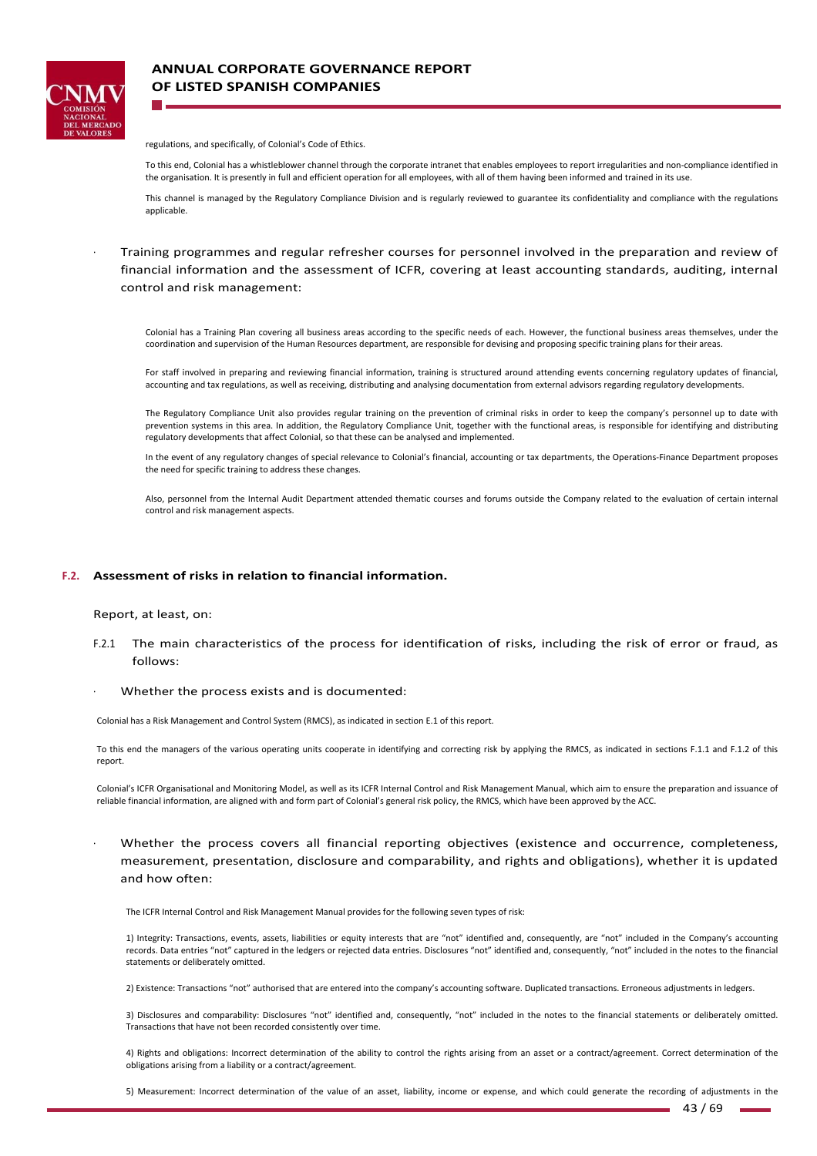

regulations, and specifically, of Colonial's Code of Ethics.

To this end, Colonial has a whistleblower channel through the corporate intranet that enables employees to report irregularities and non‐compliance identified in the organisation. It is presently in full and efficient operation for all employees, with all of them having been informed and trained in its use.

This channel is managed by the Regulatory Compliance Division and is regularly reviewed to guarantee its confidentiality and compliance with the regulations applicable.

<sup>∙</sup> Training programmes and regular refresher courses for personnel involved in the preparation and review of financial information and the assessment of ICFR, covering at least accounting standards, auditing, internal control and risk management:

Colonial has a Training Plan covering all business areas according to the specific needs of each. However, the functional business areas themselves, under the coordination and supervision of the Human Resources department, are responsible for devising and proposing specific training plans for their areas.

For staff involved in preparing and reviewing financial information, training is structured around attending events concerning regulatory updates of financial, accounting and tax regulations, as well as receiving, distributing and analysing documentation from external advisors regarding regulatory developments.

The Regulatory Compliance Unit also provides regular training on the prevention of criminal risks in order to keep the company's personnel up to date with prevention systems in this area. In addition, the Regulatory Compliance Unit, together with the functional areas, is responsible for identifying and distributing regulatory developments that affect Colonial, so that these can be analysed and implemented.

In the event of any regulatory changes of special relevance to Colonial's financial, accounting or tax departments, the Operations‐Finance Department proposes the need for specific training to address these changes.

Also, personnel from the Internal Audit Department attended thematic courses and forums outside the Company related to the evaluation of certain internal control and risk management aspects.

#### **F.2. Assessment of risks in relation to financial information.**

#### Report, at least, on:

- F.2.1 The main characteristics of the process for identification of risks, including the risk of error or fraud, as follows:
- <sup>∙</sup> Whether the process exists and is documented:

Colonial has a Risk Management and Control System (RMCS), as indicated in section E.1 of this report.

To this end the managers of the various operating units cooperate in identifying and correcting risk by applying the RMCS, as indicated in sections F.1.1 and F.1.2 of this report.

Colonial's ICFR Organisational and Monitoring Model, as well as its ICFR Internal Control and Risk Management Manual, which aim to ensure the preparation and issuance of reliable financial information, are aligned with and form part of Colonial's general risk policy, the RMCS, which have been approved by the ACC.

Whether the process covers all financial reporting objectives (existence and occurrence, completeness, measurement, presentation, disclosure and comparability, and rights and obligations), whether it is updated and how often:

The ICFR Internal Control and Risk Management Manual provides for the following seven types of risk:

1) Integrity: Transactions, events, assets, liabilities or equity interests that are "not" identified and, consequently, are "not" included in the Company's accounting records. Data entries "not" captured in the ledgers or rejected data entries. Disclosures "not" identified and, consequently, "not" included in the notes to the financial statements or deliberately omitted.

2) Existence: Transactions "not" authorised that are entered into the company's accounting software. Duplicated transactions. Erroneous adjustments in ledgers.

3) Disclosures and comparability: Disclosures "not" identified and, consequently, "not" included in the notes to the financial statements or deliberately omitted. Transactions that have not been recorded consistently over time.

4) Rights and obligations: Incorrect determination of the ability to control the rights arising from an asset or a contract/agreement. Correct determination of the obligations arising from a liability or a contract/agreement.

5) Measurement: Incorrect determination of the value of an asset, liability, income or expense, and which could generate the recording of adjustments in the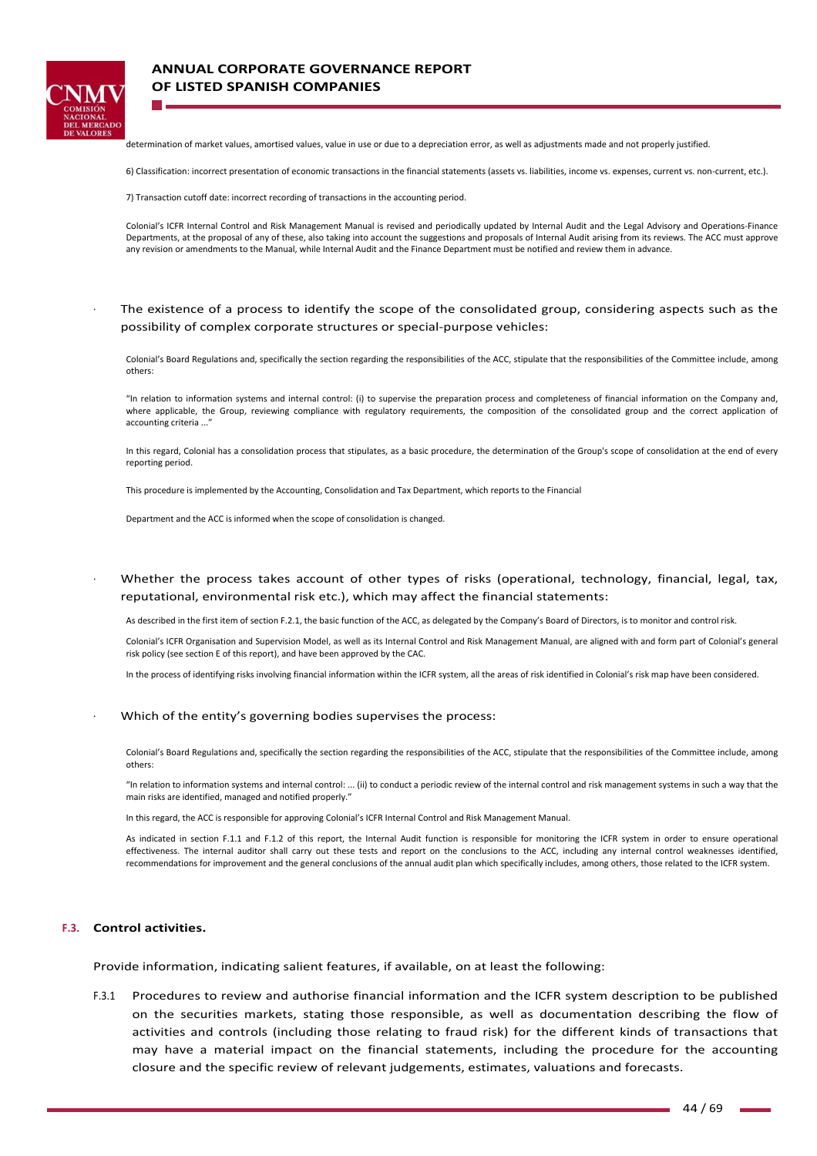

## **ANNUAL CORPORATE GOVERNANCE REPORT OF LISTED SPANISH COMPANIES**

determination of market values, amortised values, value in use or due to a depreciation error, as well as adjustments made and not properly justified.

6) Classification: incorrect presentation of economic transactions in the financial statements (assets vs. liabilities, income vs. expenses, current vs. non‐current, etc.).

7) Transaction cutoff date: incorrect recording of transactions in the accounting period.

Colonial's ICFR Internal Control and Risk Management Manual is revised and periodically updated by Internal Audit and the Legal Advisory and Operations‐Finance Departments, at the proposal of any of these, also taking into account the suggestions and proposals of Internal Audit arising from its reviews. The ACC must approve any revision or amendments to the Manual, while Internal Audit and the Finance Department must be notified and review them in advance.

### <sup>∙</sup> The existence of a process to identify the scope of the consolidated group, considering aspects such as the possibility of complex corporate structures or special‐purpose vehicles:

Colonial's Board Regulations and, specifically the section regarding the responsibilities of the ACC, stipulate that the responsibilities of the Committee include, among others:

"In relation to information systems and internal control: (i) to supervise the preparation process and completeness of financial information on the Company and, where applicable, the Group, reviewing compliance with regulatory requirements, the composition of the consolidated group and the correct application of accounting criteria ..

In this regard, Colonial has a consolidation process that stipulates, as a basic procedure, the determination of the Group's scope of consolidation at the end of every reporting period.

This procedure is implemented by the Accounting, Consolidation and Tax Department, which reports to the Financial

Department and the ACC is informed when the scope of consolidation is changed.

Whether the process takes account of other types of risks (operational, technology, financial, legal, tax, reputational, environmental risk etc.), which may affect the financial statements:

As described in the first item of section F.2.1, the basic function of the ACC, as delegated by the Company's Board of Directors, is to monitor and control risk.

Colonial's ICFR Organisation and Supervision Model, as well as its Internal Control and Risk Management Manual, are aligned with and form part of Colonial's general risk policy (see section E of this report), and have been approved by the CAC.

In the process of identifying risks involving financial information within the ICFR system, all the areas of risk identified in Colonial's risk map have been considered.

#### <sup>∙</sup> Which of the entity's governing bodies supervises the process:

Colonial's Board Regulations and, specifically the section regarding the responsibilities of the ACC, stipulate that the responsibilities of the Committee include, among others:

"In relation to information systems and internal control: ... (ii) to conduct a periodic review of the internal control and risk management systems in such a way that the main risks are identified, managed and notified properly."

In this regard, the ACC is responsible for approving Colonial's ICFR Internal Control and Risk Management Manual.

As indicated in section F.1.1 and F.1.2 of this report, the Internal Audit function is responsible for monitoring the ICFR system in order to ensure operational effectiveness. The internal auditor shall carry out these tests and report on the conclusions to the ACC, including any internal control weaknesses identified, recommendations for improvement and the general conclusions of the annual audit plan which specifically includes, among others, those related to the ICFR system.

### **F.3. Control activities.**

Provide information, indicating salient features, if available, on at least the following:

F.3.1 Procedures to review and authorise financial information and the ICFR system description to be published on the securities markets, stating those responsible, as well as documentation describing the flow of activities and controls (including those relating to fraud risk) for the different kinds of transactions that may have a material impact on the financial statements, including the procedure for the accounting closure and the specific review of relevant judgements, estimates, valuations and forecasts.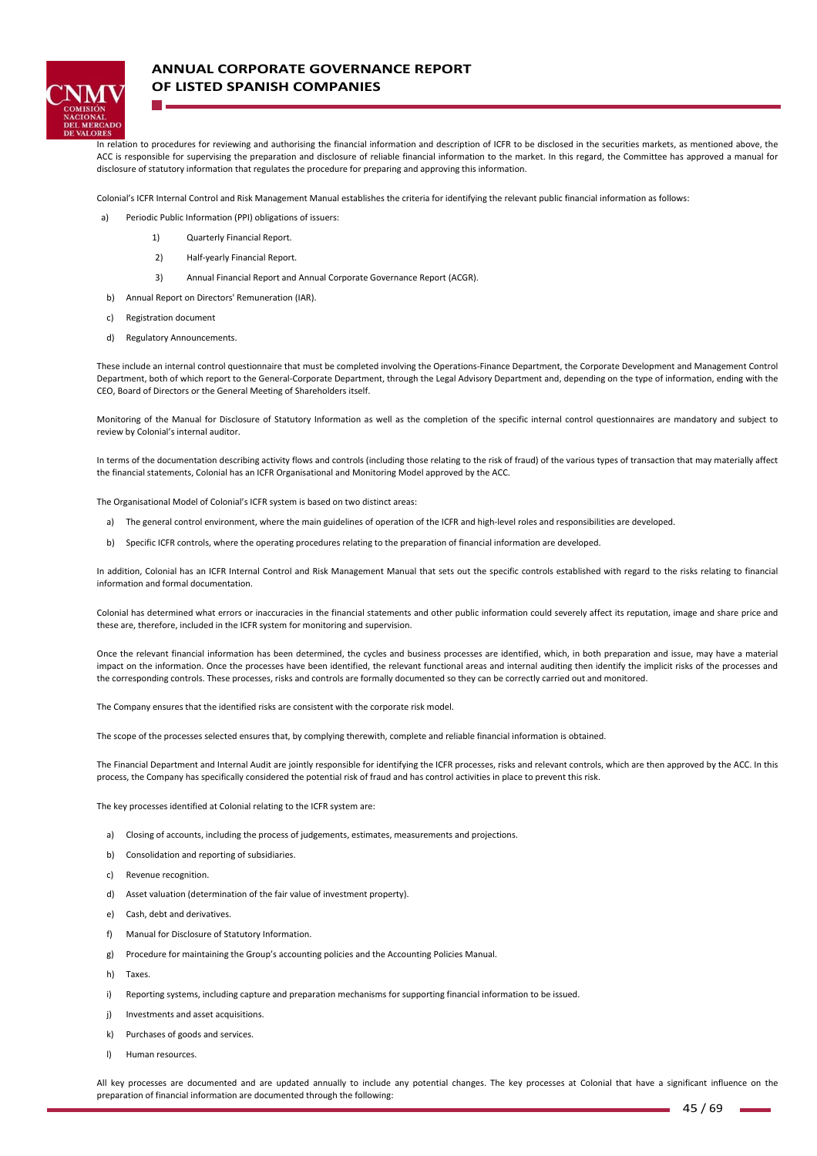

## **ANNUAL CORPORATE GOVERNANCE REPORT OF LISTED SPANISH COMPANIES**

In relation to procedures for reviewing and authorising the financial information and description of ICFR to be disclosed in the securities markets, as mentioned above, the ACC is responsible for supervising the preparation and disclosure of reliable financial information to the market. In this regard, the Committee has approved a manual for disclosure of statutory information that regulates the procedure for preparing and approving this information.

Colonial's ICFR Internal Control and Risk Management Manual establishes the criteria for identifying the relevant public financial information as follows:

- a) Periodic Public Information (PPI) obligations of issuers:
	- 1) Ouarterly Financial Report.
	- 2) Half‐yearly Financial Report.
	- 3) Annual Financial Report and Annual Corporate Governance Report (ACGR).
- b) Annual Report on Directors' Remuneration (IAR).
- c) Registration document
- d) Regulatory Announcements.

These include an internal control questionnaire that must be completed involving the Operations‐Finance Department, the Corporate Development and Management Control Department, both of which report to the General‐Corporate Department, through the Legal Advisory Department and, depending on the type of information, ending with the CEO, Board of Directors or the General Meeting of Shareholders itself.

Monitoring of the Manual for Disclosure of Statutory Information as well as the completion of the specific internal control questionnaires are mandatory and subject to review by Colonial's internal auditor.

In terms of the documentation describing activity flows and controls (including those relating to the risk of fraud) of the various types of transaction that may materially affect the financial statements, Colonial has an ICFR Organisational and Monitoring Model approved by the ACC.

The Organisational Model of Colonial's ICFR system is based on two distinct areas:

- a) The general control environment, where the main guidelines of operation of the ICFR and high-level roles and responsibilities are developed.
- b) Specific ICFR controls, where the operating procedures relating to the preparation of financial information are developed.

In addition, Colonial has an ICFR Internal Control and Risk Management Manual that sets out the specific controls established with regard to the risks relating to financial information and formal documentation.

Colonial has determined what errors or inaccuracies in the financial statements and other public information could severely affect its reputation, image and share price and these are, therefore, included in the ICFR system for monitoring and supervision.

Once the relevant financial information has been determined, the cycles and business processes are identified, which, in both preparation and issue, may have a material impact on the information. Once the processes have been identified, the relevant functional areas and internal auditing then identify the implicit risks of the processes and the corresponding controls. These processes, risks and controls are formally documented so they can be correctly carried out and monitored.

The Company ensures that the identified risks are consistent with the corporate risk model.

The scope of the processes selected ensures that, by complying therewith, complete and reliable financial information is obtained.

The Financial Department and Internal Audit are jointly responsible for identifying the ICFR processes, risks and relevant controls, which are then approved by the ACC. In this process, the Company has specifically considered the potential risk of fraud and has control activities in place to prevent this risk.

The key processes identified at Colonial relating to the ICFR system are:

- a) Closing of accounts, including the process of judgements, estimates, measurements and projections.
- b) Consolidation and reporting of subsidiaries.
- c) Revenue recognition.
- d) Asset valuation (determination of the fair value of investment property).
- e) Cash, debt and derivatives.
- f) Manual for Disclosure of Statutory Information.
- g) Procedure for maintaining the Group's accounting policies and the Accounting Policies Manual.
- h) Taxes.
- i) Reporting systems, including capture and preparation mechanisms for supporting financial information to be issued.
- j) Investments and asset acquisitions.
- k) Purchases of goods and services.
- l) Human resources.

All key processes are documented and are updated annually to include any potential changes. The key processes at Colonial that have a significant influence on the preparation of financial information are documented through the following: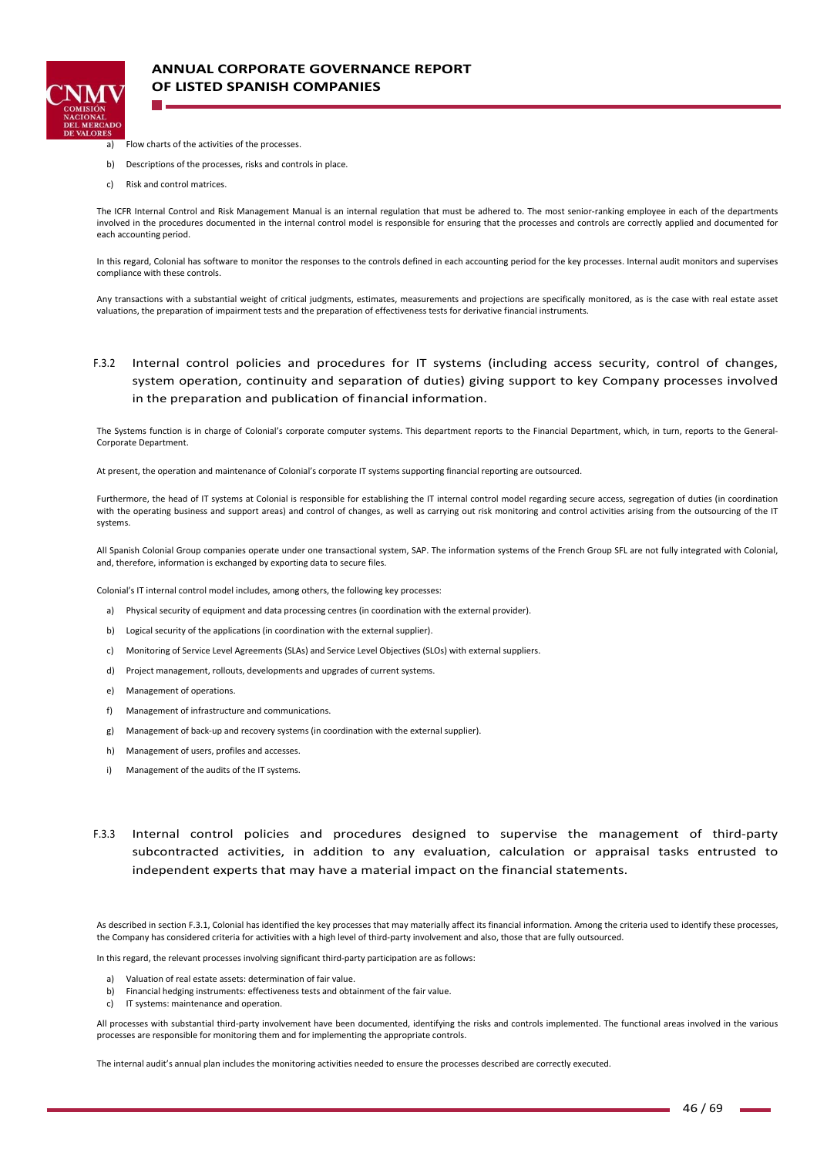

- a) Flow charts of the activities of the processes.
- b) Descriptions of the processes, risks and controls in place.
- c) Risk and control matrices.

The ICFR Internal Control and Risk Management Manual is an internal regulation that must be adhered to. The most senior-ranking employee in each of the departments involved in the procedures documented in the internal control model is responsible for ensuring that the processes and controls are correctly applied and documented for each accounting period.

In this regard, Colonial has software to monitor the responses to the controls defined in each accounting period for the key processes. Internal audit monitors and supervises compliance with these controls.

Any transactions with a substantial weight of critical judgments, estimates, measurements and projections are specifically monitored, as is the case with real estate asset valuations, the preparation of impairment tests and the preparation of effectiveness tests for derivative financial instruments.

## F.3.2 Internal control policies and procedures for IT systems (including access security, control of changes, system operation, continuity and separation of duties) giving support to key Company processes involved in the preparation and publication of financial information.

The Systems function is in charge of Colonial's corporate computer systems. This department reports to the Financial Department, which, in turn, reports to the General-Corporate Department.

At present, the operation and maintenance of Colonial's corporate IT systems supporting financial reporting are outsourced.

Furthermore, the head of IT systems at Colonial is responsible for establishing the IT internal control model regarding secure access, segregation of duties (in coordination with the operating business and support areas) and control of changes, as well as carrying out risk monitoring and control activities arising from the outsourcing of the IT systems.

All Spanish Colonial Group companies operate under one transactional system, SAP. The information systems of the French Group SFL are not fully integrated with Colonial, and, therefore, information is exchanged by exporting data to secure files.

Colonial's IT internal control model includes, among others, the following key processes:

- a) Physical security of equipment and data processing centres (in coordination with the external provider).
- b) Logical security of the applications (in coordination with the external supplier).
- c) Monitoring of Service Level Agreements (SLAs) and Service Level Objectives (SLOs) with external suppliers.
- d) Project management, rollouts, developments and upgrades of current systems.
- e) Management of operations.
- f) Management of infrastructure and communications.
- g) Management of back‐up and recovery systems (in coordination with the external supplier).
- h) Management of users, profiles and accesses.
- i) Management of the audits of the IT systems.
- F.3.3 Internal control policies and procedures designed to supervise the management of third‐party subcontracted activities, in addition to any evaluation, calculation or appraisal tasks entrusted to independent experts that may have a material impact on the financial statements.

As described in section F.3.1, Colonial has identified the key processes that may materially affect its financial information. Among the criteria used to identify these processes, the Company has considered criteria for activities with a high level of third‐party involvement and also, those that are fully outsourced.

In this regard, the relevant processes involving significant third-party participation are as follows:

- a) Valuation of real estate assets: determination of fair value.
- b) Financial hedging instruments: effectiveness tests and obtainment of the fair value.
- c) IT systems: maintenance and operation.

All processes with substantial third-party involvement have been documented, identifying the risks and controls implemented. The functional areas involved in the various processes are responsible for monitoring them and for implementing the appropriate controls.

The internal audit's annual plan includes the monitoring activities needed to ensure the processes described are correctly executed.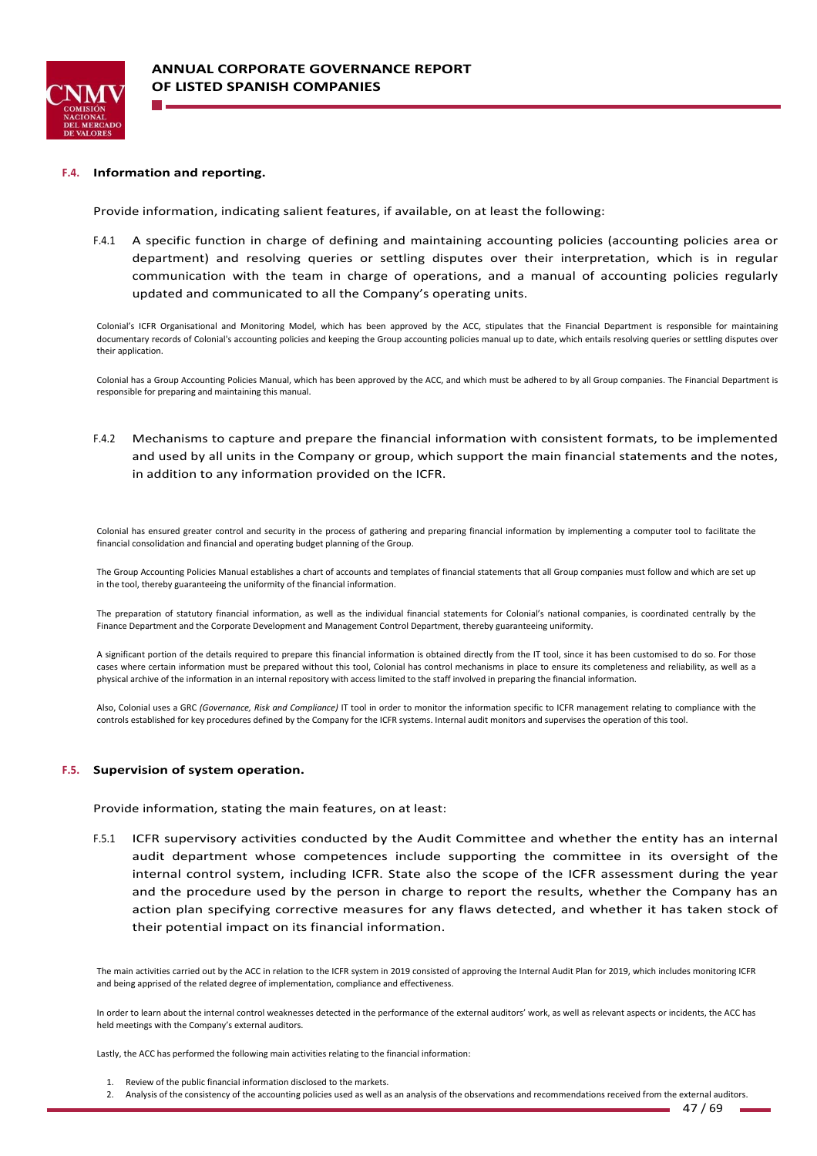

#### **F.4. Information and reporting.**

Provide information, indicating salient features, if available, on at least the following:

F.4.1 A specific function in charge of defining and maintaining accounting policies (accounting policies area or department) and resolving queries or settling disputes over their interpretation, which is in regular communication with the team in charge of operations, and a manual of accounting policies regularly updated and communicated to all the Company's operating units.

Colonial's ICFR Organisational and Monitoring Model, which has been approved by the ACC, stipulates that the Financial Department is responsible for maintaining documentary records of Colonial's accounting policies and keeping the Group accounting policies manual up to date, which entails resolving queries or settling disputes over their application.

Colonial has a Group Accounting Policies Manual, which has been approved by the ACC, and which must be adhered to by all Group companies. The Financial Department is responsible for preparing and maintaining this manual.

F.4.2 Mechanisms to capture and prepare the financial information with consistent formats, to be implemented and used by all units in the Company or group, which support the main financial statements and the notes, in addition to any information provided on the ICFR.

Colonial has ensured greater control and security in the process of gathering and preparing financial information by implementing a computer tool to facilitate the financial consolidation and financial and operating budget planning of the Group.

The Group Accounting Policies Manual establishes a chart of accounts and templates of financial statements that all Group companies must follow and which are set up in the tool, thereby guaranteeing the uniformity of the financial information.

The preparation of statutory financial information, as well as the individual financial statements for Colonial's national companies, is coordinated centrally by the Finance Department and the Corporate Development and Management Control Department, thereby guaranteeing uniformity.

A significant portion of the details required to prepare this financial information is obtained directly from the IT tool, since it has been customised to do so. For those cases where certain information must be prepared without this tool, Colonial has control mechanisms in place to ensure its completeness and reliability, as well as a physical archive of the information in an internal repository with access limited to the staff involved in preparing the financial information.

Also, Colonial uses a GRC *(Governance, Risk and Compliance)* IT tool in order to monitor the information specific to ICFR management relating to compliance with the controls established for key procedures defined by the Company for the ICFR systems. Internal audit monitors and supervises the operation of this tool.

#### **F.5. Supervision of system operation.**

Provide information, stating the main features, on at least:

F.5.1 ICFR supervisory activities conducted by the Audit Committee and whether the entity has an internal audit department whose competences include supporting the committee in its oversight of the internal control system, including ICFR. State also the scope of the ICFR assessment during the year and the procedure used by the person in charge to report the results, whether the Company has an action plan specifying corrective measures for any flaws detected, and whether it has taken stock of their potential impact on its financial information.

The main activities carried out by the ACC in relation to the ICFR system in 2019 consisted of approving the Internal Audit Plan for 2019, which includes monitoring ICFR and being apprised of the related degree of implementation, compliance and effectiveness.

In order to learn about the internal control weaknesses detected in the performance of the external auditors' work, as well as relevant aspects or incidents, the ACC has held meetings with the Company's external auditors.

Lastly, the ACC has performed the following main activities relating to the financial information:

1. Review of the public financial information disclosed to the markets.

2. Analysis of the consistency of the accounting policies used as well as an analysis of the observations and recommendations received from the external auditors.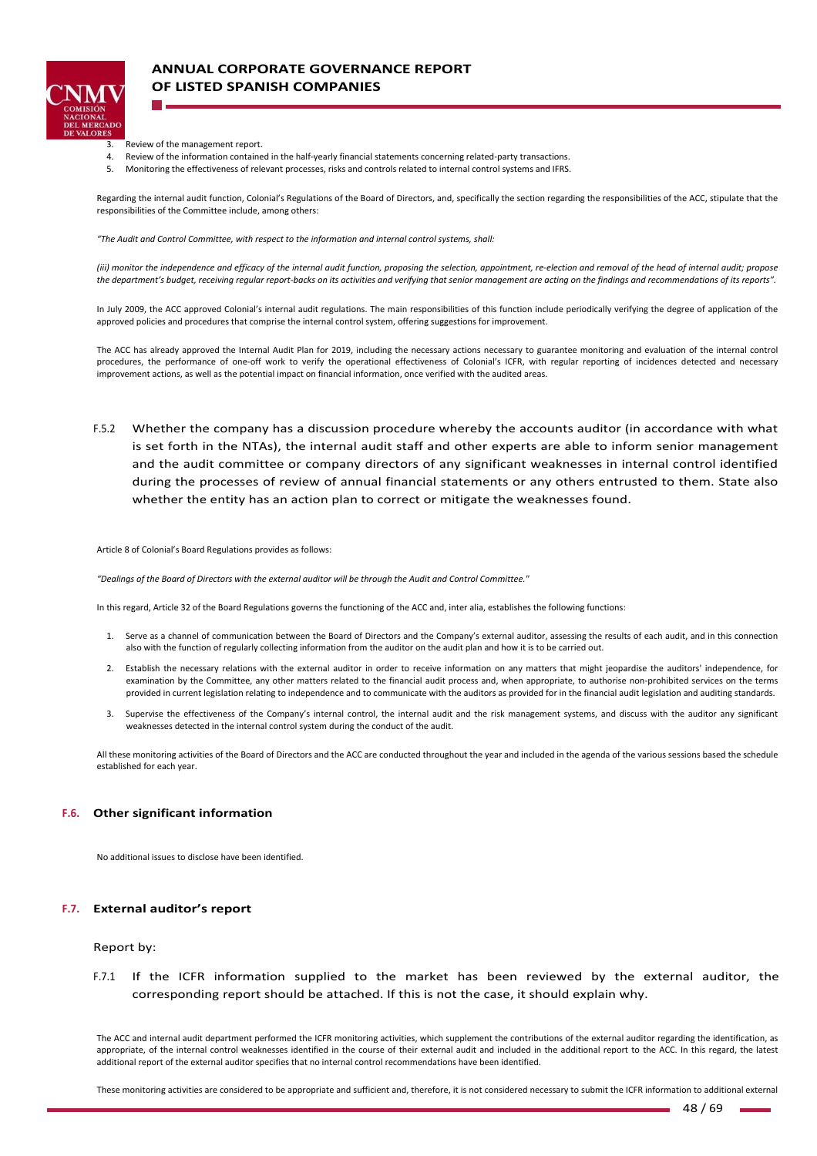

# **ANNUAL CORPORATE GOVERNANCE REPORT OF LISTED SPANISH COMPANIES**

- 3. Review of the management report.
- 4. Review of the information contained in the half-yearly financial statements concerning related-party transactions.
- 5. Monitoring the effectiveness of relevant processes, risks and controls related to internal control systems and IFRS.

Regarding the internal audit function, Colonial's Regulations of the Board of Directors, and, specifically the section regarding the responsibilities of the ACC, stipulate that the responsibilities of the Committee include, among others:

*"The Audit and Control Committee, with respect to the information and internal control systems, shall:* 

*(iii) monitor the independence and efficacy of the internal audit function, proposing the selection, appointment, re‐election and removal of the head of internal audit; propose the department's budget, receiving regular report‐backs on its activities and verifying that senior management are acting on the findings and recommendations of its reports".*

In July 2009, the ACC approved Colonial's internal audit regulations. The main responsibilities of this function include periodically verifying the degree of application of the approved policies and procedures that comprise the internal control system, offering suggestions for improvement.

The ACC has already approved the Internal Audit Plan for 2019, including the necessary actions necessary to guarantee monitoring and evaluation of the internal control procedures, the performance of one-off work to verify the operational effectiveness of Colonial's ICFR, with regular reporting of incidences detected and necessary improvement actions, as well as the potential impact on financial information, once verified with the audited areas.

F.5.2 Whether the company has a discussion procedure whereby the accounts auditor (in accordance with what is set forth in the NTAs), the internal audit staff and other experts are able to inform senior management and the audit committee or company directors of any significant weaknesses in internal control identified during the processes of review of annual financial statements or any others entrusted to them. State also whether the entity has an action plan to correct or mitigate the weaknesses found.

Article 8 of Colonial's Board Regulations provides as follows:

*"Dealings of the Board of Directors with the external auditor will be through the Audit and Control Committee."*

In this regard, Article 32 of the Board Regulations governs the functioning of the ACC and, inter alia, establishes the following functions:

- 1. Serve as a channel of communication between the Board of Directors and the Company's external auditor, assessing the results of each audit, and in this connection also with the function of regularly collecting information from the auditor on the audit plan and how it is to be carried out.
- 2. Establish the necessary relations with the external auditor in order to receive information on any matters that might jeopardise the auditors' independence, for examination by the Committee, any other matters related to the financial audit process and, when appropriate, to authorise non-prohibited services on the terms provided in current legislation relating to independence and to communicate with the auditors as provided for in the financial audit legislation and auditing standards.
- 3. Supervise the effectiveness of the Company's internal control, the internal audit and the risk management systems, and discuss with the auditor any significant weaknesses detected in the internal control system during the conduct of the audit.

All these monitoring activities of the Board of Directors and the ACC are conducted throughout the year and included in the agenda of the various sessions based the schedule established for each year.

#### **F.6. Other significant information**

No additional issues to disclose have been identified.

#### **F.7. External auditor's report**

#### Report by:

F.7.1 If the ICFR information supplied to the market has been reviewed by the external auditor, the corresponding report should be attached. If this is not the case, it should explain why.

The ACC and internal audit department performed the ICFR monitoring activities, which supplement the contributions of the external auditor regarding the identification, as appropriate, of the internal control weaknesses identified in the course of their external audit and included in the additional report to the ACC. In this regard, the latest additional report of the external auditor specifies that no internal control recommendations have been identified.

These monitoring activities are considered to be appropriate and sufficient and, therefore, it is not considered necessary to submit the ICFR information to additional external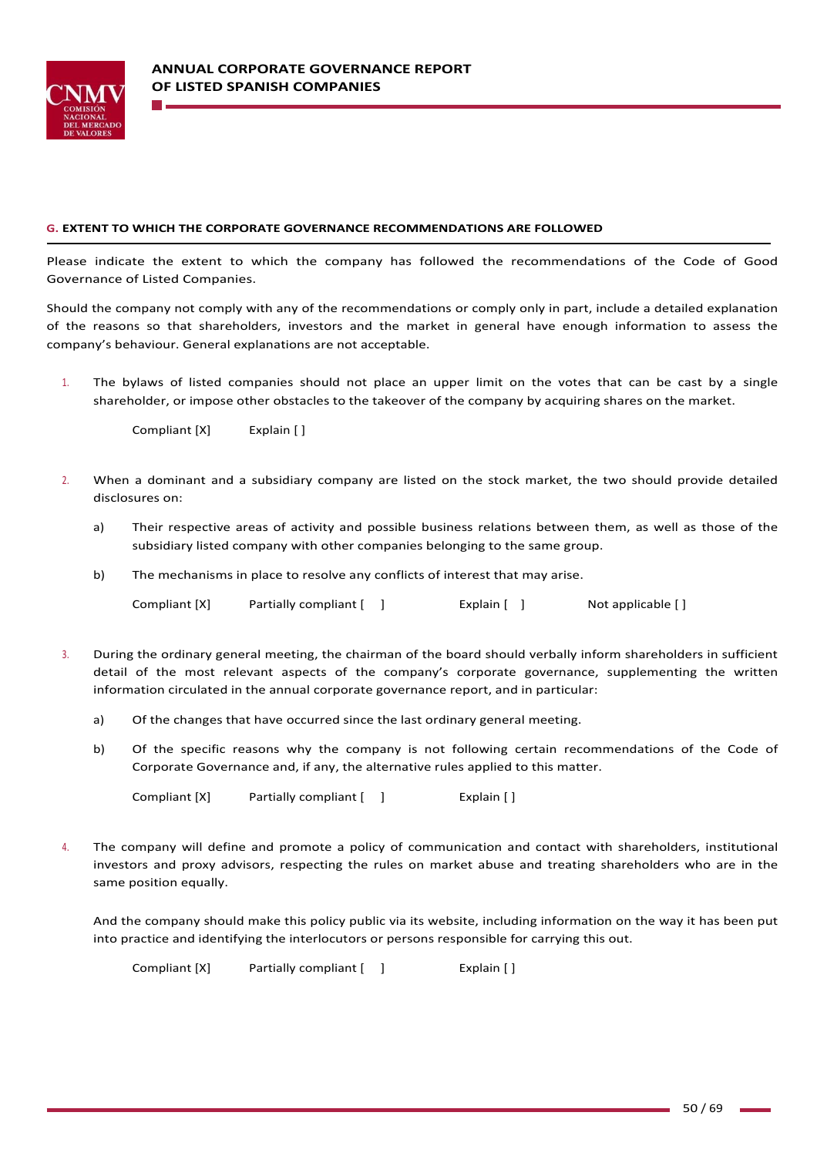

### **G. EXTENT TO WHICH THE CORPORATE GOVERNANCE RECOMMENDATIONS ARE FOLLOWED**

Please indicate the extent to which the company has followed the recommendations of the Code of Good Governance of Listed Companies.

Should the company not comply with any of the recommendations or comply only in part, include a detailed explanation of the reasons so that shareholders, investors and the market in general have enough information to assess the company's behaviour. General explanations are not acceptable.

1. The bylaws of listed companies should not place an upper limit on the votes that can be cast by a single shareholder, or impose other obstacles to the takeover of the company by acquiring shares on the market.

Compliant [X] Explain [ ]

- 2. When a dominant and a subsidiary company are listed on the stock market, the two should provide detailed disclosures on:
	- a) Their respective areas of activity and possible business relations between them, as well as those of the subsidiary listed company with other companies belonging to the same group.
	- b) The mechanisms in place to resolve any conflicts of interest that may arise.

| Compliant [X] | Partially compliant [ ] | Explain $[ ]$ | Not applicable [] |
|---------------|-------------------------|---------------|-------------------|
|---------------|-------------------------|---------------|-------------------|

- 3. During the ordinary general meeting, the chairman of the board should verbally inform shareholders in sufficient detail of the most relevant aspects of the company's corporate governance, supplementing the written information circulated in the annual corporate governance report, and in particular:
	- a) Of the changes that have occurred since the last ordinary general meeting.
	- b) Of the specific reasons why the company is not following certain recommendations of the Code of Corporate Governance and, if any, the alternative rules applied to this matter.

Compliant [X] Partially compliant [ ] Fxplain [ ]

4. The company will define and promote a policy of communication and contact with shareholders, institutional investors and proxy advisors, respecting the rules on market abuse and treating shareholders who are in the same position equally.

And the company should make this policy public via its website, including information on the way it has been put into practice and identifying the interlocutors or persons responsible for carrying this out.

Compliant [X] Partially compliant [ ] Fxplain [ ]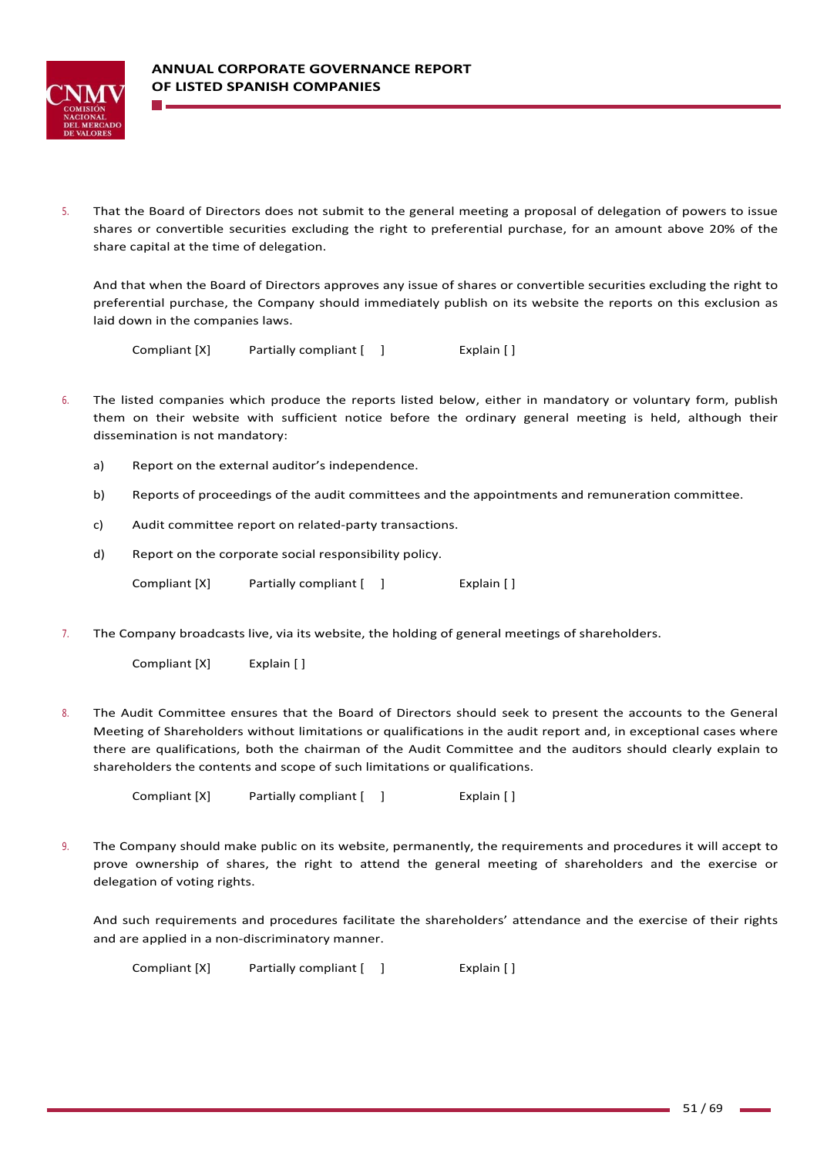

5. That the Board of Directors does not submit to the general meeting a proposal of delegation of powers to issue shares or convertible securities excluding the right to preferential purchase, for an amount above 20% of the share capital at the time of delegation.

And that when the Board of Directors approves any issue of shares or convertible securities excluding the right to preferential purchase, the Company should immediately publish on its website the reports on this exclusion as laid down in the companies laws.

Compliant [X] Partially compliant [ ] Explain [ ]

- 6. The listed companies which produce the reports listed below, either in mandatory or voluntary form, publish them on their website with sufficient notice before the ordinary general meeting is held, although their dissemination is not mandatory:
	- a) Report on the external auditor's independence.
	- b) Reports of proceedings of the audit committees and the appointments and remuneration committee.
	- c) Audit committee report on related‐party transactions.
	- d) Report on the corporate social responsibility policy.

Compliant [X] Partially compliant [ ] Explain [ ]

7. The Company broadcasts live, via its website, the holding of general meetings of shareholders.

Compliant [X] Explain [ ]

8. The Audit Committee ensures that the Board of Directors should seek to present the accounts to the General Meeting of Shareholders without limitations or qualifications in the audit report and, in exceptional cases where there are qualifications, both the chairman of the Audit Committee and the auditors should clearly explain to shareholders the contents and scope of such limitations or qualifications.

Compliant [X] Partially compliant [ ] Fxplain [ ]

9. The Company should make public on its website, permanently, the requirements and procedures it will accept to prove ownership of shares, the right to attend the general meeting of shareholders and the exercise or delegation of voting rights.

And such requirements and procedures facilitate the shareholders' attendance and the exercise of their rights and are applied in a non‐discriminatory manner.

Compliant [X] Partially compliant  $[$  ] Explain []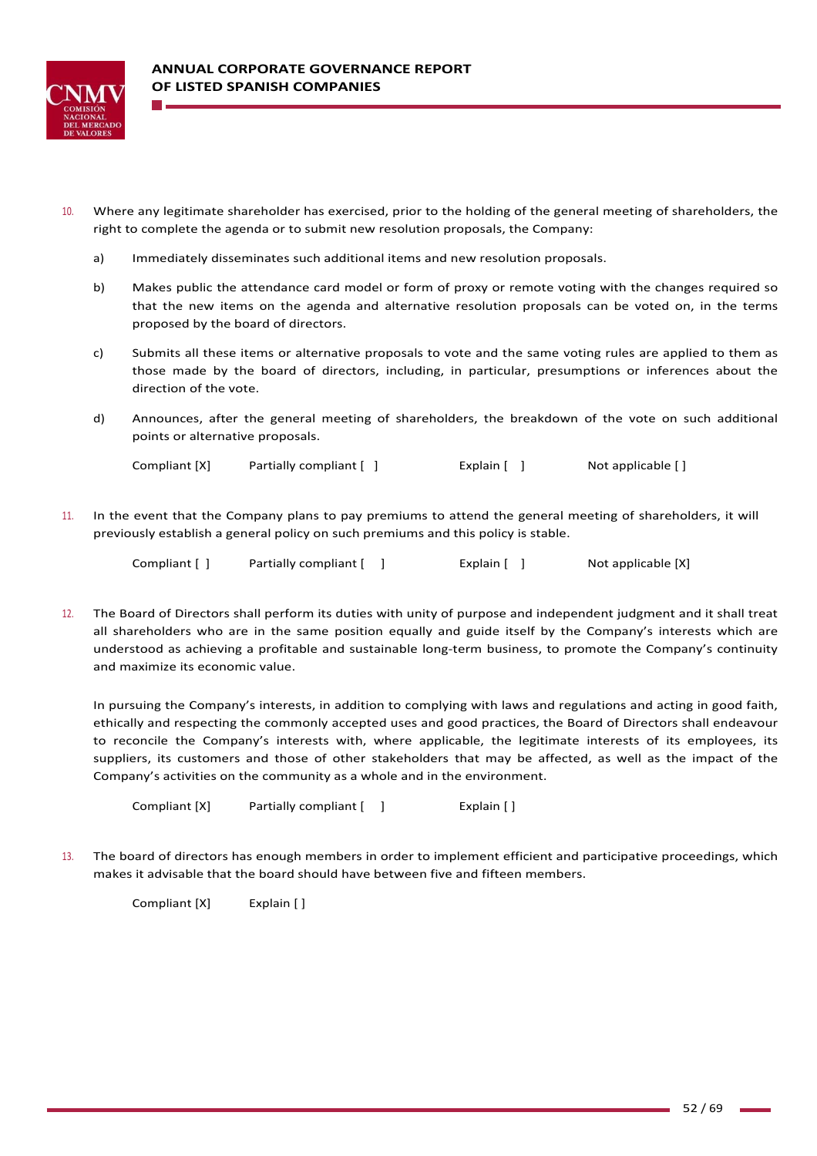

- 10. Where any legitimate shareholder has exercised, prior to the holding of the general meeting of shareholders, the right to complete the agenda or to submit new resolution proposals, the Company:
	- a) Immediately disseminates such additional items and new resolution proposals.
	- b) Makes public the attendance card model or form of proxy or remote voting with the changes required so that the new items on the agenda and alternative resolution proposals can be voted on, in the terms proposed by the board of directors.
	- c) Submits all these items or alternative proposals to vote and the same voting rules are applied to them as those made by the board of directors, including, in particular, presumptions or inferences about the direction of the vote.
	- d) Announces, after the general meeting of shareholders, the breakdown of the vote on such additional points or alternative proposals.

Compliant [X] Partially compliant [ ] [ [ Explain [ ] [ ] Not applicable [ ]

11. In the event that the Company plans to pay premiums to attend the general meeting of shareholders, it will previously establish a general policy on such premiums and this policy is stable.

| Compliant [ ] | Partially compliant [ ] | Explain [ ] |  | Not applicable [X] |
|---------------|-------------------------|-------------|--|--------------------|
|---------------|-------------------------|-------------|--|--------------------|

12. The Board of Directors shall perform its duties with unity of purpose and independent judgment and it shall treat all shareholders who are in the same position equally and guide itself by the Company's interests which are understood as achieving a profitable and sustainable long‐term business, to promote the Company's continuity and maximize its economic value.

In pursuing the Company's interests, in addition to complying with laws and regulations and acting in good faith, ethically and respecting the commonly accepted uses and good practices, the Board of Directors shall endeavour to reconcile the Company's interests with, where applicable, the legitimate interests of its employees, its suppliers, its customers and those of other stakeholders that may be affected, as well as the impact of the Company's activities on the community as a whole and in the environment.

Compliant [X] Partially compliant [ ] [ [ ] Explain [ ]

13. The board of directors has enough members in order to implement efficient and participative proceedings, which makes it advisable that the board should have between five and fifteen members.

Compliant [X] Explain [ ]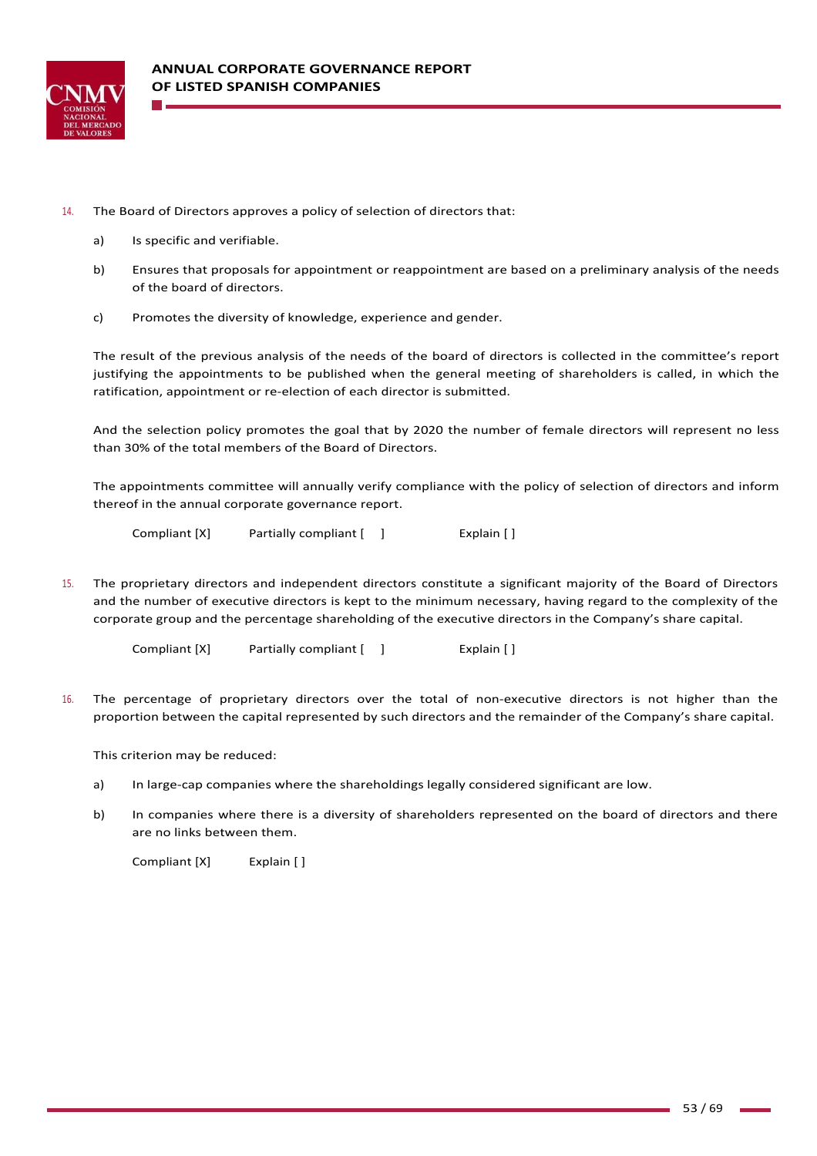

- 14. The Board of Directors approves a policy of selection of directors that:
	- a) Is specific and verifiable.
	- b) Ensures that proposals for appointment or reappointment are based on a preliminary analysis of the needs of the board of directors.
	- c) Promotes the diversity of knowledge, experience and gender.

The result of the previous analysis of the needs of the board of directors is collected in the committee's report justifying the appointments to be published when the general meeting of shareholders is called, in which the ratification, appointment or re‐election of each director is submitted.

And the selection policy promotes the goal that by 2020 the number of female directors will represent no less than 30% of the total members of the Board of Directors.

The appointments committee will annually verify compliance with the policy of selection of directors and inform thereof in the annual corporate governance report.

Compliant [X] Partially compliant [ ] Explain [ ]

15. The proprietary directors and independent directors constitute a significant majority of the Board of Directors and the number of executive directors is kept to the minimum necessary, having regard to the complexity of the corporate group and the percentage shareholding of the executive directors in the Company's share capital.

Compliant [X] Partially compliant [ ] [ [ ] Explain [ ]

16. The percentage of proprietary directors over the total of non‐executive directors is not higher than the proportion between the capital represented by such directors and the remainder of the Company's share capital.

This criterion may be reduced:

- a) In large-cap companies where the shareholdings legally considered significant are low.
- b) In companies where there is a diversity of shareholders represented on the board of directors and there are no links between them.

Compliant [X] Explain []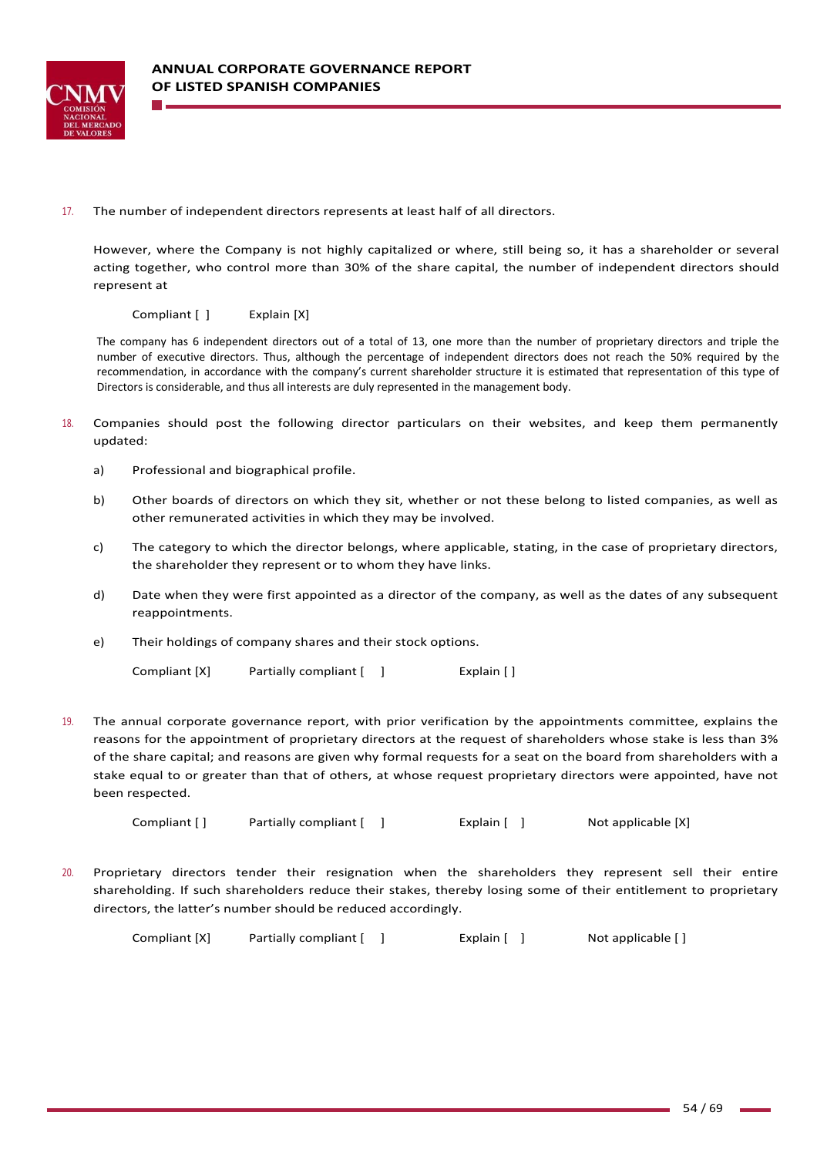

17. The number of independent directors represents at least half of all directors.

However, where the Company is not highly capitalized or where, still being so, it has a shareholder or several acting together, who control more than 30% of the share capital, the number of independent directors should represent at

Compliant [ ] Explain [X]

The company has 6 independent directors out of a total of 13, one more than the number of proprietary directors and triple the number of executive directors. Thus, although the percentage of independent directors does not reach the 50% required by the recommendation, in accordance with the company's current shareholder structure it is estimated that representation of this type of Directors is considerable, and thus all interests are duly represented in the management body.

- 18. Companies should post the following director particulars on their websites, and keep them permanently updated:
	- a) Professional and biographical profile.
	- b) Other boards of directors on which they sit, whether or not these belong to listed companies, as well as other remunerated activities in which they may be involved.
	- c) The category to which the director belongs, where applicable, stating, in the case of proprietary directors, the shareholder they represent or to whom they have links.
	- d) Date when they were first appointed as a director of the company, as well as the dates of any subsequent reappointments.
	- e) Their holdings of company shares and their stock options.

Compliant [X] Partially compliant [ ] Explain [ ]

19. The annual corporate governance report, with prior verification by the appointments committee, explains the reasons for the appointment of proprietary directors at the request of shareholders whose stake is less than 3% of the share capital; and reasons are given why formal requests for a seat on the board from shareholders with a stake equal to or greater than that of others, at whose request proprietary directors were appointed, have not been respected.

Compliant [ ] Partially compliant [ ] Explain [ ] Not applicable [X]

20. Proprietary directors tender their resignation when the shareholders they represent sell their entire shareholding. If such shareholders reduce their stakes, thereby losing some of their entitlement to proprietary directors, the latter's number should be reduced accordingly.

Compliant [X] Partially compliant [ ] Explain [ ] Not applicable [ ]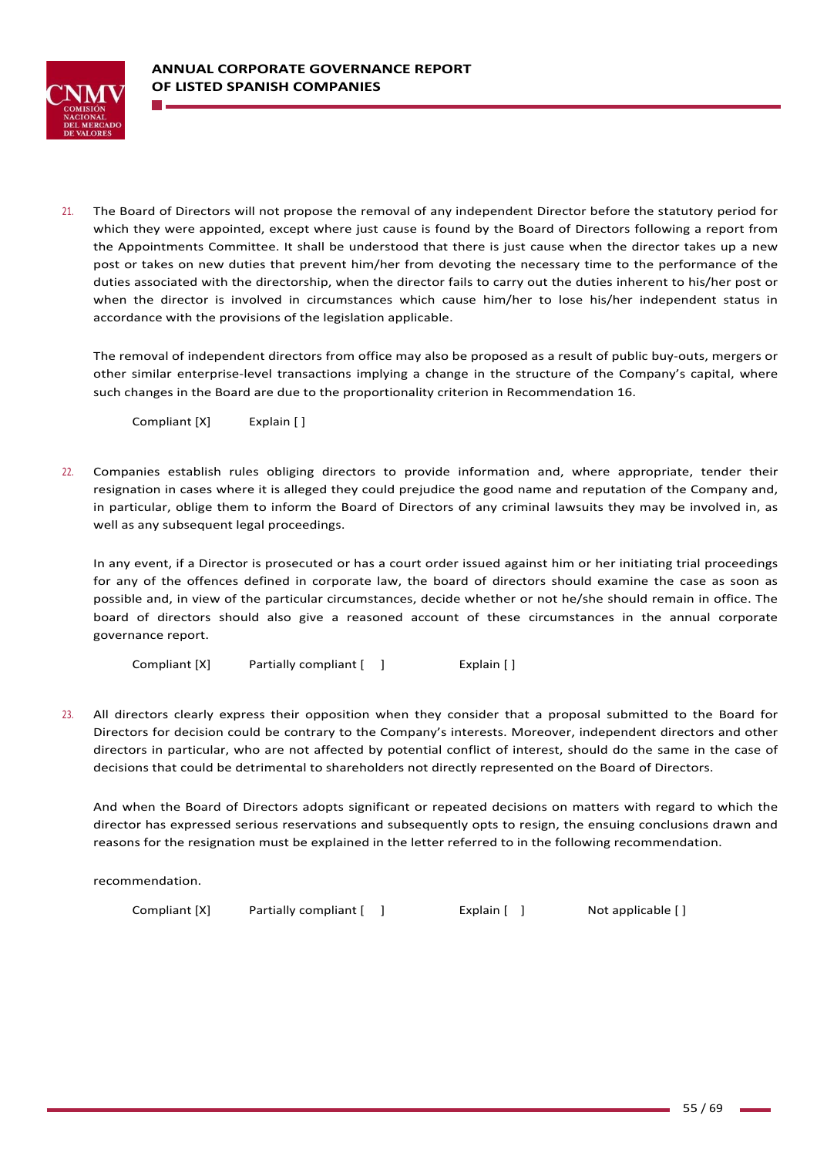

21. The Board of Directors will not propose the removal of any independent Director before the statutory period for which they were appointed, except where just cause is found by the Board of Directors following a report from the Appointments Committee. It shall be understood that there is just cause when the director takes up a new post or takes on new duties that prevent him/her from devoting the necessary time to the performance of the duties associated with the directorship, when the director fails to carry out the duties inherent to his/her post or when the director is involved in circumstances which cause him/her to lose his/her independent status in accordance with the provisions of the legislation applicable.

The removal of independent directors from office may also be proposed as a result of public buy‐outs, mergers or other similar enterprise-level transactions implying a change in the structure of the Company's capital, where such changes in the Board are due to the proportionality criterion in Recommendation 16.

Compliant [X] Explain [ ]

22. Companies establish rules obliging directors to provide information and, where appropriate, tender their resignation in cases where it is alleged they could prejudice the good name and reputation of the Company and, in particular, oblige them to inform the Board of Directors of any criminal lawsuits they may be involved in, as well as any subsequent legal proceedings.

In any event, if a Director is prosecuted or has a court order issued against him or her initiating trial proceedings for any of the offences defined in corporate law, the board of directors should examine the case as soon as possible and, in view of the particular circumstances, decide whether or not he/she should remain in office. The board of directors should also give a reasoned account of these circumstances in the annual corporate governance report.

Compliant [X] Partially compliant [ ] Fxplain [ ]

23. All directors clearly express their opposition when they consider that a proposal submitted to the Board for Directors for decision could be contrary to the Company's interests. Moreover, independent directors and other directors in particular, who are not affected by potential conflict of interest, should do the same in the case of decisions that could be detrimental to shareholders not directly represented on the Board of Directors.

And when the Board of Directors adopts significant or repeated decisions on matters with regard to which the director has expressed serious reservations and subsequently opts to resign, the ensuing conclusions drawn and reasons for the resignation must be explained in the letter referred to in the following recommendation.

recommendation.

Compliant [X] Partially compliant [ ] [ [ Explain [ ] [ Not applicable [ ]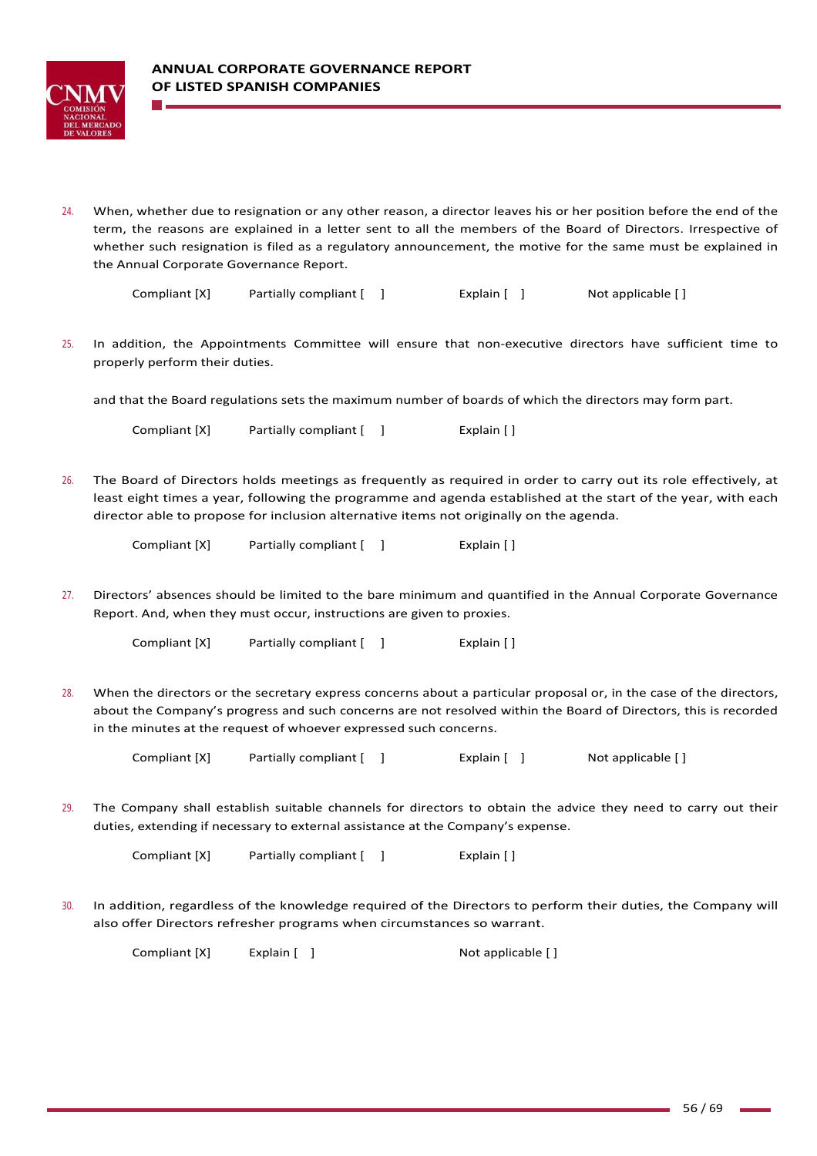

24. When, whether due to resignation or any other reason, a director leaves his or her position before the end of the term, the reasons are explained in a letter sent to all the members of the Board of Directors. Irrespective of whether such resignation is filed as a regulatory announcement, the motive for the same must be explained in the Annual Corporate Governance Report.

| Compliant [X] | Partially compliant [ ] | Explain $[ ]$ | Not applicable [] |
|---------------|-------------------------|---------------|-------------------|
|---------------|-------------------------|---------------|-------------------|

25. In addition, the Appointments Committee will ensure that non‐executive directors have sufficient time to properly perform their duties.

and that the Board regulations sets the maximum number of boards of which the directors may form part.

Compliant [X] Partially compliant [ ] [ [ ] Explain [ ]

26. The Board of Directors holds meetings as frequently as required in order to carry out its role effectively, at least eight times a year, following the programme and agenda established at the start of the year, with each director able to propose for inclusion alternative items not originally on the agenda.

Compliant [X] Partially compliant [ ] Fxplain [ ]

27. Directors' absences should be limited to the bare minimum and quantified in the Annual Corporate Governance Report. And, when they must occur, instructions are given to proxies.

Compliant [X] Partially compliant [ ] [ [ ] Explain [ ]

28. When the directors or the secretary express concerns about a particular proposal or, in the case of the directors, about the Company's progress and such concerns are not resolved within the Board of Directors, this is recorded in the minutes at the request of whoever expressed such concerns.

| Compliant [X] | Partially compliant [ ] |  | Explain $[$ ] | Not applicable [] |
|---------------|-------------------------|--|---------------|-------------------|
|---------------|-------------------------|--|---------------|-------------------|

29. The Company shall establish suitable channels for directors to obtain the advice they need to carry out their duties, extending if necessary to external assistance at the Company's expense.

Compliant [X] Partially compliant [ ] [ [ ] Explain [ ]

30. In addition, regardless of the knowledge required of the Directors to perform their duties, the Company will also offer Directors refresher programs when circumstances so warrant.

Compliant [X] Explain [ ] Not applicable [ ]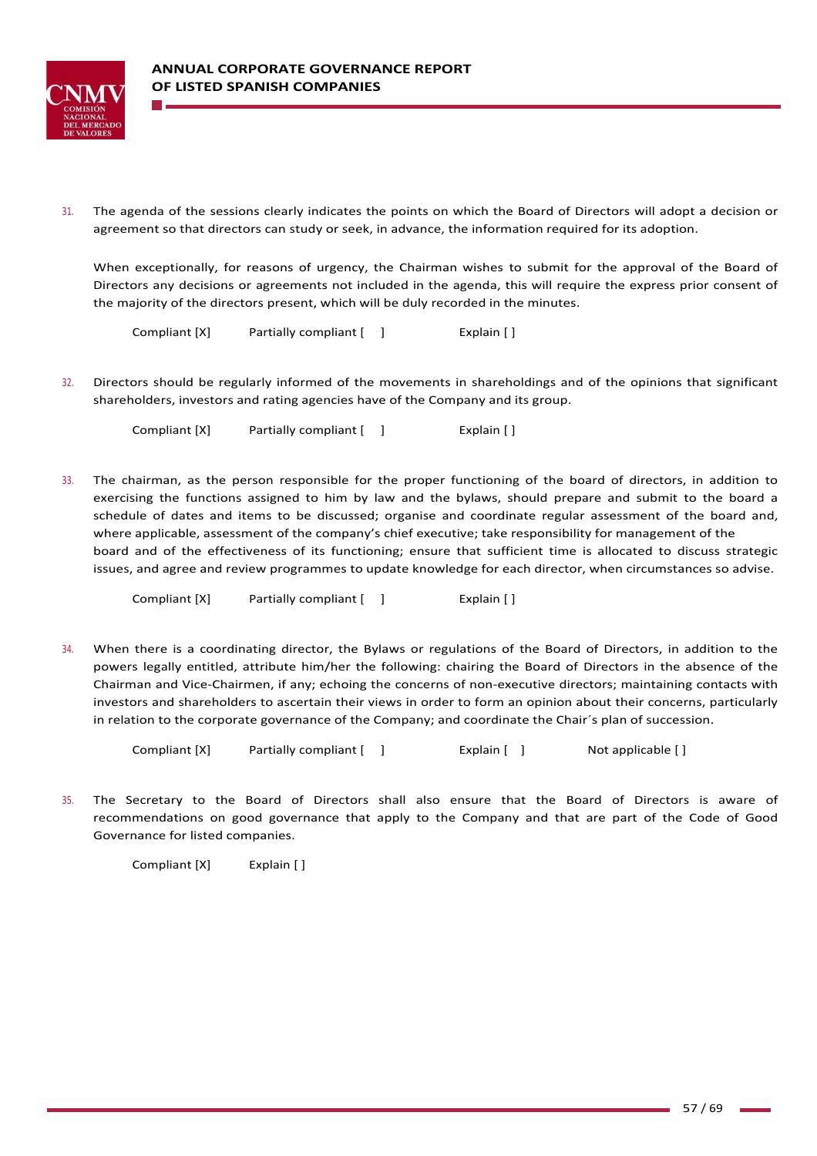

31. The agenda of the sessions clearly indicates the points on which the Board of Directors will adopt a decision or agreement so that directors can study or seek, in advance, the information required for its adoption.

When exceptionally, for reasons of urgency, the Chairman wishes to submit for the approval of the Board of Directors any decisions or agreements not included in the agenda, this will require the express prior consent of the majority of the directors present, which will be duly recorded in the minutes.

Compliant [X] Partially compliant [ ] Explain [ ]

32. Directors should be regularly informed of the movements in shareholdings and of the opinions that significant shareholders, investors and rating agencies have of the Company and its group.

Compliant [X] Partially compliant [ ] [ [ ] Explain [ ]

33. The chairman, as the person responsible for the proper functioning of the board of directors, in addition to exercising the functions assigned to him by law and the bylaws, should prepare and submit to the board a schedule of dates and items to be discussed; organise and coordinate regular assessment of the board and, where applicable, assessment of the company's chief executive; take responsibility for management of the board and of the effectiveness of its functioning; ensure that sufficient time is allocated to discuss strategic issues, and agree and review programmes to update knowledge for each director, when circumstances so advise.

Compliant [X] Partially compliant [ ] Fxplain [ ]

34. When there is a coordinating director, the Bylaws or regulations of the Board of Directors, in addition to the powers legally entitled, attribute him/her the following: chairing the Board of Directors in the absence of the Chairman and Vice‐Chairmen, if any; echoing the concerns of non‐executive directors; maintaining contacts with investors and shareholders to ascertain their views in order to form an opinion about their concerns, particularly in relation to the corporate governance of the Company; and coordinate the Chair´s plan of succession.

Compliant [X] Partially compliant [ ] The Explain [ ] Not applicable [ ]

35. The Secretary to the Board of Directors shall also ensure that the Board of Directors is aware of recommendations on good governance that apply to the Company and that are part of the Code of Good Governance for listed companies.

Compliant [X] Explain []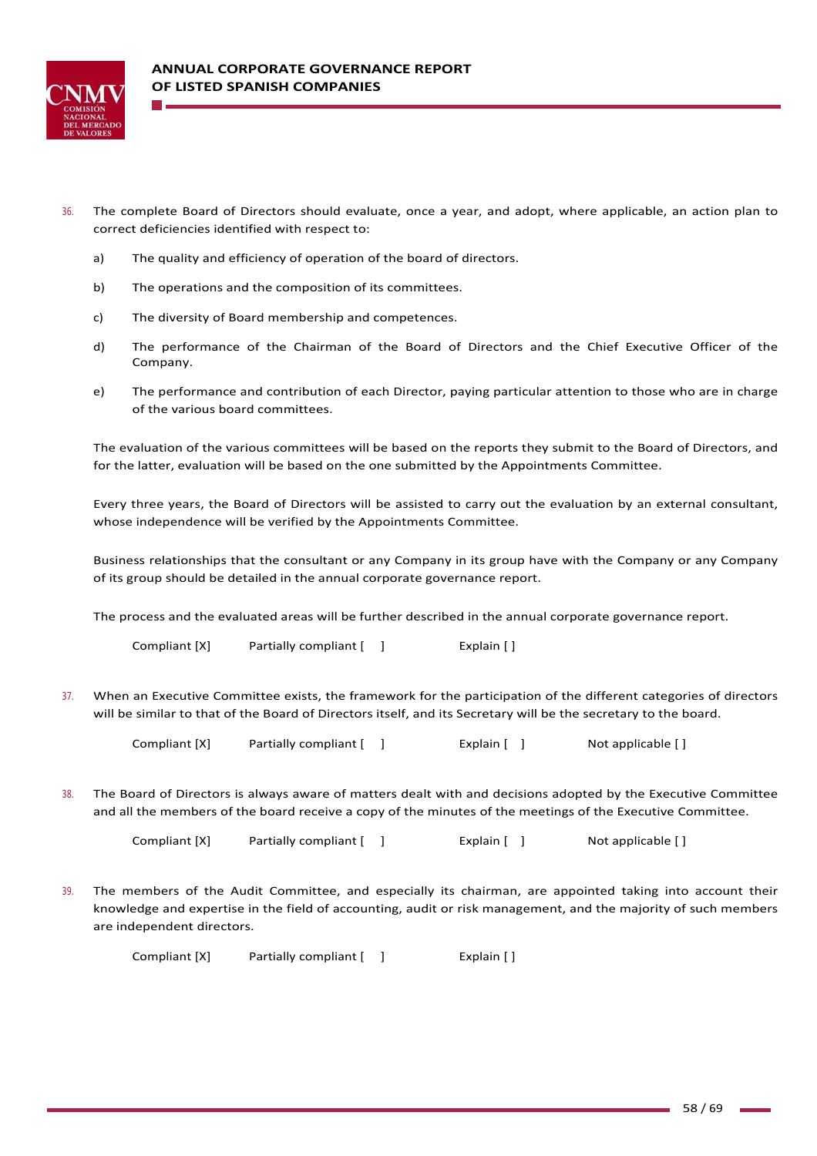

- 36. The complete Board of Directors should evaluate, once a year, and adopt, where applicable, an action plan to correct deficiencies identified with respect to:
	- a) The quality and efficiency of operation of the board of directors.
	- b) The operations and the composition of its committees.
	- c) The diversity of Board membership and competences.
	- d) The performance of the Chairman of the Board of Directors and the Chief Executive Officer of the Company.
	- e) The performance and contribution of each Director, paying particular attention to those who are in charge of the various board committees.

The evaluation of the various committees will be based on the reports they submit to the Board of Directors, and for the latter, evaluation will be based on the one submitted by the Appointments Committee.

Every three years, the Board of Directors will be assisted to carry out the evaluation by an external consultant, whose independence will be verified by the Appointments Committee.

Business relationships that the consultant or any Company in its group have with the Company or any Company of its group should be detailed in the annual corporate governance report.

The process and the evaluated areas will be further described in the annual corporate governance report.

Compliant [X] Partially compliant [ ] Fxplain [ ]

37. When an Executive Committee exists, the framework for the participation of the different categories of directors will be similar to that of the Board of Directors itself, and its Secretary will be the secretary to the board.

Compliant [X] Partially compliant [ ] Explain [ ] Not applicable [ ]

38. The Board of Directors is always aware of matters dealt with and decisions adopted by the Executive Committee and all the members of the board receive a copy of the minutes of the meetings of the Executive Committee.

Compliant [X] Partially compliant [ ] Explain [ ] Not applicable [ ]

39. The members of the Audit Committee, and especially its chairman, are appointed taking into account their knowledge and expertise in the field of accounting, audit or risk management, and the majority of such members are independent directors.

Compliant [X] Partially compliant [ ] [ [ ] Explain [ ]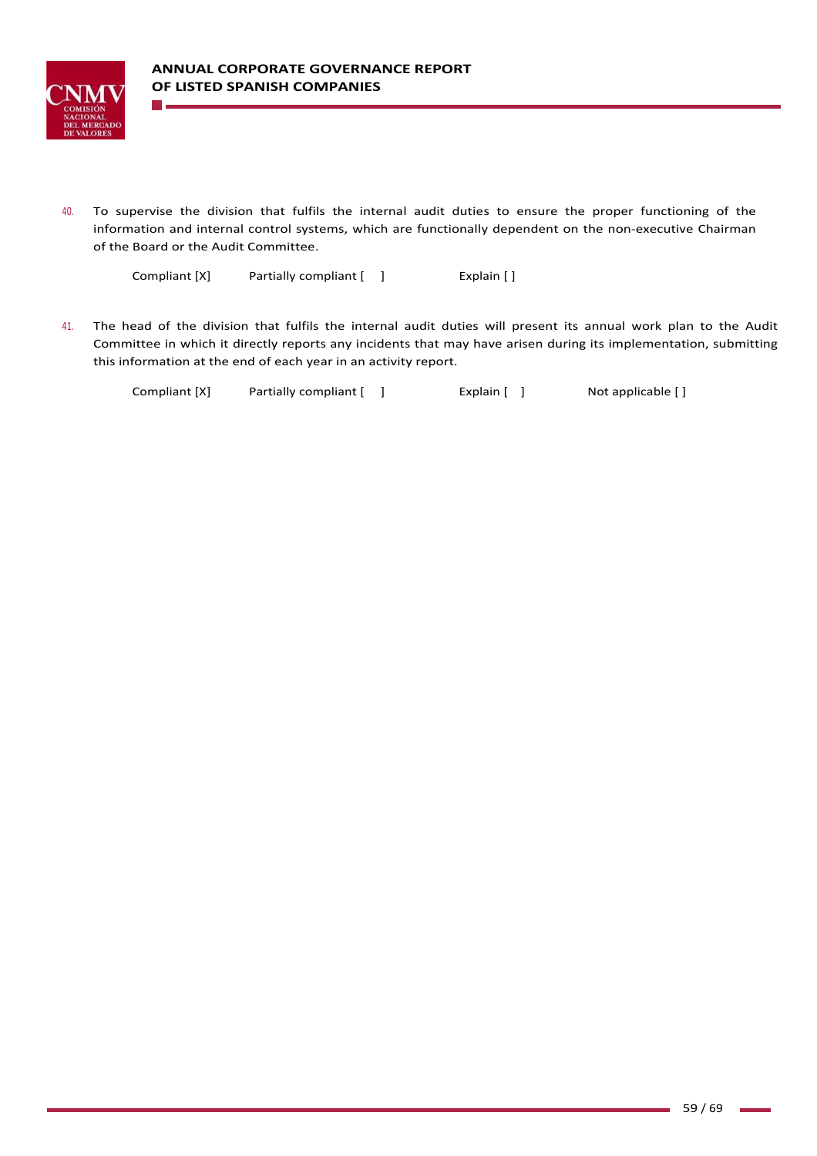

1 H H

40. To supervise the division that fulfils the internal audit duties to ensure the proper functioning of the information and internal control systems, which are functionally dependent on the non‐executive Chairman of the Board or the Audit Committee.

Compliant [X] Partially compliant [ ] Fxplain [ ]

41. The head of the division that fulfils the internal audit duties will present its annual work plan to the Audit Committee in which it directly reports any incidents that may have arisen during its implementation, submitting this information at the end of each year in an activity report.

Compliant [X] Partially compliant [ ] Explain [ ] Not applicable [ ]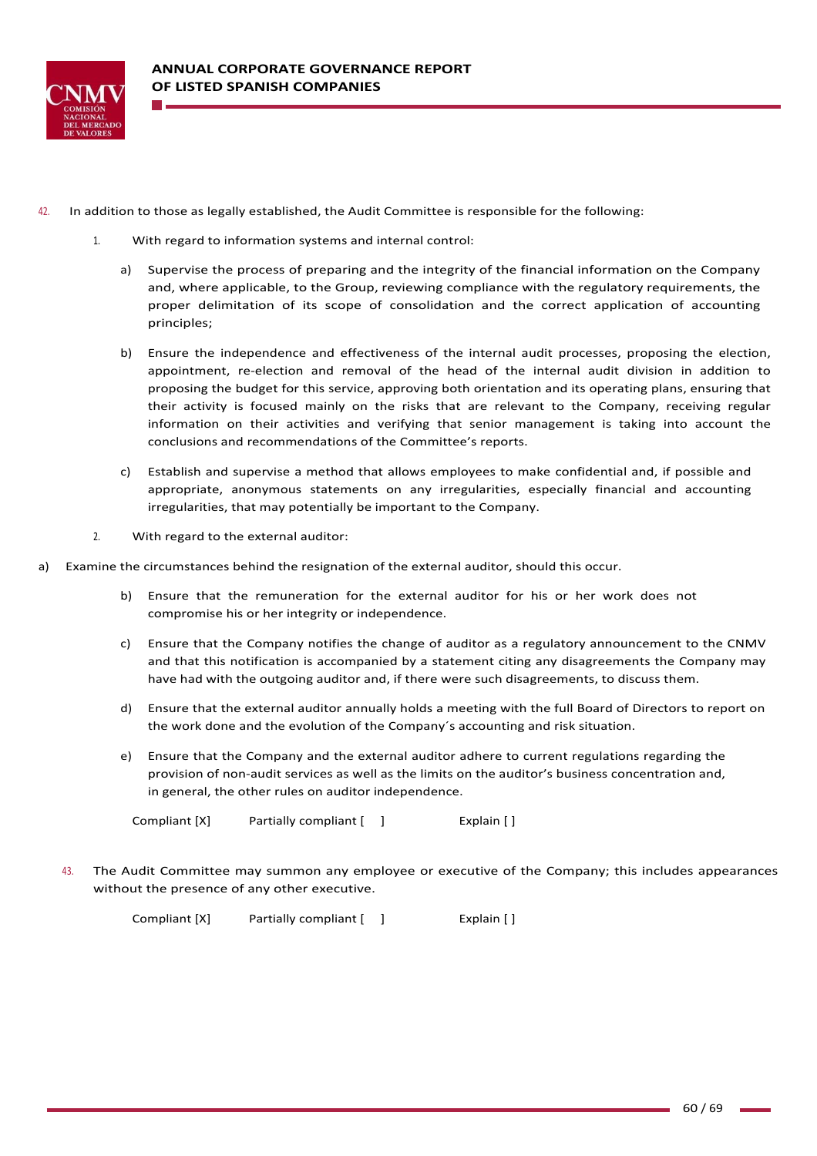

- 42. In addition to those as legally established, the Audit Committee is responsible for the following:
	- 1. With regard to information systems and internal control:
		- a) Supervise the process of preparing and the integrity of the financial information on the Company and, where applicable, to the Group, reviewing compliance with the regulatory requirements, the proper delimitation of its scope of consolidation and the correct application of accounting principles;
		- b) Ensure the independence and effectiveness of the internal audit processes, proposing the election, appointment, re-election and removal of the head of the internal audit division in addition to proposing the budget for this service, approving both orientation and its operating plans, ensuring that their activity is focused mainly on the risks that are relevant to the Company, receiving regular information on their activities and verifying that senior management is taking into account the conclusions and recommendations of the Committee's reports.
		- c) Establish and supervise a method that allows employees to make confidential and, if possible and appropriate, anonymous statements on any irregularities, especially financial and accounting irregularities, that may potentially be important to the Company.
	- 2. With regard to the external auditor:
- a) Examine the circumstances behind the resignation of the external auditor, should this occur.
	- b) Ensure that the remuneration for the external auditor for his or her work does not compromise his or her integrity or independence.
	- c) Ensure that the Company notifies the change of auditor as a regulatory announcement to the CNMV and that this notification is accompanied by a statement citing any disagreements the Company may have had with the outgoing auditor and, if there were such disagreements, to discuss them.
	- d) Ensure that the external auditor annually holds a meeting with the full Board of Directors to report on the work done and the evolution of the Company´s accounting and risk situation.
	- e) Ensure that the Company and the external auditor adhere to current regulations regarding the provision of non-audit services as well as the limits on the auditor's business concentration and, in general, the other rules on auditor independence.

Compliant [X] Partially compliant [ ] [ [ ] Explain [ ]

43. The Audit Committee may summon any employee or executive of the Company; this includes appearances without the presence of any other executive.

Compliant [X] Partially compliant [ ] [ [ ] Explain [ ]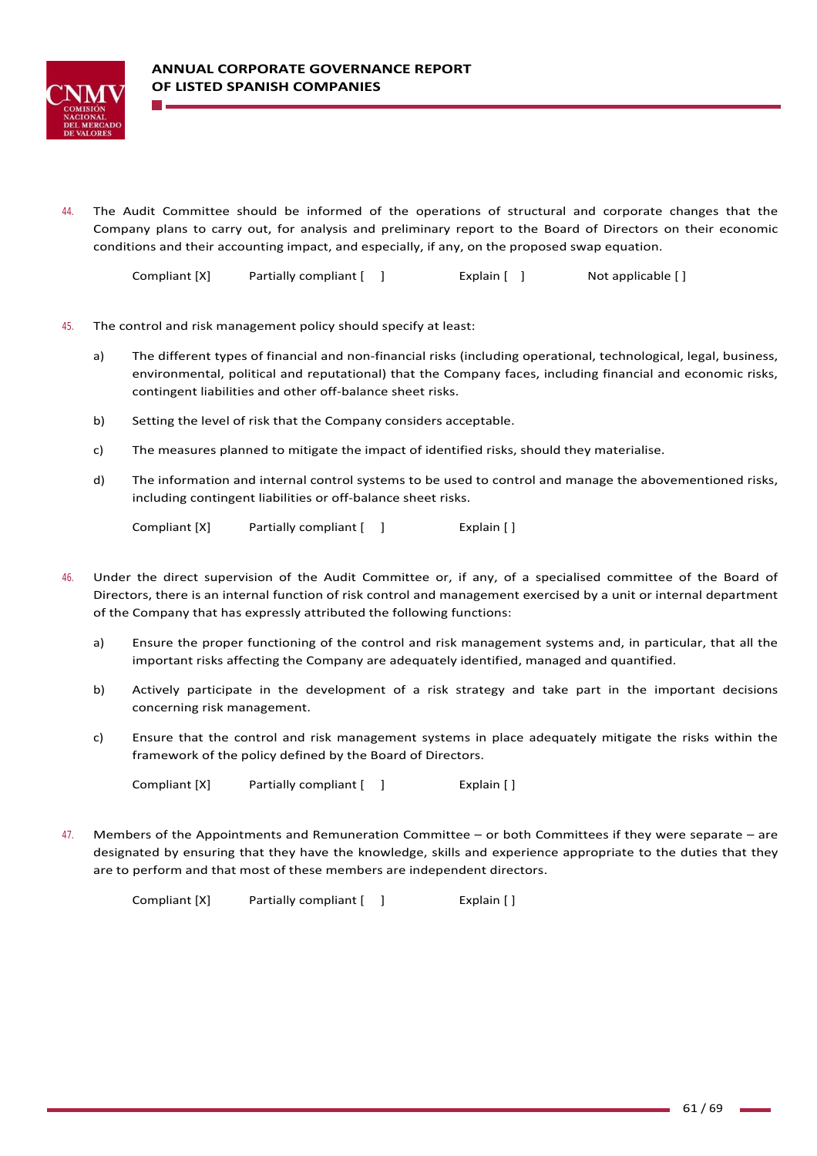

44. The Audit Committee should be informed of the operations of structural and corporate changes that the Company plans to carry out, for analysis and preliminary report to the Board of Directors on their economic conditions and their accounting impact, and especially, if any, on the proposed swap equation.

Compliant [X] Partially compliant [ ] Explain [ ] Not applicable [ ]

- 45. The control and risk management policy should specify at least:
	- a) The different types of financial and non-financial risks (including operational, technological, legal, business, environmental, political and reputational) that the Company faces, including financial and economic risks, contingent liabilities and other off‐balance sheet risks.
	- b) Setting the level of risk that the Company considers acceptable.
	- c) The measures planned to mitigate the impact of identified risks, should they materialise.
	- d) The information and internal control systems to be used to control and manage the abovementioned risks, including contingent liabilities or off‐balance sheet risks.

Compliant [X] Partially compliant [ ] [ [ ] Explain [ ]

- 46. Under the direct supervision of the Audit Committee or, if any, of a specialised committee of the Board of Directors, there is an internal function of risk control and management exercised by a unit or internal department of the Company that has expressly attributed the following functions:
	- a) Ensure the proper functioning of the control and risk management systems and, in particular, that all the important risks affecting the Company are adequately identified, managed and quantified.
	- b) Actively participate in the development of a risk strategy and take part in the important decisions concerning risk management.
	- c) Ensure that the control and risk management systems in place adequately mitigate the risks within the framework of the policy defined by the Board of Directors.

Compliant [X] Partially compliant [ ] [ [ ] Explain [ ]

47. Members of the Appointments and Remuneration Committee – or both Committees if they were separate – are designated by ensuring that they have the knowledge, skills and experience appropriate to the duties that they are to perform and that most of these members are independent directors.

Compliant [X] Partially compliant [ ] [ [ ] Explain [ ]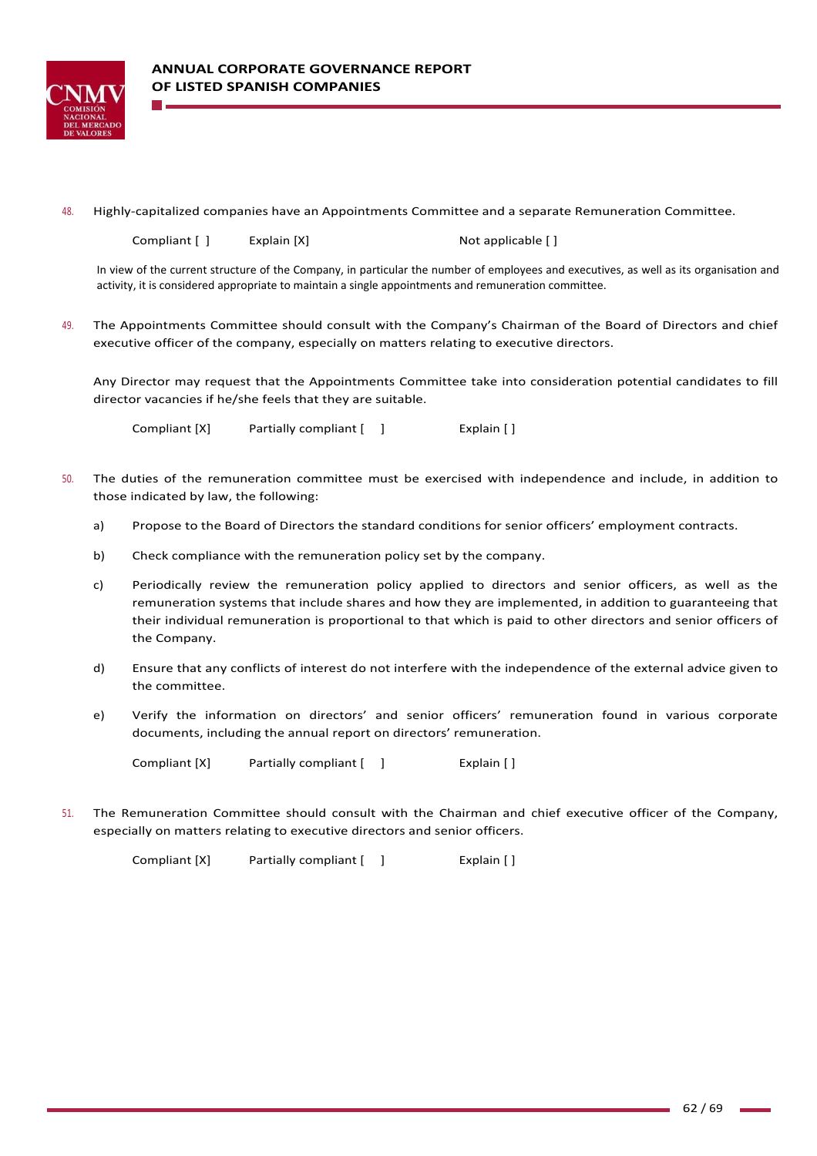

48. Highly-capitalized companies have an Appointments Committee and a separate Remuneration Committee.

Compliant [ ] Explain [X] **Not applicable [ ]** Not applicable [ ]

In view of the current structure of the Company, in particular the number of employees and executives, as well as its organisation and activity, it is considered appropriate to maintain a single appointments and remuneration committee.

49. The Appointments Committee should consult with the Company's Chairman of the Board of Directors and chief executive officer of the company, especially on matters relating to executive directors.

Any Director may request that the Appointments Committee take into consideration potential candidates to fill director vacancies if he/she feels that they are suitable.

Compliant [X] Partially compliant  $\begin{bmatrix} 1 \end{bmatrix}$  Explain  $\begin{bmatrix} 1 \end{bmatrix}$ 

- 50. The duties of the remuneration committee must be exercised with independence and include, in addition to those indicated by law, the following:
	- a) Propose to the Board of Directors the standard conditions for senior officers' employment contracts.
	- b) Check compliance with the remuneration policy set by the company.
	- c) Periodically review the remuneration policy applied to directors and senior officers, as well as the remuneration systems that include shares and how they are implemented, in addition to guaranteeing that their individual remuneration is proportional to that which is paid to other directors and senior officers of the Company.
	- d) Ensure that any conflicts of interest do not interfere with the independence of the external advice given to the committee.
	- e) Verify the information on directors' and senior officers' remuneration found in various corporate documents, including the annual report on directors' remuneration.

Compliant [X] Partially compliant [ ] [ [ ] Explain [ ]

51. The Remuneration Committee should consult with the Chairman and chief executive officer of the Company, especially on matters relating to executive directors and senior officers.

Compliant [X] Partially compliant [ ] Fxplain [ ]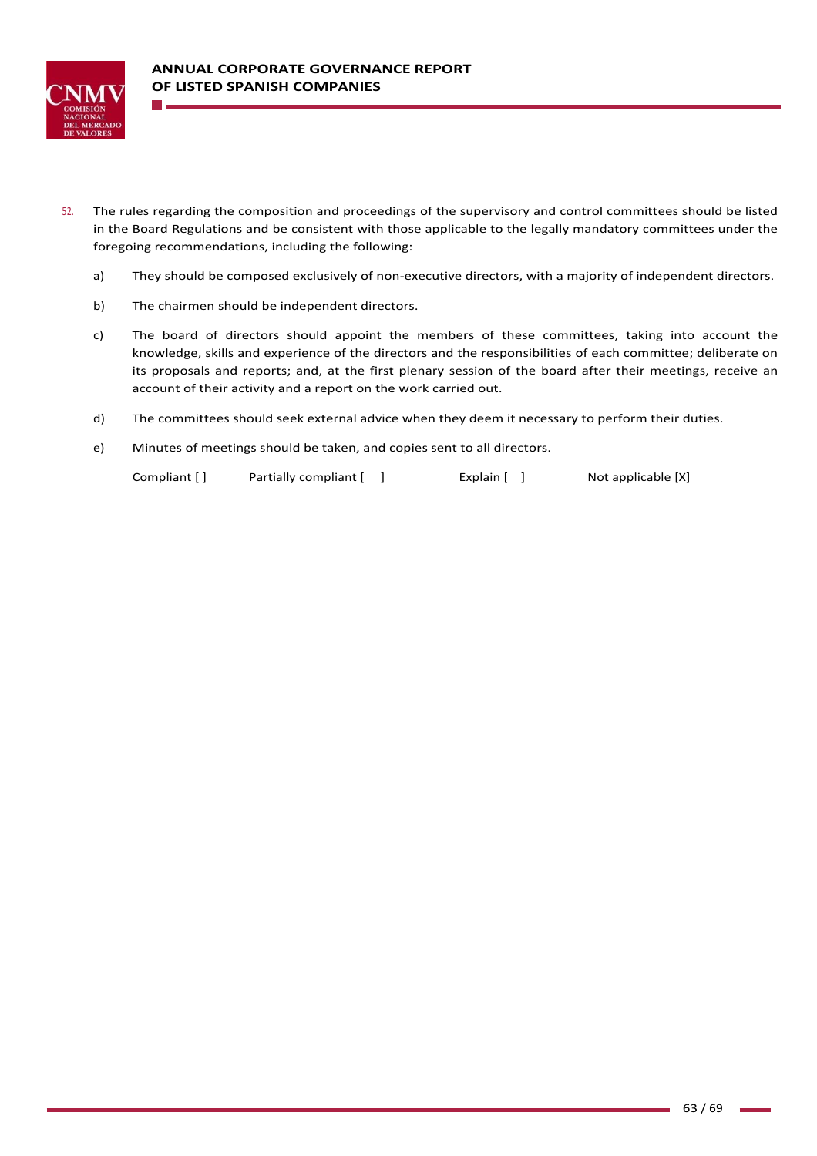

- 52. The rules regarding the composition and proceedings of the supervisory and control committees should be listed in the Board Regulations and be consistent with those applicable to the legally mandatory committees under the foregoing recommendations, including the following:
	- a) They should be composed exclusively of non‐executive directors, with a majority of independent directors.
	- b) The chairmen should be independent directors.
	- c) The board of directors should appoint the members of these committees, taking into account the knowledge, skills and experience of the directors and the responsibilities of each committee; deliberate on its proposals and reports; and, at the first plenary session of the board after their meetings, receive an account of their activity and a report on the work carried out.
	- d) The committees should seek external advice when they deem it necessary to perform their duties.
	- e) Minutes of meetings should be taken, and copies sent to all directors.

Compliant [ ] Partially compliant [ ] [ [ ] Explain [ ] Not applicable [X]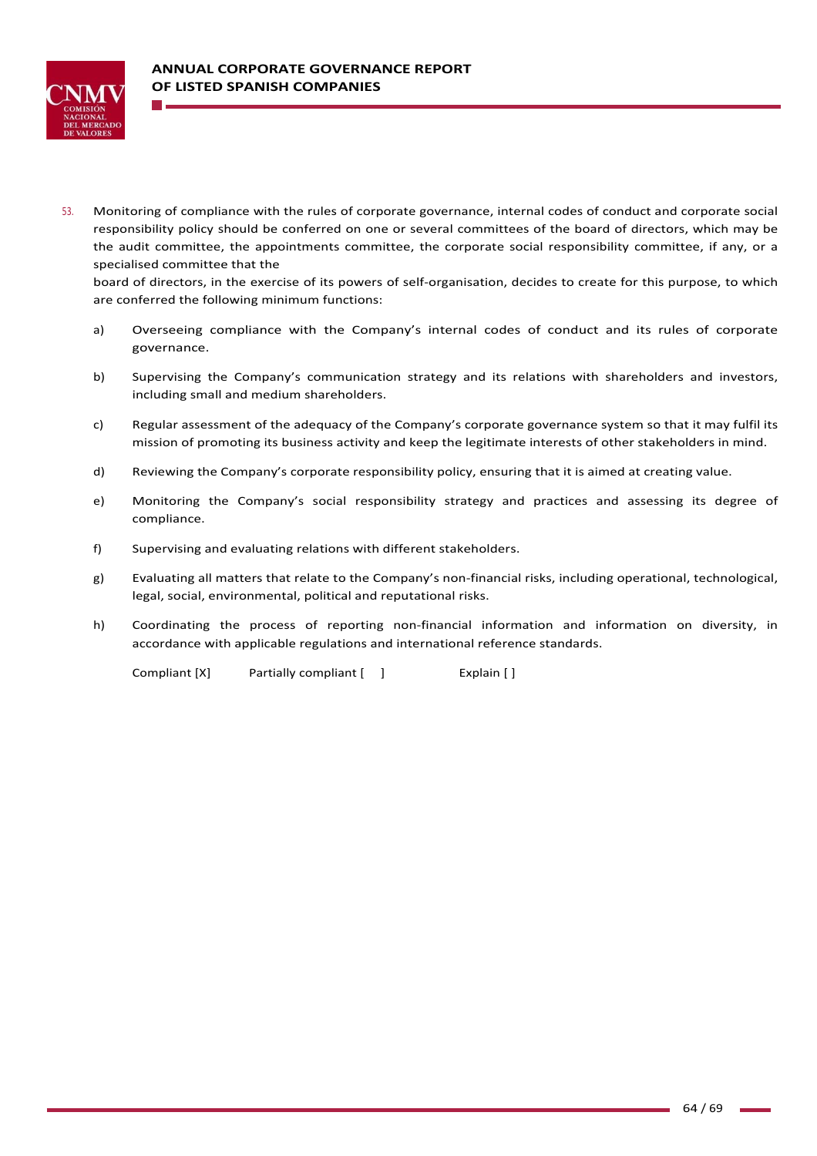

53. Monitoring of compliance with the rules of corporate governance, internal codes of conduct and corporate social responsibility policy should be conferred on one or several committees of the board of directors, which may be the audit committee, the appointments committee, the corporate social responsibility committee, if any, or a specialised committee that the

board of directors, in the exercise of its powers of self-organisation, decides to create for this purpose, to which are conferred the following minimum functions:

- a) Overseeing compliance with the Company's internal codes of conduct and its rules of corporate governance.
- b) Supervising the Company's communication strategy and its relations with shareholders and investors, including small and medium shareholders.
- c) Regular assessment of the adequacy of the Company's corporate governance system so that it may fulfil its mission of promoting its business activity and keep the legitimate interests of other stakeholders in mind.
- d) Reviewing the Company's corporate responsibility policy, ensuring that it is aimed at creating value.
- e) Monitoring the Company's social responsibility strategy and practices and assessing its degree of compliance.
- f) Supervising and evaluating relations with different stakeholders.
- g) Evaluating all matters that relate to the Company's non-financial risks, including operational, technological, legal, social, environmental, political and reputational risks.
- h) Coordinating the process of reporting non-financial information and information on diversity, in accordance with applicable regulations and international reference standards.

Compliant [X] Partially compliant [ ] Fxplain [ ]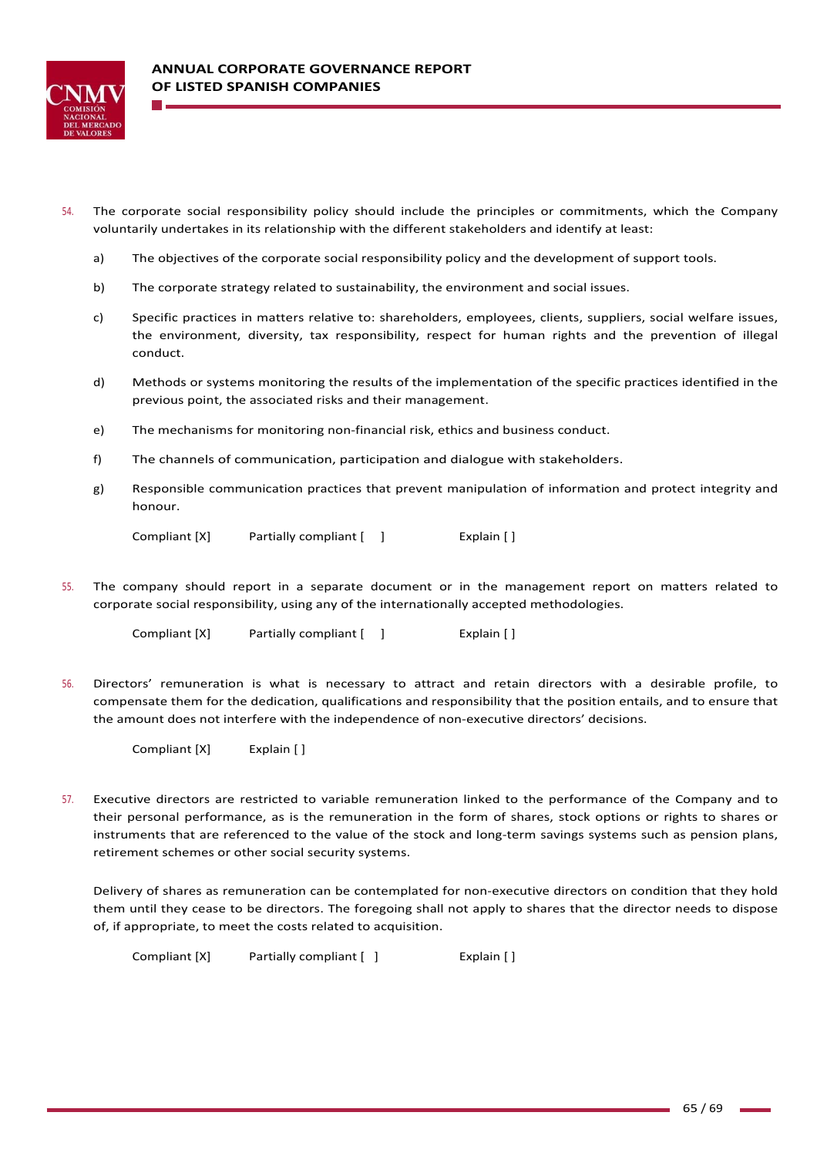

- 54. The corporate social responsibility policy should include the principles or commitments, which the Company voluntarily undertakes in its relationship with the different stakeholders and identify at least:
	- a) The objectives of the corporate social responsibility policy and the development of support tools.
	- b) The corporate strategy related to sustainability, the environment and social issues.
	- c) Specific practices in matters relative to: shareholders, employees, clients, suppliers, social welfare issues, the environment, diversity, tax responsibility, respect for human rights and the prevention of illegal conduct.
	- d) Methods or systems monitoring the results of the implementation of the specific practices identified in the previous point, the associated risks and their management.
	- e) The mechanisms for monitoring non-financial risk, ethics and business conduct.
	- f) The channels of communication, participation and dialogue with stakeholders.
	- g) Responsible communication practices that prevent manipulation of information and protect integrity and honour.

Compliant [X] Partially compliant  $\begin{bmatrix} 1 & 1 \end{bmatrix}$  Explain  $\begin{bmatrix} 1 & 1 \end{bmatrix}$ 

55. The company should report in a separate document or in the management report on matters related to corporate social responsibility, using any of the internationally accepted methodologies.

Compliant [X] Partially compliant [ ] Fxplain [ ]

56. Directors' remuneration is what is necessary to attract and retain directors with a desirable profile, to compensate them for the dedication, qualifications and responsibility that the position entails, and to ensure that the amount does not interfere with the independence of non‐executive directors' decisions.

Compliant [X] Explain [ ]

57. Executive directors are restricted to variable remuneration linked to the performance of the Company and to their personal performance, as is the remuneration in the form of shares, stock options or rights to shares or instruments that are referenced to the value of the stock and long‐term savings systems such as pension plans, retirement schemes or other social security systems.

Delivery of shares as remuneration can be contemplated for non‐executive directors on condition that they hold them until they cease to be directors. The foregoing shall not apply to shares that the director needs to dispose of, if appropriate, to meet the costs related to acquisition.

Compliant [X] Partially compliant [ ] Explain [ ]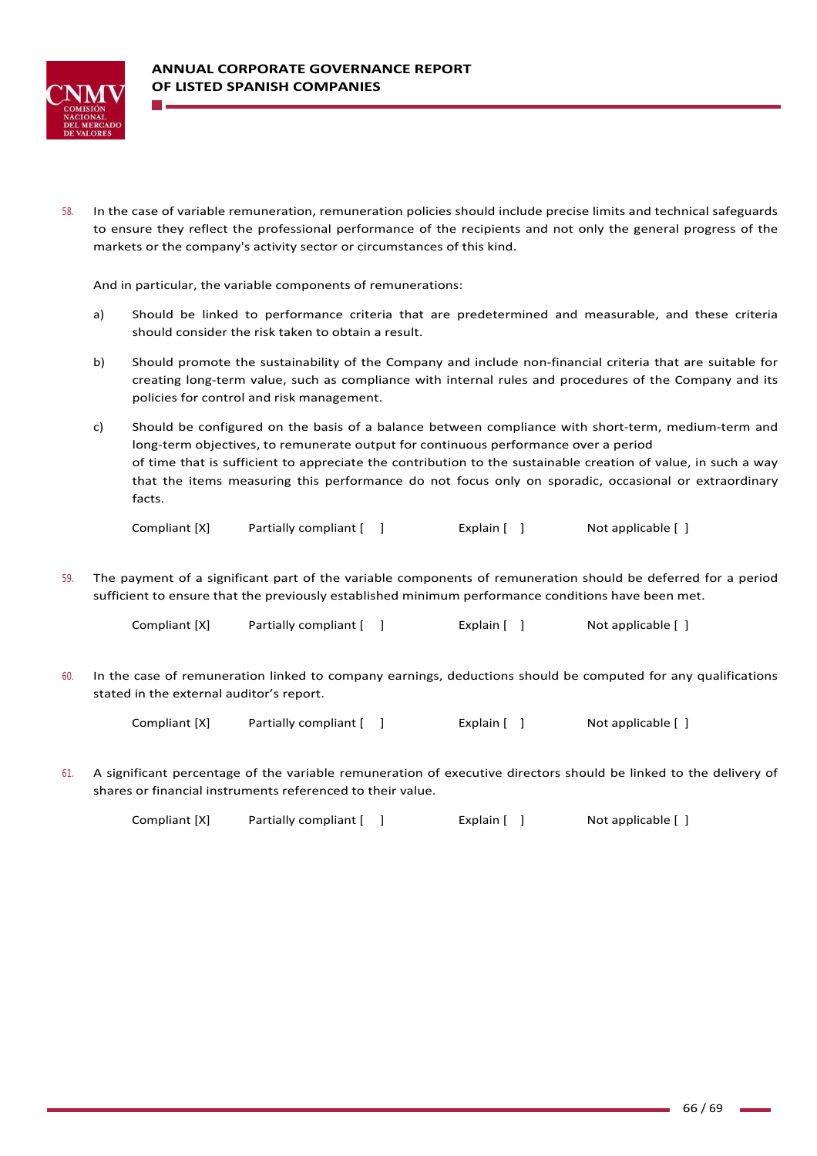

58. In the case of variable remuneration, remuneration policies should include precise limits and technical safeguards to ensure they reflect the professional performance of the recipients and not only the general progress of the markets or the company's activity sector or circumstances of this kind.

And in particular, the variable components of remunerations:

- a) Should be linked to performance criteria that are predetermined and measurable, and these criteria should consider the risk taken to obtain a result.
- b) Should promote the sustainability of the Company and include non-financial criteria that are suitable for creating long-term value, such as compliance with internal rules and procedures of the Company and its policies for control and risk management.
- c) Should be configured on the basis of a balance between compliance with short-term, medium-term and long-term objectives, to remunerate output for continuous performance over a period of time that is sufficient to appreciate the contribution to the sustainable creation of value, in such a way that the items measuring this performance do not focus only on sporadic, occasional or extraordinary facts.

Compliant [X] Partially compliant [ ] The Explain [ ] Not applicable [ ]

59. The payment of a significant part of the variable components of remuneration should be deferred for a period sufficient to ensure that the previously established minimum performance conditions have been met.

| Compliant [X] | Partially compliant [ ] | Explain $[$ ] | Not applicable [ ] |
|---------------|-------------------------|---------------|--------------------|
|---------------|-------------------------|---------------|--------------------|

60. In the case of remuneration linked to company earnings, deductions should be computed for any qualifications stated in the external auditor's report.

Compliant [X] Partially compliant [ ] [ [ ] Explain [ ] Not applicable [ ]

61. A significant percentage of the variable remuneration of executive directors should be linked to the delivery of shares or financial instruments referenced to their value.

Compliant [X] Partially compliant [ ] [ [ Explain [ ] Not applicable [ ]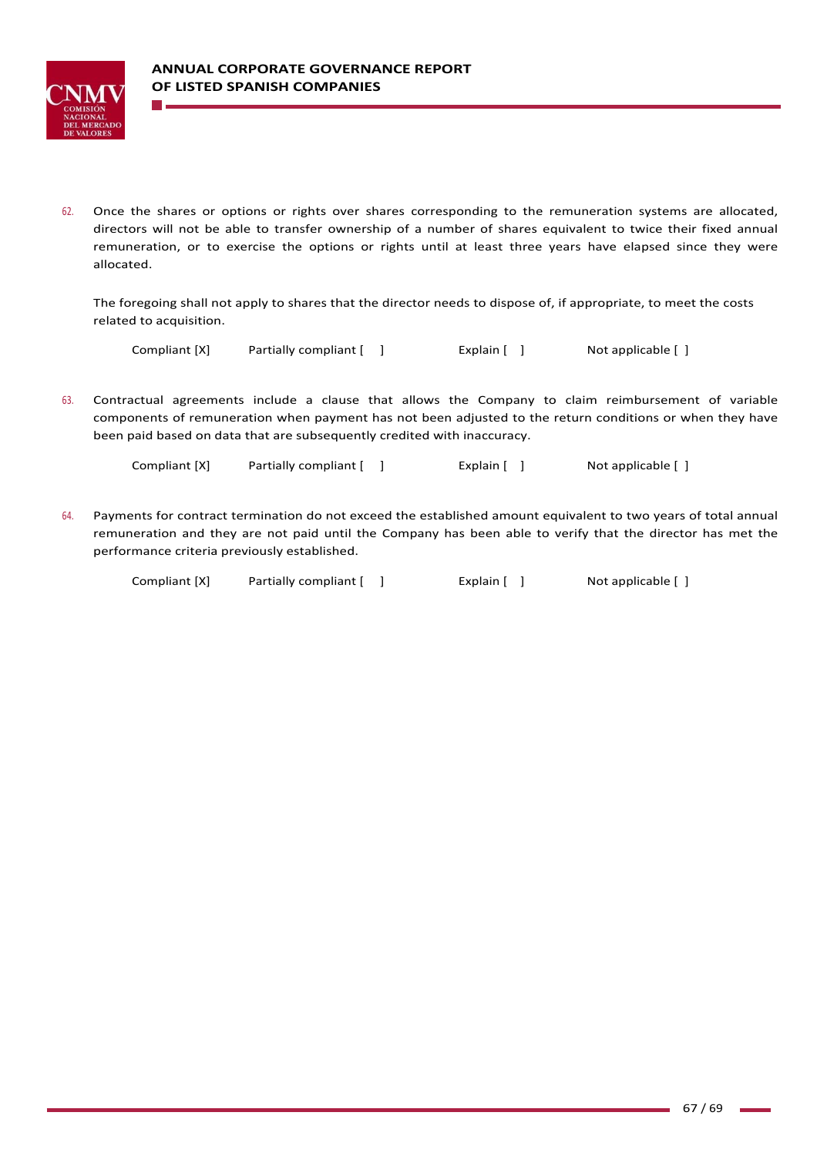

62. Once the shares or options or rights over shares corresponding to the remuneration systems are allocated, directors will not be able to transfer ownership of a number of shares equivalent to twice their fixed annual remuneration, or to exercise the options or rights until at least three years have elapsed since they were allocated.

The foregoing shall not apply to shares that the director needs to dispose of, if appropriate, to meet the costs related to acquisition.

| Compliant [X] | Partially compliant [ | Explain $[$ ] | Not applicable [ ] |
|---------------|-----------------------|---------------|--------------------|
|---------------|-----------------------|---------------|--------------------|

63. Contractual agreements include a clause that allows the Company to claim reimbursement of variable components of remuneration when payment has not been adjusted to the return conditions or when they have been paid based on data that are subsequently credited with inaccuracy.

Compliant [X] Partially compliant [ ] Explain [ ] Not applicable [ ]

64. Payments for contract termination do not exceed the established amount equivalent to two years of total annual remuneration and they are not paid until the Company has been able to verify that the director has met the performance criteria previously established.

| Compliant [X] | Partially compliant [ ] | Explain [ ] | Not applicable [ ] |
|---------------|-------------------------|-------------|--------------------|
|---------------|-------------------------|-------------|--------------------|